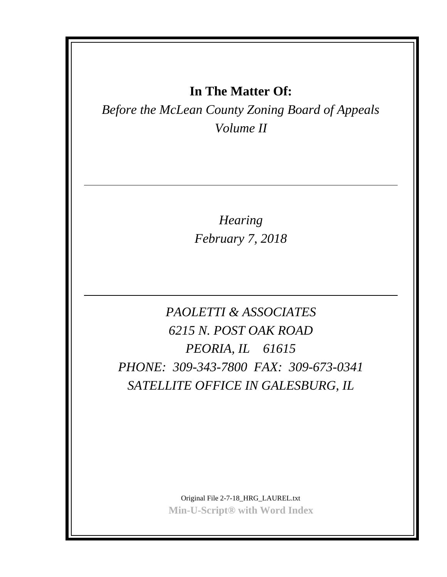## **In The Matter Of:**

*Before the McLean County Zoning Board of Appeals Volume II*

> *Hearing February 7, 2018*

*PAOLETTI & ASSOCIATES 6215 N. POST OAK ROAD PEORIA, IL 61615 PHONE: 309-343-7800 FAX: 309-673-0341 SATELLITE OFFICE IN GALESBURG, IL*

> Original File 2-7-18\_HRG\_LAUREL.txt **Min-U-Script® with Word Index**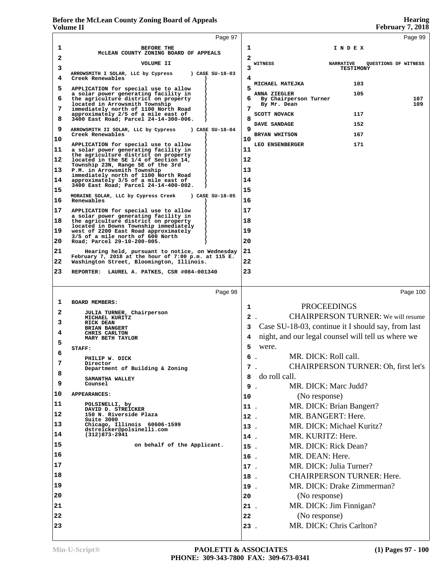|                | у отише 11                                                                                            |            | redruary 7, 2010                                   |
|----------------|-------------------------------------------------------------------------------------------------------|------------|----------------------------------------------------|
|                | Page 97                                                                                               |            | Page 99                                            |
| 1              | <b>BEFORE THE</b>                                                                                     | 1          | INDEX                                              |
| 2              | MCLEAN COUNTY ZONING BOARD OF APPEALS<br>VOLUME II                                                    | 2          | WITNESS<br><b>NARRATIVE</b>                        |
| 3              | ) CASE SU-18-03<br>ARROWSMITH I SOLAR, LLC by Cypress                                                 | 3          | QUESTIONS OF WITNESS<br><b>TESTIMONY</b>           |
| 4              | Creek Renewables                                                                                      | 4          | 103<br>MICHAEL MATEJKA                             |
| 5              | APPLICATION for special use to allow<br>a solar power generating facility in                          | 5          | 105<br>ANNA ZIEGLER                                |
| 6              | the agriculture district on property<br>located in Arrowsmith Township                                | 6          | 107<br>By Chairperson Turner<br>109<br>By Mr. Dean |
| 7              | immediately north of 1100 North Road<br>approximately 2/5 of a mile east of                           | 7          | SCOTT NOVACK<br>117                                |
| 8              | 3400 East Road; Parcel 24-14-300-006.                                                                 | 8          | 152<br>DAVE SANDAGE                                |
| 9              | ) CASE SU-18-04<br>ARROWSMITH II SOLAR, LLC by Cypress<br>Creek Renewables                            | q          | 167<br>BRYAN WHITSON                               |
| 10             | APPLICATION for special use to allow                                                                  | 10         | 171<br>LEO ENSENBERGER                             |
| 11             | a solar power generating facility in<br>the agriculture district on property                          | 11         |                                                    |
| 12             | located in the SE 1/4 of Section 14,<br>Township 23N, Range 5E of the 3rd                             | 12         |                                                    |
| 13             | P.M. in Arrowsmith Township<br>immediately north of 1100 North Road                                   | 13         |                                                    |
| 14             | approximately 3/5 of a mile east of<br>3400 East Road; Parcel 24-14-400-002.                          | 14         |                                                    |
| 15             | ) CASE SU-18-05<br>MORAINE SOLAR, LLC by Cypress Creek                                                | 15         |                                                    |
| 16             | Renewables                                                                                            | 16         |                                                    |
| 17             | APPLICATION for special use to allow<br>a solar power generating facility in                          | 17         |                                                    |
| 18             | the agriculture district on property<br>located in Downs Township immediately                         | 18         |                                                    |
| 19             | west of 2200 East Road approximately<br>3/5 of a mile north of 600 North                              | 19         |                                                    |
| 20             | Road; Parcel 29-10-200-005.                                                                           | 20         |                                                    |
| 21             | Hearing held, pursuant to notice, on Wednesday<br>February 7, 2018 at the hour of 7:00 p.m. at 115 E. | 21         |                                                    |
| 22             | Washington Street, Bloomington, Illinois.                                                             | 22         |                                                    |
| 23             | REPORTER: LAUREL A. PATKES, CSR #084-001340                                                           | 23         |                                                    |
|                |                                                                                                       |            |                                                    |
|                | Page 98                                                                                               |            | Page 100                                           |
| ı<br>2         | <b>BOARD MEMBERS:</b>                                                                                 | 1          | <b>PROCEEDINGS</b>                                 |
| 3              | JULIA TURNER, Chairperson<br>MICHAEL KURITZ<br><b>RICK DEAN</b>                                       |            | <b>CHAIRPERSON TURNER:</b> We will resume<br>2.    |
| 4              | <b>BRIAN BANGERT</b><br>CHRIS CARLTON                                                                 | 3          | Case SU-18-03, continue it I should say, from last |
| 5              | MARY BETH TAYLOR                                                                                      | 4          | night, and our legal counsel will tell us where we |
| 6              | STAFF:                                                                                                | 5          | were.                                              |
| 7              | PHILIP W. DICK                                                                                        | 6          | MR. DICK: Roll call.<br>$\ddot{\phantom{a}}$       |
| 8              | Director<br>Department of Building & Zoning                                                           |            | CHAIRPERSON TURNER: Oh, first let's<br>7.          |
| 9              | SAMANTHA WALLEY<br>Counsel                                                                            | 8          | do roll call.                                      |
| 10             | <b>APPEARANCES:</b>                                                                                   | 9          | MR. DICK: Marc Judd?                               |
| 11             | POLSINELLI, by                                                                                        | 10         | (No response)                                      |
| 12             | DAVID D. STREICKER<br>150 N. Riverside Plaza                                                          | 11.        | MR. DICK: Brian Bangert?                           |
| 13             | Suite 3000<br>Chicago, Illinois 60606-1599                                                            | $12$ .     | MR. BANGERT: Here.                                 |
| 14             | dstreicker@polsinelli.com<br>$(312)873 - 2941$                                                        | 13.        | MR. DICK: Michael Kuritz?                          |
| 15             | on behalf of the Applicant.                                                                           | 14.        | MR. KURITZ: Here.                                  |
| 16             |                                                                                                       | $15$ .     | MR. DICK: Rick Dean?<br>MR. DEAN: Here.            |
| 17             |                                                                                                       | 16.        | MR. DICK: Julia Turner?                            |
| 18             |                                                                                                       | 17.        | <b>CHAIRPERSON TURNER: Here.</b>                   |
| 19             |                                                                                                       | 18.<br>19. | MR. DICK: Drake Zimmerman?                         |
| 20             |                                                                                                       |            | (No response)                                      |
|                |                                                                                                       | 20         |                                                    |
|                |                                                                                                       |            |                                                    |
|                |                                                                                                       | 21.        | MR. DICK: Jim Finnigan?                            |
| 21<br>22<br>23 |                                                                                                       | 22<br>23.  | (No response)<br>MR. DICK: Chris Carlton?          |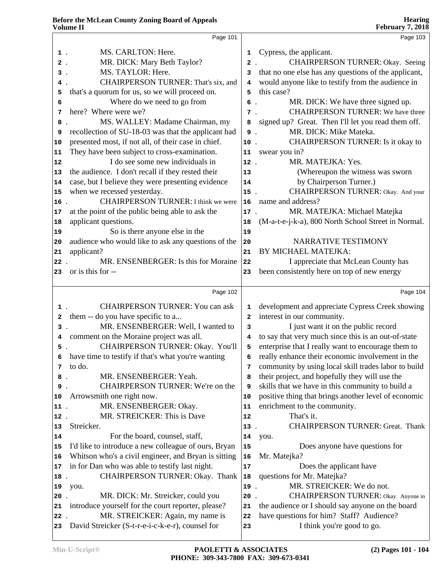|              | Page 101                                             |              | Page 103                                             |
|--------------|------------------------------------------------------|--------------|------------------------------------------------------|
| $1$ .        | MS. CARLTON: Here.                                   | 1            | Cypress, the applicant.                              |
| $2$ .        | MR. DICK: Mary Beth Taylor?                          | $\mathbf{2}$ | CHAIRPERSON TURNER: Okay. Seeing                     |
| 3.           | MS. TAYLOR: Here.                                    | 3            | that no one else has any questions of the applicant, |
| 4.           | <b>CHAIRPERSON TURNER: That's six, and</b>           | 4            | would anyone like to testify from the audience in    |
| 5            | that's a quorum for us, so we will proceed on.       | 5            | this case?                                           |
| 6            | Where do we need to go from                          | 6.           | MR. DICK: We have three signed up.                   |
| 7            | here? Where were we?                                 | $7$ .        | <b>CHAIRPERSON TURNER:</b> We have three             |
| 8            | MS. WALLEY: Madame Chairman, my                      | 8            | signed up? Great. Then I'll let you read them off.   |
| 9            | recollection of SU-18-03 was that the applicant had  | 9.           | MR. DICK: Mike Mateka.                               |
|              | presented most, if not all, of their case in chief.  | 10.          | CHAIRPERSON TURNER: Is it okay to                    |
| 10           |                                                      |              |                                                      |
| 11           | They have been subject to cross-examination.         | 11           | swear you in?                                        |
| 12           | I do see some new individuals in                     | $12$ .       | MR. MATEJKA: Yes.                                    |
| 13           | the audience. I don't recall if they rested their    | 13           | (Whereupon the witness was sworn                     |
| 14           | case, but I believe they were presenting evidence    | 14           | by Chairperson Turner.)                              |
| 15           | when we recessed yesterday.                          | 15.          | CHAIRPERSON TURNER: Okay. And your                   |
| 16.          | <b>CHAIRPERSON TURNER: I think we were</b>           | 16           | name and address?                                    |
| 17           | at the point of the public being able to ask the     | 17.          | MR. MATEJKA: Michael Matejka                         |
| 18           | applicant questions.                                 | 18           | (M-a-t-e-j-k-a), 800 North School Street in Normal.  |
| 19           | So is there anyone else in the                       | 19           |                                                      |
| 20           | audience who would like to ask any questions of the  | 20           | NARRATIVE TESTIMONY                                  |
| 21           | applicant?                                           | 21           | BY MICHAEL MATEJKA:                                  |
| $22$ .       | MR. ENSENBERGER: Is this for Moraine                 | 22           | I appreciate that McLean County has                  |
| 23           | or is this for --                                    | 23           | been consistently here on top of new energy          |
|              | Page 102                                             |              | Page 104                                             |
| $1$ .        | <b>CHAIRPERSON TURNER: You can ask</b>               | 1            | development and appreciate Cypress Creek showing     |
| $\mathbf{2}$ | them -- do you have specific to a                    | 2            | interest in our community.                           |
| $3$ .        | MR. ENSENBERGER: Well, I wanted to                   | 3            | I just want it on the public record                  |
| 4            | comment on the Moraine project was all.              | 4            | to say that very much since this is an out-of-state  |
| 5.           | CHAIRPERSON TURNER: Okay. You'll                     | 5            | enterprise that I really want to encourage them to   |
|              | 6 have time to testify if that's what you're wanting | 6            | really enhance their economic involvement in the     |
| 7            | to do.                                               | 7            | community by using local skill trades labor to build |
| 8.           | MR. ENSENBERGER: Yeah.                               | 8            | their project, and hopefully they will use the       |
| 9.           | CHAIRPERSON TURNER: We're on the                     | 9            | skills that we have in this community to build a     |
| 10           | Arrowsmith one right now.                            | 10           | positive thing that brings another level of economic |
| $11$ .       | MR. ENSENBERGER: Okay.                               | 11           | enrichment to the community.                         |
| 12.          | MR. STREICKER: This is Dave                          | 12           | That's it.                                           |
| 13           | Streicker.                                           | $13$ .       | <b>CHAIRPERSON TURNER: Great. Thank</b>              |
| 14           | For the board, counsel, staff,                       | 14           | you.                                                 |
| 15           | I'd like to introduce a new colleague of ours, Bryan | 15           | Does anyone have questions for                       |
| 16           | Whitson who's a civil engineer, and Bryan is sitting | 16           | Mr. Matejka?                                         |
| 17           | in for Dan who was able to testify last night.       | 17           | Does the applicant have                              |
| 18           | CHAIRPERSON TURNER: Okay. Thank                      | 18           | questions for Mr. Matejka?                           |
| 19           | you.                                                 | 19.          | MR. STREICKER: We do not.                            |
| $20$ .       | MR. DICK: Mr. Streicker, could you                   | 20           | CHAIRPERSON TURNER: Okay. Anyone in                  |
|              | introduce yourself for the court reporter, please?   | 21           | the audience or I should say anyone on the board     |
| 21           | MR. STREICKER: Again, my name is                     |              | have questions for him? Staff? Audience?             |
| 22           | David Streicker (S-t-r-e-i-c-k-e-r), counsel for     | 22           | I think you're good to go.                           |
| 23           |                                                      | 23           |                                                      |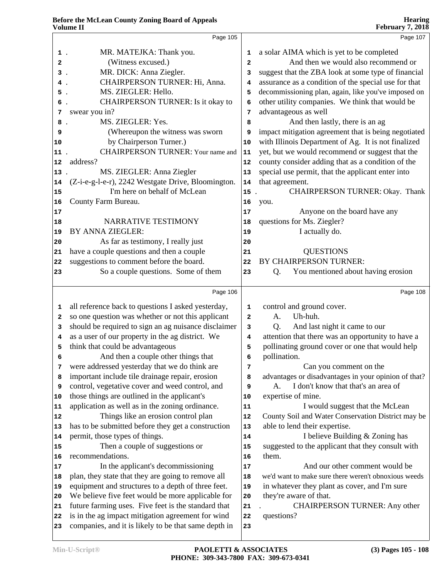|      | Page 105                                                                           |              | Page 107                                             |
|------|------------------------------------------------------------------------------------|--------------|------------------------------------------------------|
| 1.   | MR. MATEJKA: Thank you.                                                            | 1            | a solar AIMA which is yet to be completed            |
| 2    | (Witness excused.)                                                                 | $\mathbf{2}$ | And then we would also recommend or                  |
| з.   | MR. DICK: Anna Ziegler.                                                            | 3            | suggest that the ZBA look at some type of financial  |
| 4.   | CHAIRPERSON TURNER: Hi, Anna.                                                      | 4            | assurance as a condition of the special use for that |
| 5.   | MS. ZIEGLER: Hello.                                                                | 5            | decommissioning plan, again, like you've imposed on  |
| 6    | CHAIRPERSON TURNER: Is it okay to                                                  | 6            | other utility companies. We think that would be      |
| 7    | swear you in?                                                                      | 7            | advantageous as well                                 |
| 8    | MS. ZIEGLER: Yes.                                                                  | 8            | And then lastly, there is an ag                      |
| 9    | (Whereupon the witness was sworn                                                   | 9            | impact mitigation agreement that is being negotiated |
| 10   | by Chairperson Turner.)                                                            | 10           | with Illinois Department of Ag. It is not finalized  |
| 11   | <b>CHAIRPERSON TURNER: Your name and</b>                                           | 11           | yet, but we would recommend or suggest that the      |
| 12   | address?                                                                           | 12           | county consider adding that as a condition of the    |
|      | MS. ZIEGLER: Anna Ziegler                                                          |              | special use permit, that the applicant enter into    |
| 13.  |                                                                                    | 13           | that agreement.                                      |
| 14   | (Z-i-e-g-l-e-r), 2242 Westgate Drive, Bloomington.<br>I'm here on behalf of McLean | 14           | CHAIRPERSON TURNER: Okay. Thank                      |
| 15   |                                                                                    | 15           |                                                      |
| 16   | County Farm Bureau.                                                                | 16           | you.                                                 |
| 17   |                                                                                    | 17           | Anyone on the board have any                         |
| 18   | NARRATIVE TESTIMONY<br>BY ANNA ZIEGLER:                                            | 18           | questions for Ms. Ziegler?<br>I actually do.         |
| 19   |                                                                                    | 19           |                                                      |
| 20   | As far as testimony, I really just                                                 | 20           |                                                      |
| 21   | have a couple questions and then a couple                                          | 21           | <b>QUESTIONS</b><br>BY CHAIRPERSON TURNER:           |
| 22   | suggestions to comment before the board.                                           | 22           |                                                      |
| 23   | So a couple questions. Some of them                                                | 23           | You mentioned about having erosion<br>Q.             |
|      | Page 106                                                                           |              | Page 108                                             |
| 1    | all reference back to questions I asked yesterday,                                 | 1            | control and ground cover.                            |
| 2    | so one question was whether or not this applicant                                  | $\mathbf{2}$ | Uh-huh.<br>A.                                        |
| 3    | should be required to sign an ag nuisance disclaimer                               | 3            | And last night it came to our<br>Q.                  |
| 4    | as a user of our property in the ag district. We                                   | 4            | attention that there was an opportunity to have a    |
| 5    | think that could be advantageous                                                   | 5            | pollinating ground cover or one that would help      |
| 6    | And then a couple other things that                                                | 6            | pollination.                                         |
| 7    | were addressed yesterday that we do think are                                      | 7            | Can you comment on the                               |
| 8    | important include tile drainage repair, erosion                                    | 8            | advantages or disadvantages in your opinion of that? |
| 9    | control, vegetative cover and weed control, and                                    | 9            | I don't know that that's an area of<br>А.            |
| 10   | those things are outlined in the applicant's                                       | 10           | expertise of mine.                                   |
| 11   | application as well as in the zoning ordinance.                                    | 11           | I would suggest that the McLean                      |
| 12   | Things like an erosion control plan                                                | 12           | County Soil and Water Conservation District may be   |
| 13   | has to be submitted before they get a construction                                 | 13           | able to lend their expertise.                        |
| 14   | permit, those types of things.                                                     | 14           | I believe Building & Zoning has                      |
| 15   | Then a couple of suggestions or                                                    | 15           | suggested to the applicant that they consult with    |
| 16   | recommendations.                                                                   | 16           | them.                                                |
| $17$ | In the applicant's decommissioning                                                 | 17           | And our other comment would be                       |
| 18   | plan, they state that they are going to remove all                                 | 18           | we'd want to make sure there weren't obnoxious weeds |
| 19   | equipment and structures to a depth of three feet.                                 | 19           | in whatever they plant as cover, and I'm sure        |
| 20   | We believe five feet would be more applicable for                                  | 20           | they're aware of that.                               |
| 21   | future farming uses. Five feet is the standard that                                | 21           | <b>CHAIRPERSON TURNER: Any other</b>                 |
| 22   | is in the ag impact mitigation agreement for wind                                  | 22           | questions?                                           |
| 23   | companies, and it is likely to be that same depth in                               | 23           |                                                      |
|      |                                                                                    |              |                                                      |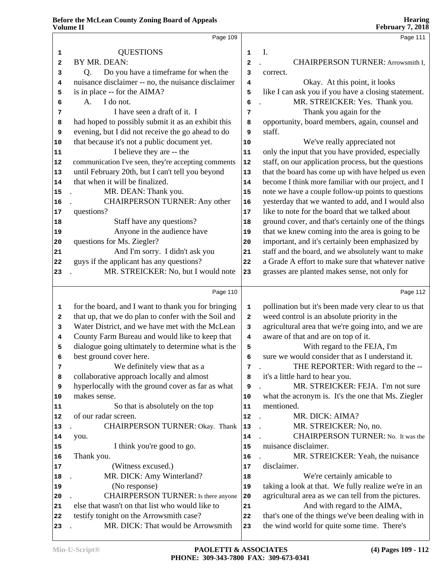|    | Page 109                                               |                | Page 111                                             |
|----|--------------------------------------------------------|----------------|------------------------------------------------------|
| 1  | <b>QUESTIONS</b>                                       | $\mathbf 1$    | I.                                                   |
| 2  | BY MR. DEAN:                                           | $\overline{a}$ | CHAIRPERSON TURNER: Arrowsmith I,                    |
| 3  | Do you have a timeframe for when the<br>Q <sub>r</sub> | 3              | correct.                                             |
| 4  | nuisance disclaimer -- no, the nuisance disclaimer     | 4              | Okay. At this point, it looks                        |
| 5  | is in place -- for the AIMA?                           | 5              | like I can ask you if you have a closing statement.  |
| 6  | I do not.<br>A.                                        | 6              | MR. STREICKER: Yes. Thank you.                       |
| 7  | I have seen a draft of it. I                           | 7              | Thank you again for the                              |
| 8  | had hoped to possibly submit it as an exhibit this     | 8              | opportunity, board members, again, counsel and       |
| 9  | evening, but I did not receive the go ahead to do      | 9              | staff.                                               |
| 10 | that because it's not a public document yet.           | $10$           | We've really appreciated not                         |
| 11 | I believe they are -- the                              | $\bf 11$       | only the input that you have provided, especially    |
| 12 | communication I've seen, they're accepting comments    | ${\bf 12}$     | staff, on our application process, but the questions |
| 13 | until February 20th, but I can't tell you beyond       | 13             | that the board has come up with have helped us even  |
| 14 | that when it will be finalized.                        | 14             | become I think more familiar with our project, and I |
| 15 | MR. DEAN: Thank you.                                   | 15             | note we have a couple follow-up points to questions  |
| 16 | <b>CHAIRPERSON TURNER: Any other</b>                   | 16             | yesterday that we wanted to add, and I would also    |
| 17 | questions?                                             | 17             | like to note for the board that we talked about      |
| 18 | Staff have any questions?                              | 18             | ground cover, and that's certainly one of the things |
| 19 | Anyone in the audience have                            | 19             | that we knew coming into the area is going to be     |
| 20 | questions for Ms. Ziegler?                             | 20             | important, and it's certainly been emphasized by     |
| 21 | And I'm sorry. I didn't ask you                        | 21             | staff and the board, and we absolutely want to make  |
| 22 | guys if the applicant has any questions?               | 22             | a Grade A effort to make sure that whatever native   |
| 23 | MR. STREICKER: No, but I would note                    | 23             | grasses are planted makes sense, not only for        |
|    |                                                        |                |                                                      |
|    | Page 110                                               |                | Page 112                                             |
| 1  | for the board, and I want to thank you for bringing    | $\mathbf 1$    | pollination but it's been made very clear to us that |
| 2  | that up, that we do plan to confer with the Soil and   | 2              | weed control is an absolute priority in the          |
| 3  | Water District, and we have met with the McLean        | 3              | agricultural area that we're going into, and we are  |
| 4  | County Farm Bureau and would like to keep that         | 4              | aware of that and are on top of it.                  |
| 5  | dialogue going ultimately to determine what is the     | 5              | With regard to the FEJA, I'm                         |
|    | best ground cover here.                                | 6              | sure we would consider that as I understand it.      |
| 7  | We definitely view that as a                           | 7              | THE REPORTER: With regard to the --                  |
| 8  | collaborative approach locally and almost              | 8              | it's a little hard to hear you.                      |
| 9  | hyperlocally with the ground cover as far as what      | 9              | MR. STREICKER: FEJA. I'm not sure                    |
| 10 | makes sense.                                           | 10             | what the acronym is. It's the one that Ms. Ziegler   |
| 11 | So that is absolutely on the top                       | 11             | mentioned.                                           |
| 12 | of our radar screen.                                   | 12             | MR. DICK: AIMA?                                      |
| 13 | CHAIRPERSON TURNER: Okay. Thank                        | 13             | MR. STREICKER: No, no.                               |
| 14 | you.                                                   | 14             | CHAIRPERSON TURNER: No. It was the                   |
| 15 | I think you're good to go.                             | 15             | nuisance disclaimer.                                 |
| 16 | Thank you.                                             | 16             | MR. STREICKER: Yeah, the nuisance                    |
| 17 | (Witness excused.)                                     | 17             | disclaimer.                                          |
| 18 | MR. DICK: Amy Winterland?                              | 18             | We're certainly amicable to                          |
| 19 | (No response)                                          | 19             | taking a look at that. We fully realize we're in an  |
| 20 | CHAIRPERSON TURNER: Is there anyone                    | 20             | agricultural area as we can tell from the pictures.  |
| 21 | else that wasn't on that list who would like to        | 21             | And with regard to the AIMA,                         |
| 22 | testify tonight on the Arrowsmith case?                | 22             | that's one of the things we've been dealing with in  |
| 23 | MR. DICK: That would be Arrowsmith                     | 23             | the wind world for quite some time. There's          |
|    |                                                        |                |                                                      |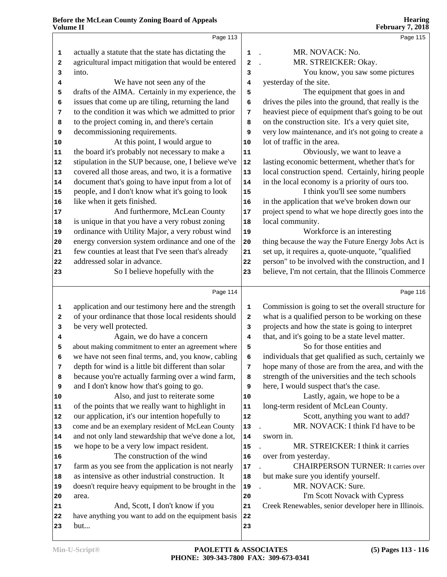|    |                                                      |            | $1 \text{ cm}$ and $1 \text{ cm}$                    |
|----|------------------------------------------------------|------------|------------------------------------------------------|
|    | Page 113                                             |            | Page 115                                             |
| 1  | actually a statute that the state has dictating the  | $1$ .      | MR. NOVACK: No.                                      |
| 2  | agricultural impact mitigation that would be entered | 2          | MR. STREICKER: Okay.<br>$\ddot{\phantom{a}}$         |
| 3  | into.                                                | 3          | You know, you saw some pictures                      |
| 4  | We have not seen any of the                          | 4          | yesterday of the site.                               |
| 5  | drafts of the AIMA. Certainly in my experience, the  | 5          | The equipment that goes in and                       |
| 6  | issues that come up are tiling, returning the land   | 6          | drives the piles into the ground, that really is the |
| 7  | to the condition it was which we admitted to prior   | 7          | heaviest piece of equipment that's going to be out   |
| 8  | to the project coming in, and there's certain        | 8          | on the construction site. It's a very quiet site,    |
| 9  | decommissioning requirements.                        | 9          | very low maintenance, and it's not going to create a |
| 10 | At this point, I would argue to                      | 10         | lot of traffic in the area.                          |
| 11 | the board it's probably not necessary to make a      | 11         | Obviously, we want to leave a                        |
| 12 | stipulation in the SUP because, one, I believe we've | ${\bf 12}$ | lasting economic betterment, whether that's for      |
| 13 | covered all those areas, and two, it is a formative  | $13$       | local construction spend. Certainly, hiring people   |
| 14 | document that's going to have input from a lot of    | ${\bf 14}$ | in the local economy is a priority of ours too.      |
| 15 | people, and I don't know what it's going to look     | 15         | I think you'll see some numbers                      |
| 16 | like when it gets finished.                          | 16         | in the application that we've broken down our        |
| 17 | And furthermore, McLean County                       | 17         | project spend to what we hope directly goes into the |
| 18 | is unique in that you have a very robust zoning      | 18         | local community.                                     |
| 19 | ordinance with Utility Major, a very robust wind     | 19         | Workforce is an interesting                          |
| 20 | energy conversion system ordinance and one of the    | ${\bf 20}$ | thing because the way the Future Energy Jobs Act is  |
| 21 | few counties at least that I've seen that's already  | 21         | set up, it requires a, quote-unquote, "qualified     |
| 22 | addressed solar in advance.                          | 22         | person" to be involved with the construction, and I  |
| 23 | So I believe hopefully with the                      | 23         | believe, I'm not certain, that the Illinois Commerce |
|    |                                                      |            |                                                      |
|    | Page 114                                             |            | Page 116                                             |
| 1  | application and our testimony here and the strength  | 1          | Commission is going to set the overall structure for |
| 2  | of your ordinance that those local residents should  | 2          | what is a qualified person to be working on these    |
| 3  | be very well protected.                              | 3          | projects and how the state is going to interpret     |
| 4  | Again, we do have a concern                          | 4          | that, and it's going to be a state level matter.     |
| 5  | about making commitment to enter an agreement where  | 5          | So for those entities and                            |
| 6  | we have not seen final terms, and, you know, cabling | 6          | individuals that get qualified as such, certainly we |
| 7  | depth for wind is a little bit different than solar  | 7          | hope many of those are from the area, and with the   |
| 8  | because you're actually farming over a wind farm,    | 8          | strength of the universities and the tech schools    |
| 9  | and I don't know how that's going to go.             | 9          | here, I would suspect that's the case.               |
| 10 | Also, and just to reiterate some                     | 10         | Lastly, again, we hope to be a                       |
| 11 | of the points that we really want to highlight in    | 11         | long-term resident of McLean County.                 |
| 12 | our application, it's our intention hopefully to     | 12         | Scott, anything you want to add?                     |
| 13 | come and be an exemplary resident of McLean County   | 13         | MR. NOVACK: I think I'd have to be                   |
| 14 | and not only land stewardship that we've done a lot, | 14         | sworn in.                                            |
| 15 | we hope to be a very low impact resident.            | 15         | MR. STREICKER: I think it carries                    |
| 16 | The construction of the wind                         | 16         | over from yesterday.                                 |
| 17 | farm as you see from the application is not nearly   | 17         | <b>CHAIRPERSON TURNER: It carries over</b>           |
| 18 | as intensive as other industrial construction. It    | 18         | but make sure you identify yourself.                 |
| 19 | doesn't require heavy equipment to be brought in the | 19         | MR. NOVACK: Sure.                                    |
| 20 | area.                                                | 20         | I'm Scott Novack with Cypress                        |
| 21 | And, Scott, I don't know if you                      | 21         | Creek Renewables, senior developer here in Illinois. |
| 22 | have anything you want to add on the equipment basis | 22         |                                                      |
| 23 | but                                                  | 23         |                                                      |
|    |                                                      |            |                                                      |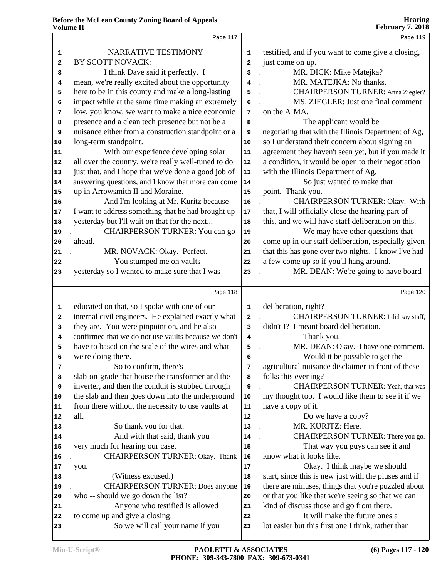|    | Page 117                                             |                         | Page 119                                             |
|----|------------------------------------------------------|-------------------------|------------------------------------------------------|
| 1  | NARRATIVE TESTIMONY                                  | 1                       | testified, and if you want to come give a closing,   |
| 2  | BY SCOTT NOVACK:                                     | $\overline{\mathbf{2}}$ | just come on up.                                     |
| 3  | I think Dave said it perfectly. I                    | 3                       | MR. DICK: Mike Matejka?                              |
| 4  | mean, we're really excited about the opportunity     | 4                       | MR. MATEJKA: No thanks.                              |
| 5  | here to be in this county and make a long-lasting    | 5                       | CHAIRPERSON TURNER: Anna Ziegler?                    |
| 6  | impact while at the same time making an extremely    | 6                       | MS. ZIEGLER: Just one final comment                  |
| 7  | low, you know, we want to make a nice economic       | 7                       | on the AIMA.                                         |
| 8  | presence and a clean tech presence but not be a      | 8                       | The applicant would be                               |
| 9  | nuisance either from a construction standpoint or a  | 9                       | negotiating that with the Illinois Department of Ag, |
| 10 | long-term standpoint.                                | $10$                    | so I understand their concern about signing an       |
| 11 | With our experience developing solar                 | 11                      | agreement they haven't seen yet, but if you made it  |
| 12 | all over the country, we're really well-tuned to do  | 12                      | a condition, it would be open to their negotiation   |
|    | just that, and I hope that we've done a good job of  |                         | with the Illinois Department of Ag.                  |
| 13 | answering questions, and I know that more can come   | 13                      |                                                      |
| 14 |                                                      | 14                      | So just wanted to make that                          |
| 15 | up in Arrowsmith II and Moraine.                     | 15                      | point. Thank you.                                    |
| 16 | And I'm looking at Mr. Kuritz because                | 16                      | CHAIRPERSON TURNER: Okay. With                       |
| 17 | I want to address something that he had brought up   | 17                      | that, I will officially close the hearing part of    |
| 18 | yesterday but I'll wait on that for the next         | 18                      | this, and we will have staff deliberation on this.   |
| 19 | CHAIRPERSON TURNER: You can go                       | 19                      | We may have other questions that                     |
| 20 | ahead.                                               | 20                      | come up in our staff deliberation, especially given  |
| 21 | MR. NOVACK: Okay. Perfect.                           | 21                      | that this has gone over two nights. I know I've had  |
| 22 | You stumped me on vaults                             | 22                      | a few come up so if you'll hang around.              |
| 23 | yesterday so I wanted to make sure that I was        | 23                      | MR. DEAN: We're going to have board                  |
|    | Page 118                                             |                         | Page 120                                             |
| 1  | educated on that, so I spoke with one of our         | 1                       | deliberation, right?                                 |
| 2  | internal civil engineers. He explained exactly what  | 2                       | CHAIRPERSON TURNER: I did say staff,                 |
| 3  | they are. You were pinpoint on, and he also          | 3                       | didn't I? I meant board deliberation.                |
| 4  | confirmed that we do not use vaults because we don't | 4                       | Thank you.                                           |
| 5  | have to based on the scale of the wires and what     | 5                       | MR. DEAN: Okay. I have one comment.                  |
| 6  | we're doing there.                                   | 6                       | Would it be possible to get the                      |
| 7  | So to confirm, there's                               | 7                       | agricultural nuisance disclaimer in front of these   |
| 8  | slab-on-grade that house the transformer and the     | 8                       | folks this evening?                                  |
| 9  | inverter, and then the conduit is stubbed through    | 9                       | CHAIRPERSON TURNER: Yeah, that was                   |
| 10 | the slab and then goes down into the underground     | 10                      | my thought too. I would like them to see it if we    |
| 11 | from there without the necessity to use vaults at    | ${\bf 11}$              | have a copy of it.                                   |
| 12 | all.                                                 | 12                      | Do we have a copy?                                   |
| 13 | So thank you for that.                               | $13$                    | MR. KURITZ: Here.                                    |
| 14 | And with that said, thank you                        | 14                      | CHAIRPERSON TURNER: There you go.                    |
| 15 | very much for hearing our case.                      | 15                      | That way you guys can see it and                     |
|    | <b>CHAIRPERSON TURNER: Okay. Thank</b>               | 16                      | know what it looks like.                             |
| 16 |                                                      | 17                      | Okay. I think maybe we should                        |
| 17 | you.                                                 |                         | start, since this is new just with the pluses and if |
| 18 | (Witness excused.)                                   | 18                      |                                                      |
| 19 | <b>CHAIRPERSON TURNER: Does anyone</b>               | 19                      | there are minuses, things that you're puzzled about  |
| 20 | who -- should we go down the list?                   | 20                      | or that you like that we're seeing so that we can    |
| 21 | Anyone who testified is allowed                      | 21                      | kind of discuss those and go from there.             |
| 22 | to come up and give a closing.                       | 22                      | It will make the future ones a                       |
| 23 | So we will call your name if you                     | 23                      | lot easier but this first one I think, rather than   |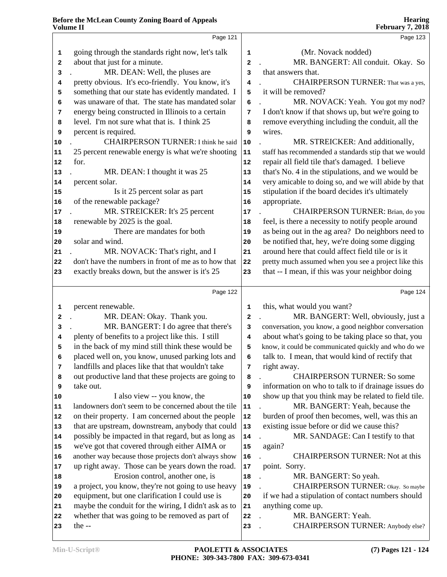|                            | Page 121                                                                                                |                         | Page 123                                                                                                                                                                        |
|----------------------------|---------------------------------------------------------------------------------------------------------|-------------------------|---------------------------------------------------------------------------------------------------------------------------------------------------------------------------------|
| 1                          | going through the standards right now, let's talk                                                       | 1                       | (Mr. Novack nodded)                                                                                                                                                             |
| 2                          | about that just for a minute.                                                                           | $\overline{\mathbf{c}}$ | MR. BANGERT: All conduit. Okay. So                                                                                                                                              |
| 3                          | MR. DEAN: Well, the pluses are                                                                          | 3                       | that answers that.                                                                                                                                                              |
| 4                          | pretty obvious. It's eco-friendly. You know, it's                                                       | 4                       | CHAIRPERSON TURNER: That was a yes,                                                                                                                                             |
| 5                          | something that our state has evidently mandated. I                                                      | 5                       | it will be removed?                                                                                                                                                             |
| 6                          | was unaware of that. The state has mandated solar                                                       | 6                       | MR. NOVACK: Yeah. You got my nod?                                                                                                                                               |
| 7                          | energy being constructed in Illinois to a certain                                                       | 7                       | I don't know if that shows up, but we're going to                                                                                                                               |
| 8                          | level. I'm not sure what that is. I think 25                                                            | 8                       | remove everything including the conduit, all the                                                                                                                                |
| 9                          | percent is required.                                                                                    | 9                       | wires.                                                                                                                                                                          |
| 10                         | <b>CHAIRPERSON TURNER: I think he said</b>                                                              | $10$                    | MR. STREICKER: And additionally,                                                                                                                                                |
| 11                         | 25 percent renewable energy is what we're shooting                                                      | ${\bf 11}$              | staff has recommended a standards stip that we would                                                                                                                            |
| 12                         | for.                                                                                                    | 12                      | repair all field tile that's damaged. I believe                                                                                                                                 |
| 13                         | MR. DEAN: I thought it was 25                                                                           | 13                      | that's No. 4 in the stipulations, and we would be                                                                                                                               |
| 14                         | percent solar.                                                                                          | 14                      | very amicable to doing so, and we will abide by that                                                                                                                            |
| 15                         | Is it 25 percent solar as part                                                                          | 15                      | stipulation if the board decides it's ultimately                                                                                                                                |
| 16                         | of the renewable package?                                                                               | 16                      | appropriate.                                                                                                                                                                    |
| 17                         | MR. STREICKER: It's 25 percent                                                                          | $17$                    | CHAIRPERSON TURNER: Brian, do you                                                                                                                                               |
| 18                         | renewable by 2025 is the goal.                                                                          | 18                      | feel, is there a necessity to notify people around                                                                                                                              |
| 19                         | There are mandates for both                                                                             | 19                      | as being out in the ag area? Do neighbors need to                                                                                                                               |
| 20                         | solar and wind.                                                                                         | 20                      | be notified that, hey, we're doing some digging                                                                                                                                 |
| 21                         | MR. NOVACK: That's right, and I                                                                         | 21                      | around here that could affect field tile or is it                                                                                                                               |
| 22                         | don't have the numbers in front of me as to how that                                                    | 22                      | pretty much assumed when you see a project like this                                                                                                                            |
| 23                         | exactly breaks down, but the answer is it's 25                                                          | 23                      | that -- I mean, if this was your neighbor doing                                                                                                                                 |
|                            |                                                                                                         |                         |                                                                                                                                                                                 |
|                            | Page 122                                                                                                |                         |                                                                                                                                                                                 |
|                            |                                                                                                         |                         |                                                                                                                                                                                 |
| 1                          | percent renewable.                                                                                      | $\mathbf{1}$            | this, what would you want?                                                                                                                                                      |
| 2                          | MR. DEAN: Okay. Thank you.                                                                              | $\overline{a}$          |                                                                                                                                                                                 |
| 3                          | MR. BANGERT: I do agree that there's                                                                    | 3                       |                                                                                                                                                                                 |
| 4                          | plenty of benefits to a project like this. I still                                                      | 4                       | about what's going to be taking place so that, you                                                                                                                              |
| 5                          | in the back of my mind still think these would be                                                       | 5                       |                                                                                                                                                                                 |
| 6                          | placed well on, you know, unused parking lots and                                                       | 6                       | talk to. I mean, that would kind of rectify that                                                                                                                                |
| 7                          | landfills and places like that that wouldn't take                                                       | 7                       | Page 124<br>MR. BANGERT: Well, obviously, just a<br>conversation, you know, a good neighbor conversation<br>know, it could be communicated quickly and who do we<br>right away. |
| 8                          | out productive land that these projects are going to                                                    | 8                       | <b>CHAIRPERSON TURNER: So some</b>                                                                                                                                              |
| 9                          | take out.                                                                                               | 9                       |                                                                                                                                                                                 |
| 10                         | I also view -- you know, the                                                                            | 10                      |                                                                                                                                                                                 |
| 11                         | landowners don't seem to be concerned about the tile                                                    | 11                      | MR. BANGERT: Yeah, because the                                                                                                                                                  |
|                            | on their property. I am concerned about the people                                                      | 12                      | burden of proof then becomes, well, was this an                                                                                                                                 |
|                            | that are upstream, downstream, anybody that could                                                       | 13                      | show up that you think may be related to field tile.<br>existing issue before or did we cause this?                                                                             |
|                            | possibly be impacted in that regard, but as long as                                                     | 14                      | MR. SANDAGE: Can I testify to that                                                                                                                                              |
|                            | we've got that covered through either AIMA or                                                           | 15                      | information on who to talk to if drainage issues do<br>again?                                                                                                                   |
| 16                         | another way because those projects don't always show                                                    | 16                      | <b>CHAIRPERSON TURNER: Not at this</b>                                                                                                                                          |
| 12<br>13<br>14<br>15<br>17 | up right away. Those can be years down the road.                                                        | ${\bf 17}$              | point. Sorry.                                                                                                                                                                   |
| 18                         | Erosion control, another one, is                                                                        | 18                      | MR. BANGERT: So yeah.                                                                                                                                                           |
| 19                         | a project, you know, they're not going to use heavy                                                     | 19                      | CHAIRPERSON TURNER: Okay. So maybe                                                                                                                                              |
| 20                         | equipment, but one clarification I could use is                                                         | 20                      | if we had a stipulation of contact numbers should                                                                                                                               |
| 21<br>22                   | maybe the conduit for the wiring, I didn't ask as to<br>whether that was going to be removed as part of | 21<br>${\bf 22}$        | anything come up.<br>MR. BANGERT: Yeah.                                                                                                                                         |

 . MR. BANGERT: Yeah. . CHAIRPERSON TURNER: Anybody else?

the --

# **Hearing**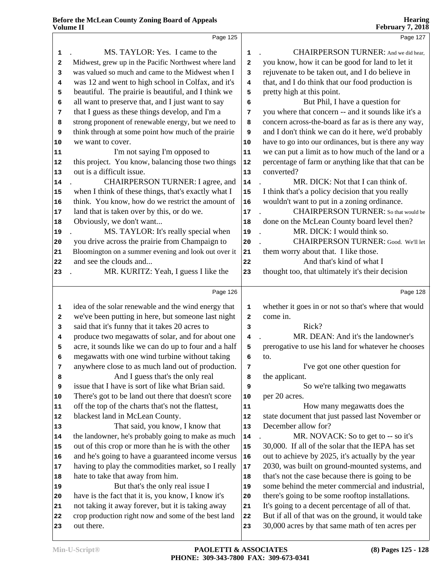|    | Page 125                                             |                         | Page 127                                             |
|----|------------------------------------------------------|-------------------------|------------------------------------------------------|
| 1  | MS. TAYLOR: Yes. I came to the                       | 1                       | CHAIRPERSON TURNER: And we did hear,                 |
| 2  | Midwest, grew up in the Pacific Northwest where land | $\overline{\mathbf{2}}$ | you know, how it can be good for land to let it      |
| 3  | was valued so much and came to the Midwest when I    | 3                       | rejuvenate to be taken out, and I do believe in      |
| 4  | was 12 and went to high school in Colfax, and it's   | 4                       | that, and I do think that our food production is     |
| 5  | beautiful. The prairie is beautiful, and I think we  | 5                       | pretty high at this point.                           |
| 6  | all want to preserve that, and I just want to say    | 6                       | But Phil, I have a question for                      |
| 7  | that I guess as these things develop, and I'm a      | 7                       | you where that concern -- and it sounds like it's a  |
| 8  | strong proponent of renewable energy, but we need to | 8                       | concern across-the-board as far as is there any way, |
| 9  | think through at some point how much of the prairie  | 9                       | and I don't think we can do it here, we'd probably   |
| 10 | we want to cover.                                    | 10                      | have to go into our ordinances, but is there any way |
| 11 | I'm not saying I'm opposed to                        | ${\bf 11}$              | we can put a limit as to how much of the land or a   |
| 12 | this project. You know, balancing those two things   | 12                      | percentage of farm or anything like that that can be |
| 13 | out is a difficult issue.                            | 13                      | converted?                                           |
| 14 | CHAIRPERSON TURNER: I agree, and                     | 14                      | MR. DICK: Not that I can think of.                   |
| 15 | when I think of these things, that's exactly what I  | 15                      | I think that's a policy decision that you really     |
| 16 | think. You know, how do we restrict the amount of    | 16                      | wouldn't want to put in a zoning ordinance.          |
| 17 | land that is taken over by this, or do we.           | 17                      | <b>CHAIRPERSON TURNER:</b> So that would be          |
| 18 | Obviously, we don't want                             | 18                      | done on the McLean County board level then?          |
| 19 | MS. TAYLOR: It's really special when                 | 19                      | MR. DICK: I would think so.                          |
| 20 | you drive across the prairie from Champaign to       | 20                      | CHAIRPERSON TURNER: Good. We'll let                  |
| 21 | Bloomington on a summer evening and look out over it | 21                      | them worry about that. I like those.                 |
| 22 | and see the clouds and                               | 22                      | And that's kind of what I                            |
| 23 | MR. KURITZ: Yeah, I guess I like the                 | 23                      | thought too, that ultimately it's their decision     |
|    | Page 126                                             |                         | Page 128                                             |
| 1  | idea of the solar renewable and the wind energy that | 1                       | whether it goes in or not so that's where that would |
| 2  | we've been putting in here, but someone last night   | $\mathbf{2}$            | come in.                                             |
| 3  | said that it's funny that it takes 20 acres to       | 3                       | Rick?                                                |
| 4  | produce two megawatts of solar, and for about one    | 4                       | MR. DEAN: And it's the landowner's                   |
| 5  | acre, it sounds like we can do up to four and a half | 5                       | prerogative to use his land for whatever he chooses  |
|    | megawatts with one wind turbine without taking       | 6                       | to.                                                  |
| 7  | anywhere close to as much land out of production.    | 7                       | I've got one other question for                      |
| 8  | And I guess that's the only real                     | 8                       | the applicant.                                       |
| 9  | issue that I have is sort of like what Brian said.   | 9                       | So we're talking two megawatts                       |
| 10 | There's got to be land out there that doesn't score  | 10                      | per 20 acres.                                        |
| 11 | off the top of the charts that's not the flattest,   | 11                      | How many megawatts does the                          |
| 12 | blackest land in McLean County.                      | 12                      | state document that just passed last November or     |
| 13 | That said, you know, I know that                     | 13                      | December allow for?                                  |
| 14 | the landowner, he's probably going to make as much   | ${\bf 14}$              | MR. NOVACK: So to get to -- so it's                  |
| 15 | out of this crop or more than he is with the other   | 15                      | 30,000. If all of the solar that the IEPA has set    |
| 16 | and he's going to have a guaranteed income versus    | 16                      | out to achieve by 2025, it's actually by the year    |
| 17 | having to play the commodities market, so I really   | 17                      | 2030, was built on ground-mounted systems, and       |
| 18 | hate to take that away from him.                     | 18                      | that's not the case because there is going to be     |
| 19 | But that's the only real issue I                     | 19                      | some behind the meter commercial and industrial,     |
| 20 | have is the fact that it is, you know, I know it's   | 20                      | there's going to be some rooftop installations.      |
| 21 | not taking it away forever, but it is taking away    | 21                      | It's going to a decent percentage of all of that.    |
| 22 | crop production right now and some of the best land  | 22                      | But if all of that was on the ground, it would take  |
| 23 | out there.                                           | 23                      | 30,000 acres by that same math of ten acres per      |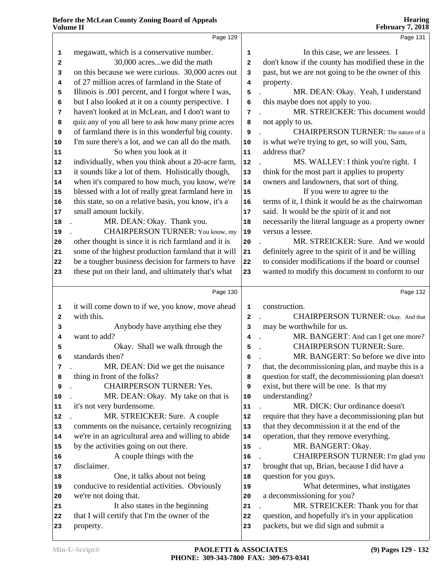|              | Page 129                                             |                         | Page 131                                             |
|--------------|------------------------------------------------------|-------------------------|------------------------------------------------------|
| $\mathbf{1}$ | megawatt, which is a conservative number.            | 1                       | In this case, we are lessees. I                      |
| 2            | 30,000 acreswe did the math                          | $\mathbf{2}$            | don't know if the county has modified these in the   |
| 3            | on this because we were curious. 30,000 acres out    | 3                       | past, but we are not going to be the owner of this   |
| 4            | of 27 million acres of farmland in the State of      | 4                       | property.                                            |
| 5            | Illinois is .001 percent, and I forgot where I was,  | 5                       | MR. DEAN: Okay. Yeah, I understand                   |
| 6            | but I also looked at it on a county perspective. I   | 6                       | this maybe does not apply to you.                    |
| 7            | haven't looked at in McLean, and I don't want to     | 7                       | MR. STREICKER: This document would                   |
| 8            | quiz any of you all here to ask how many prime acres | 8                       | not apply to us.                                     |
| 9            | of farmland there is in this wonderful big county.   | 9                       | <b>CHAIRPERSON TURNER:</b> The nature of it          |
| 10           | I'm sure there's a lot, and we can all do the math.  | 10                      | is what we're trying to get, so will you, Sam,       |
| 11           | So when you look at it                               | 11                      | address that?                                        |
| 12           | individually, when you think about a 20-acre farm,   | 12                      | MS. WALLEY: I think you're right. I                  |
| 13           | it sounds like a lot of them. Holistically though,   | 13                      | think for the most part it applies to property       |
| 14           | when it's compared to how much, you know, we're      | 14                      | owners and landowners, that sort of thing.           |
| 15           | blessed with a lot of really great farmland here in  | ${\bf 15}$              | If you were to agree to the                          |
| 16           | this state, so on a relative basis, you know, it's a | 16                      | terms of it, I think it would be as the chairwoman   |
| 17           | small amount luckily.                                | 17                      | said. It would be the spirit of it and not           |
| 18           | MR. DEAN: Okay. Thank you.                           | 18                      | necessarily the literal language as a property owner |
| 19           | CHAIRPERSON TURNER: You know, my                     | 19                      | versus a lessee.                                     |
| 20           | other thought is since it is rich farmland and it is | 20                      | MR. STREICKER: Sure. And we would                    |
| 21           | some of the highest production farmland that it will | 21                      | definitely agree to the spirit of it and be willing  |
| 22           | be a tougher business decision for farmers to have   | ${\bf 22}$              | to consider modifications if the board or counsel    |
| 23           | these put on their land, and ultimately that's what  | 23                      | wanted to modify this document to conform to our     |
|              | Page 130                                             |                         | Page 132                                             |
| $\mathbf 1$  | it will come down to if we, you know, move ahead     | $\mathbf{1}$            | construction.                                        |
| 2            | with this.                                           | $\overline{\mathbf{2}}$ | CHAIRPERSON TURNER: Okay. And that                   |
| 3            | Anybody have anything else they                      | 3                       | may be worthwhile for us.                            |
| 4            | want to add?                                         | 4                       | MR. BANGERT: And can I get one more?                 |
| 5            | Okay. Shall we walk through the                      | 5                       | <b>CHAIRPERSON TURNER: Sure.</b>                     |
| 6            | standards then?                                      | 6                       | MR. BANGERT: So before we dive into                  |
| 7            | MR. DEAN: Did we get the nuisance                    | 7                       | that, the decommissioning plan, and maybe this is a  |
| 8            | thing in front of the folks?                         | 8                       | question for staff, the decommissioning plan doesn't |
| 9            | <b>CHAIRPERSON TURNER: Yes.</b>                      | 9                       | exist, but there will be one. Is that my             |
| 10           | MR. DEAN: Okay. My take on that is                   | 10                      | understanding?                                       |
| 11           | it's not very burdensome.                            | 11                      | MR. DICK: Our ordinance doesn't                      |
| 12           | MR. STREICKER: Sure. A couple                        | 12                      | require that they have a decommissioning plan but    |
| 13           | comments on the nuisance, certainly recognizing      | 13                      | that they decommission it at the end of the          |
| 14           | we're in an agricultural area and willing to abide   | 14                      | operation, that they remove everything.              |
| 15           | by the activities going on out there.                | 15                      | MR. BANGERT: Okay.                                   |
| 16           | A couple things with the                             | 16                      | CHAIRPERSON TURNER: I'm glad you                     |
| 17           | disclaimer.                                          | 17                      | brought that up, Brian, because I did have a         |
| 18           |                                                      |                         | question for you guys.                               |
|              | One, it talks about not being                        | 18                      |                                                      |
| 19           | conducive to residential activities. Obviously       | 19                      | What determines, what instigates                     |
| 20           | we're not doing that.                                | 20                      | a decommissioning for you?                           |
| 21           | It also states in the beginning                      | 21                      | MR. STREICKER: Thank you for that                    |

property.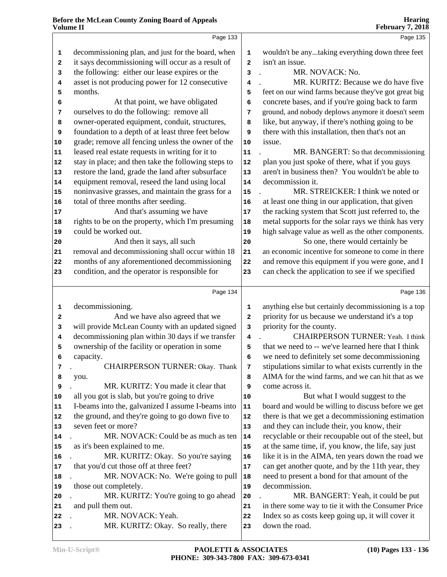|    | Volume II                                           |              | <b>February 7, 2018</b>                              |
|----|-----------------------------------------------------|--------------|------------------------------------------------------|
|    | Page 133                                            |              | Page 135                                             |
| 1  | decommissioning plan, and just for the board, when  | 1            | wouldn't be anytaking everything down three feet     |
| 2  | it says decommissioning will occur as a result of   | $\mathbf{2}$ | isn't an issue.                                      |
| 3  | the following: either our lease expires or the      | 3            | MR. NOVACK: No.                                      |
| 4  | asset is not producing power for 12 consecutive     | 4            | MR. KURITZ: Because we do have five                  |
| 5  | months.                                             | 5            | feet on our wind farms because they've got great big |
| 6  | At that point, we have obligated                    | 6            | concrete bases, and if you're going back to farm     |
| 7  | ourselves to do the following: remove all           | 7            | ground, and nobody deplows anymore it doesn't seem   |
| 8  | owner-operated equipment, conduit, structures,      | 8            | like, but anyway, if there's nothing going to be     |
| 9  | foundation to a depth of at least three feet below  | 9            | there with this installation, then that's not an     |
| 10 | grade; remove all fencing unless the owner of the   | 10           | issue.                                               |
| 11 | leased real estate requests in writing for it to    | 11           | MR. BANGERT: So that decommissioning                 |
| 12 | stay in place; and then take the following steps to | 12           | plan you just spoke of there, what if you guys       |
| 13 | restore the land, grade the land after subsurface   | $13$         | aren't in business then? You wouldn't be able to     |
| 14 | equipment removal, reseed the land using local      | 14           | decommission it.                                     |
| 15 | noninvasive grasses, and maintain the grass for a   | 15           | MR. STREICKER: I think we noted or                   |
| 16 | total of three months after seeding.                | 16           | at least one thing in our application, that given    |
| 17 | And that's assuming we have                         | ${\bf 17}$   | the racking system that Scott just referred to, the  |
| 18 | rights to be on the property, which I'm presuming   | 18           | metal supports for the solar rays we think has very  |
| 19 | could be worked out.                                | 19           | high salvage value as well as the other components.  |
| 20 | And then it says, all such                          | 20           | So one, there would certainly be                     |
| 21 | removal and decommissioning shall occur within 18   | 21           | an economic incentive for someone to come in there   |
| 22 | months of any aforementioned decommissioning        | ${\bf 22}$   | and remove this equipment if you were gone, and I    |
| 23 | condition, and the operator is responsible for      | 23           | can check the application to see if we specified     |
|    |                                                     |              |                                                      |
|    | Page 134                                            |              | Page 136                                             |
| 1  | decommissioning.                                    | 1            | anything else but certainly decommissioning is a top |
| 2  | And we have also agreed that we                     | $\mathbf{z}$ | priority for us because we understand it's a top     |
| 3  | will provide McLean County with an updated signed   | 3            | priority for the county.                             |
| 4  | decommissioning plan within 30 days if we transfer  | 4            | <b>CHAIRPERSON TURNER: Yeah. I think</b>             |
| 5  | ownership of the facility or operation in some      | 5            | that we need to -- we've learned here that I think   |
| 6  | capacity.                                           | 6            | we need to definitely set some decommissioning       |
| 7  | CHAIRPERSON TURNER: Okay. Thank                     | 7            | stipulations similar to what exists currently in the |
| 8  | you.                                                | 8            | AIMA for the wind farms, and we can hit that as we   |
| 9  | MR. KURITZ: You made it clear that                  | 9            | come across it.                                      |
| 10 | all you got is slab, but you're going to drive      | 10           | But what I would suggest to the                      |
| 11 | I-beams into the, galvanized I assume I-beams into  | 11           | board and would be willing to discuss before we get  |
| 12 | the ground, and they're going to go down five to    | 12           | there is that we get a decommissioning estimation    |
| 13 | seven feet or more?                                 | 13           | and they can include their, you know, their          |
| 14 | MR. NOVACK: Could be as much as ten                 | 14           | recyclable or their recoupable out of the steel, but |
| 15 | as it's been explained to me.                       | 15           | at the same time, if, you know, the life, say just   |
| 16 | MR. KURITZ: Okay. So you're saying                  | 16           | like it is in the AIMA, ten years down the road we   |
| 17 | that you'd cut those off at three feet?             | 17           | can get another quote, and by the 11th year, they    |
| 18 | MR. NOVACK: No. We're going to pull                 | 18           | need to present a bond for that amount of the        |
| 19 | those out completely.                               | 19           | decommission.                                        |
| 20 | MR. KURITZ: You're going to go ahead                | 20           | MR. BANGERT: Yeah, it could be put                   |
| 21 | and pull them out.                                  | 21           | in there some way to tie it with the Consumer Price  |
| 22 | MR. NOVACK: Yeah.                                   | 22           | Index so as costs keep going up, it will cover it    |
| 23 | MR. KURITZ: Okay. So really, there                  | 23           | down the road.                                       |
|    |                                                     |              |                                                      |

**Hearing**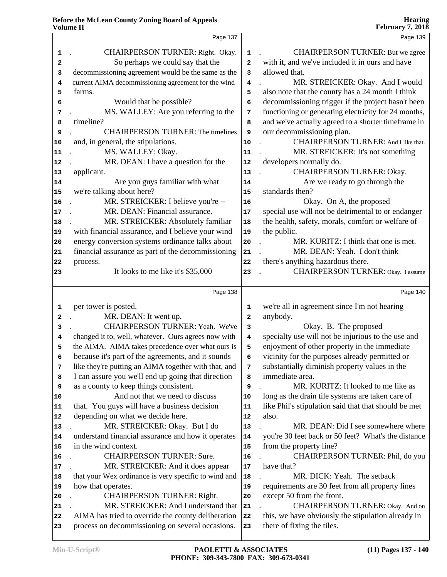|          | Page 137                                                                                               |                         | Page 139                                                                         |  |
|----------|--------------------------------------------------------------------------------------------------------|-------------------------|----------------------------------------------------------------------------------|--|
| 1        | CHAIRPERSON TURNER: Right. Okay.                                                                       | 1                       | <b>CHAIRPERSON TURNER: But we agree</b>                                          |  |
| 2        | So perhaps we could say that the                                                                       | $\overline{a}$          | with it, and we've included it in ours and have                                  |  |
| 3        | decommissioning agreement would be the same as the                                                     | 3                       | allowed that.                                                                    |  |
| 4        | current AIMA decommissioning agreement for the wind                                                    | 4                       | MR. STREICKER: Okay. And I would                                                 |  |
| 5        | farms.                                                                                                 | 5                       | also note that the county has a 24 month I think                                 |  |
| 6        | Would that be possible?                                                                                | 6                       | decommissioning trigger if the project hasn't been                               |  |
| 7        | MS. WALLEY: Are you referring to the                                                                   | 7                       | functioning or generating electricity for 24 months,                             |  |
| 8        | timeline?                                                                                              | 8                       | and we've actually agreed to a shorter timeframe in                              |  |
| 9        | <b>CHAIRPERSON TURNER: The timelines</b>                                                               | 9                       | our decommissioning plan.                                                        |  |
| 10       | and, in general, the stipulations.                                                                     | 10                      | CHAIRPERSON TURNER: And I like that.                                             |  |
| 11       | MS. WALLEY: Okay.                                                                                      | 11                      | MR. STREICKER: It's not something                                                |  |
| 12       | MR. DEAN: I have a question for the                                                                    | 12                      | developers normally do.                                                          |  |
| 13       | applicant.                                                                                             | 13                      | CHAIRPERSON TURNER: Okay.                                                        |  |
| 14       | Are you guys familiar with what                                                                        | 14                      | Are we ready to go through the                                                   |  |
| 15       | we're talking about here?                                                                              | 15                      | standards then?                                                                  |  |
| 16       | MR. STREICKER: I believe you're --                                                                     | 16                      | Okay. On A, the proposed                                                         |  |
| 17       | MR. DEAN: Financial assurance.                                                                         | 17                      | special use will not be detrimental to or endanger                               |  |
| 18       | MR. STREICKER: Absolutely familiar                                                                     | 18                      | the health, safety, morals, comfort or welfare of                                |  |
| 19       | with financial assurance, and I believe your wind                                                      | 19                      | the public.                                                                      |  |
| 20       | energy conversion systems ordinance talks about                                                        | 20                      | MR. KURITZ: I think that one is met.                                             |  |
| 21       | financial assurance as part of the decommissioning                                                     | 21                      | MR. DEAN: Yeah. I don't think                                                    |  |
| 22       | process.                                                                                               | 22                      | there's anything hazardous there.                                                |  |
| 23       | It looks to me like it's \$35,000                                                                      | 23                      | <b>CHAIRPERSON TURNER:</b> Okay. I assume                                        |  |
|          |                                                                                                        |                         |                                                                                  |  |
|          |                                                                                                        |                         |                                                                                  |  |
|          | Page 138                                                                                               |                         | Page 140                                                                         |  |
|          |                                                                                                        |                         |                                                                                  |  |
| 1        | per tower is posted.                                                                                   | 1                       | we're all in agreement since I'm not hearing                                     |  |
| 2        | MR. DEAN: It went up.                                                                                  | 2                       | anybody.                                                                         |  |
| 3        | CHAIRPERSON TURNER: Yeah. We've                                                                        | 3                       | Okay. B. The proposed                                                            |  |
| 4        | changed it to, well, whatever. Ours agrees now with                                                    | $\overline{\mathbf{4}}$ | specialty use will not be injurious to the use and                               |  |
| 5        | the AIMA. AIMA takes precedence over what ours is                                                      | 5                       | enjoyment of other property in the immediate                                     |  |
| 6        | because it's part of the agreements, and it sounds                                                     | 6                       | vicinity for the purposes already permitted or                                   |  |
| 7        | like they're putting an AIMA together with that, and                                                   | 7                       | substantially diminish property values in the                                    |  |
| 8        | I can assure you we'll end up going that direction                                                     | 8                       | immediate area.                                                                  |  |
| 9        | as a county to keep things consistent.                                                                 | 9                       | MR. KURITZ: It looked to me like as                                              |  |
| 10       | And not that we need to discuss                                                                        | 10                      | long as the drain tile systems are taken care of                                 |  |
| 11       | that. You guys will have a business decision                                                           | 11                      | like Phil's stipulation said that that should be met                             |  |
| 12       | depending on what we decide here.                                                                      | 12                      | also.                                                                            |  |
| 13       | MR. STREICKER: Okay. But I do                                                                          | 13                      | MR. DEAN: Did I see somewhere where                                              |  |
| 14       | understand financial assurance and how it operates                                                     | 14                      | you're 30 feet back or 50 feet? What's the distance                              |  |
| 15       | in the wind context.                                                                                   | 15                      | from the property line?                                                          |  |
| 16       | <b>CHAIRPERSON TURNER: Sure.</b>                                                                       | 16                      | CHAIRPERSON TURNER: Phil, do you                                                 |  |
| 17       | MR. STREICKER: And it does appear                                                                      | $17\,$                  | have that?                                                                       |  |
| 18       | that your Wex ordinance is very specific to wind and                                                   | 18                      | MR. DICK: Yeah. The setback                                                      |  |
| 19       | how that operates.                                                                                     | 19                      | requirements are 30 feet from all property lines                                 |  |
| 20       | <b>CHAIRPERSON TURNER: Right.</b>                                                                      | 20                      | except 50 from the front.                                                        |  |
| 21<br>22 | MR. STREICKER: And I understand that                                                                   | 21                      | CHAIRPERSON TURNER: Okay. And on                                                 |  |
| 23       | AIMA has tried to override the county deliberation<br>process on decommissioning on several occasions. | ${\bf 22}$<br>23        | this, we have obviously the stipulation already in<br>there of fixing the tiles. |  |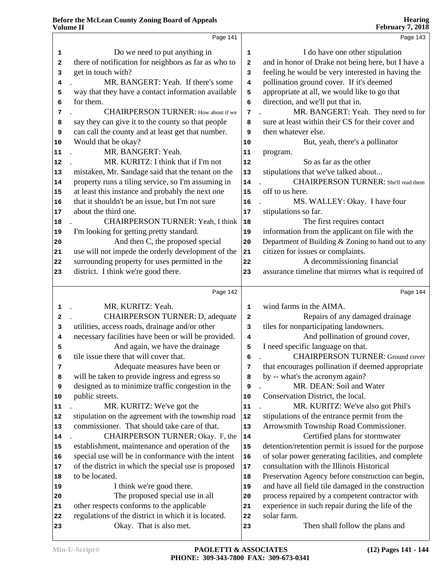|    | Page 141                                             |              | Page 143                                             |
|----|------------------------------------------------------|--------------|------------------------------------------------------|
| 1  | Do we need to put anything in                        | 1            | I do have one other stipulation                      |
| 2  | there of notification for neighbors as far as who to | $\mathbf{2}$ | and in honor of Drake not being here, but I have a   |
| 3  | get in touch with?                                   | 3            | feeling he would be very interested in having the    |
| 4  | MR. BANGERT: Yeah. If there's some                   | 4            | pollination ground cover. If it's deemed             |
| 5  | way that they have a contact information available   | 5            | appropriate at all, we would like to go that         |
| 6  | for them.                                            | 6            | direction, and we'll put that in.                    |
| 7  | <b>CHAIRPERSON TURNER:</b> How about if we           | 7            | MR. BANGERT: Yeah. They need to for                  |
| 8  | say they can give it to the county so that people    | 8            | sure at least within their CS for their cover and    |
| 9  | can call the county and at least get that number.    | 9            | then whatever else.                                  |
| 10 | Would that be okay?                                  | 10           | But, yeah, there's a pollinator                      |
| 11 | MR. BANGERT: Yeah.                                   | 11           | program.                                             |
| 12 | MR. KURITZ: I think that if I'm not                  | 12           | So as far as the other                               |
| 13 | mistaken, Mr. Sandage said that the tenant on the    | $13$         | stipulations that we've talked about                 |
| 14 | property runs a tiling service, so I'm assuming in   | 14           | <b>CHAIRPERSON TURNER:</b> She'll read them          |
| 15 | at least this instance and probably the next one     | 15           | off to us here.                                      |
| 16 | that it shouldn't be an issue, but I'm not sure      | 16           | MS. WALLEY: Okay. I have four                        |
| 17 | about the third one.                                 | 17           | stipulations so far.                                 |
| 18 | CHAIRPERSON TURNER: Yeah, I think                    | 18           | The first requires contact                           |
| 19 | I'm looking for getting pretty standard.             | 19           | information from the applicant on file with the      |
| 20 | And then C, the proposed special                     | 20           | Department of Building & Zoning to hand out to any   |
| 21 | use will not impede the orderly development of the   | 21           | citizen for issues or complaints.                    |
| 22 | surrounding property for uses permitted in the       | 22           | A decommissioning financial                          |
| 23 | district. I think we're good there.                  | 23           | assurance timeline that mirrors what is required of  |
|    |                                                      |              |                                                      |
|    | Page 142                                             |              | Page 144                                             |
| 1  | MR. KURITZ: Yeah.                                    | 1            | wind farms in the AIMA.                              |
| 2  | <b>CHAIRPERSON TURNER: D, adequate</b>               | $\mathbf{2}$ | Repairs of any damaged drainage                      |
| 3  | utilities, access roads, drainage and/or other       | 3            | tiles for nonparticipating landowners.               |
| 4  | necessary facilities have been or will be provided.  | 4            | And pollination of ground cover,                     |
| 5  | And again, we have the drainage                      | 5            | I need specific language on that.                    |
| 6  | tile issue there that will cover that.               | 6            | <b>CHAIRPERSON TURNER: Ground cover</b>              |
| 7  | Adequate measures have been or                       | 7            | that encourages pollination if deemed appropriate    |
| 8  | will be taken to provide ingress and egress so       | 8            | by -- what's the acronym again?                      |
| 9  | designed as to minimize traffic congestion in the    | 9            | MR. DEAN: Soil and Water                             |
| 10 | public streets.                                      | 10           | Conservation District, the local.                    |
| 11 | MR. KURITZ: We've got the                            | 11           | MR. KURITZ: We've also got Phil's                    |
| 12 | stipulation on the agreement with the township road  | 12           | stipulations of the entrance permit from the         |
| 13 | commissioner. That should take care of that.         | 13           | Arrowsmith Township Road Commissioner.               |
| 14 | CHAIRPERSON TURNER: Okay. F, the                     | 14           | Certified plans for stormwater                       |
| 15 | establishment, maintenance and operation of the      | 15           | detention/retention permit is issued for the purpose |
| 16 | special use will be in conformance with the intent   | ${\bf 16}$   | of solar power generating facilities, and complete   |
| 17 | of the district in which the special use is proposed | 17           | consultation with the Illinois Historical            |
| 18 | to be located.                                       | 18           | Preservation Agency before construction can begin,   |
| 19 | I think we're good there.                            | 19           | and have all field tile damaged in the construction  |
| 20 | The proposed special use in all                      | 20           | process repaired by a competent contractor with      |
| 21 | other respects conforms to the applicable            | 21           | experience in such repair during the life of the     |
| 22 | regulations of the district in which it is located.  | 22           | solar farm.                                          |
| 23 | Okay. That is also met.                              | 23           | Then shall follow the plans and                      |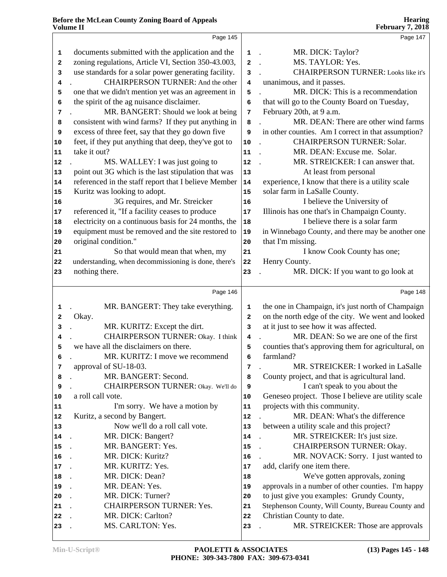|            | Page 145                                             |                         | Page 147                                            |
|------------|------------------------------------------------------|-------------------------|-----------------------------------------------------|
|            |                                                      |                         |                                                     |
| 1          | documents submitted with the application and the     | $\mathbf{1}$            | MR. DICK: Taylor?<br>$\sim$                         |
| 2          | zoning regulations, Article VI, Section 350-43.003,  | $\overline{a}$          | MS. TAYLOR: Yes.                                    |
| 3          | use standards for a solar power generating facility. | 3                       | <b>CHAIRPERSON TURNER:</b> Looks like it's          |
| 4          | CHAIRPERSON TURNER: And the other                    | 4                       | unanimous, and it passes.                           |
| 5          | one that we didn't mention yet was an agreement in   | 5                       | MR. DICK: This is a recommendation                  |
| 6          | the spirit of the ag nuisance disclaimer.            | 6                       | that will go to the County Board on Tuesday,        |
| 7          | MR. BANGERT: Should we look at being                 | $7\phantom{.0}$         | February 20th, at 9 a.m.                            |
| 8          | consistent with wind farms? If they put anything in  | 8                       | MR. DEAN: There are other wind farms                |
| 9          | excess of three feet, say that they go down five     | 9                       | in other counties. Am I correct in that assumption? |
| 10         | feet, if they put anything that deep, they've got to | ${\bf 10}$              | <b>CHAIRPERSON TURNER: Solar.</b>                   |
| 11         | take it out?                                         | 11                      | MR. DEAN: Excuse me. Solar.<br>$\sim$               |
| 12         | MS. WALLEY: I was just going to                      | ${\bf 12}$              | MR. STREICKER: I can answer that.                   |
| 13         | point out 3G which is the last stipulation that was  | 13                      | At least from personal                              |
| 14         | referenced in the staff report that I believe Member | ${\bf 14}$              | experience, I know that there is a utility scale    |
| 15         | Kuritz was looking to adopt.                         | 15                      | solar farm in LaSalle County.                       |
| 16         | 3G requires, and Mr. Streicker                       | 16                      | I believe the University of                         |
| 17         | referenced it, "If a facility ceases to produce      | ${\bf 17}$              | Illinois has one that's in Champaign County.        |
| 18         | electricity on a continuous basis for 24 months, the | 18                      | I believe there is a solar farm                     |
| 19         | equipment must be removed and the site restored to   | 19                      | in Winnebago County, and there may be another one   |
| 20         | original condition."                                 | 20                      | that I'm missing.                                   |
| 21         | So that would mean that when, my                     | 21                      | I know Cook County has one;                         |
| ${\bf 22}$ | understanding, when decommissioning is done, there's | ${\bf 22}$              | Henry County.                                       |
| 23         | nothing there.                                       | 23                      | MR. DICK: If you want to go look at                 |
|            |                                                      |                         |                                                     |
|            | Page 146                                             |                         |                                                     |
|            |                                                      |                         | Page 148                                            |
| 1          | MR. BANGERT: They take everything.                   | 1                       | the one in Champaign, it's just north of Champaign  |
| 2          | Okay.                                                | $\overline{a}$          | on the north edge of the city. We went and looked   |
| 3          | MR. KURITZ: Except the dirt.                         | 3                       | at it just to see how it was affected.              |
| 4          | CHAIRPERSON TURNER: Okay. I think                    | $\overline{\mathbf{4}}$ | MR. DEAN: So we are one of the first                |
| 5          | we have all the disclaimers on there.                | 5                       | counties that's approving them for agricultural, on |
|            | MR. KURITZ: I move we recommend                      | 6                       | farmland?                                           |
| 7          | approval of SU-18-03.                                | 7                       | MR. STREICKER: I worked in LaSalle                  |
| 8          | MR. BANGERT: Second.                                 | 8                       | County project, and that is agricultural land.      |
| 9          | CHAIRPERSON TURNER: Okay. We'll do                   | 9                       | I can't speak to you about the                      |
| 10         | a roll call vote.                                    | 10                      | Geneseo project. Those I believe are utility scale  |
| 11         | I'm sorry. We have a motion by                       | 11                      | projects with this community.                       |
| 12         | Kuritz, a second by Bangert.                         | 12                      | MR. DEAN: What's the difference                     |
| 13         | Now we'll do a roll call vote.                       | 13                      | between a utility scale and this project?           |
| 14         | MR. DICK: Bangert?<br>$\overline{a}$                 | 14                      | MR. STREICKER: It's just size.                      |
| 15         | MR. BANGERT: Yes.                                    | 15                      | CHAIRPERSON TURNER: Okay.                           |
| 16         | MR. DICK: Kuritz?                                    | 16                      | MR. NOVACK: Sorry. I just wanted to                 |
| 17         | MR. KURITZ: Yes.                                     | 17                      | add, clarify one item there.                        |
| 18         | MR. DICK: Dean?                                      | 18                      | We've gotten approvals, zoning                      |
| 19         | MR. DEAN: Yes.                                       | 19                      | approvals in a number of other counties. I'm happy  |
| 20         | MR. DICK: Turner?                                    | 20                      | to just give you examples: Grundy County,           |
| 21         | <b>CHAIRPERSON TURNER: Yes.</b>                      | 21                      | Stephenson County, Will County, Bureau County and   |
| 22         | MR. DICK: Carlton?                                   | 22                      | Christian County to date.                           |
| 23         | MS. CARLTON: Yes.                                    | 23                      | MR. STREICKER: Those are approvals                  |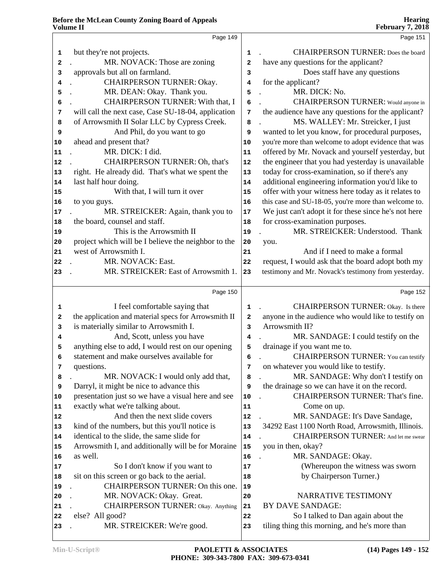|    |                                                      |                | 1 COLUMI 7 79 FOIO                                   |
|----|------------------------------------------------------|----------------|------------------------------------------------------|
|    | Page 149                                             |                | Page 151                                             |
| 1  | but they're not projects.                            | 1              | <b>CHAIRPERSON TURNER:</b> Does the board            |
| 2  | MR. NOVACK: Those are zoning                         | $\overline{a}$ | have any questions for the applicant?                |
| 3  | approvals but all on farmland.                       | 3              | Does staff have any questions                        |
| 4  | CHAIRPERSON TURNER: Okay.                            | 4              | for the applicant?                                   |
| 5  | MR. DEAN: Okay. Thank you.                           | 5              | MR. DICK: No.                                        |
| 6  | CHAIRPERSON TURNER: With that, I                     | 6              | <b>CHAIRPERSON TURNER:</b> Would anyone in           |
| 7  | will call the next case, Case SU-18-04, application  | 7              | the audience have any questions for the applicant?   |
| 8  | of Arrowsmith II Solar LLC by Cypress Creek.         | 8              | MS. WALLEY: Mr. Streicker, I just                    |
| 9  | And Phil, do you want to go                          | 9              | wanted to let you know, for procedural purposes,     |
| 10 | ahead and present that?                              | 10             | you're more than welcome to adopt evidence that was  |
| 11 | MR. DICK: I did.                                     | 11             | offered by Mr. Novack and yourself yesterday, but    |
| 12 | CHAIRPERSON TURNER: Oh, that's                       | 12             | the engineer that you had yesterday is unavailable   |
| 13 | right. He already did. That's what we spent the      | 13             | today for cross-examination, so if there's any       |
| 14 | last half hour doing.                                | 14             | additional engineering information you'd like to     |
| 15 | With that, I will turn it over                       | 15             | offer with your witness here today as it relates to  |
| 16 | to you guys.                                         | 16             | this case and SU-18-05, you're more than welcome to. |
| 17 | MR. STREICKER: Again, thank you to                   | 17             | We just can't adopt it for these since he's not here |
| 18 | the board, counsel and staff.                        | 18             | for cross-examination purposes.                      |
| 19 | This is the Arrowsmith II                            | 19             | MR. STREICKER: Understood. Thank                     |
| 20 | project which will be I believe the neighbor to the  | 20             | you.                                                 |
| 21 | west of Arrowsmith I.                                | 21             | And if I need to make a formal                       |
| 22 | MR. NOVACK: East.                                    | 22             | request, I would ask that the board adopt both my    |
| 23 | MR. STREICKER: East of Arrowsmith 1.                 | 23             | testimony and Mr. Novack's testimony from yesterday. |
|    |                                                      |                |                                                      |
|    | Page 150                                             |                | Page 152                                             |
| 1  | I feel comfortable saying that                       | 1              | CHAIRPERSON TURNER: Okay. Is there                   |
| 2  | the application and material specs for Arrowsmith II | 2              | anyone in the audience who would like to testify on  |
| 3  | is materially similar to Arrowsmith I.               | 3              | Arrowsmith II?                                       |
| 4  | And, Scott, unless you have                          | 4              | MR. SANDAGE: I could testify on the                  |
| 5  | anything else to add, I would rest on our opening    | 5              | drainage if you want me to.                          |
| 6  | statement and make ourselves available for           | 6              | <b>CHAIRPERSON TURNER:</b> You can testify           |
| 7  | questions.                                           | 7              | on whatever you would like to testify.               |
| 8  | MR. NOVACK: I would only add that,                   | 8              | MR. SANDAGE: Why don't I testify on                  |
| 9  | Darryl, it might be nice to advance this             | 9              | the drainage so we can have it on the record.        |
| 10 | presentation just so we have a visual here and see   | 10             | CHAIRPERSON TURNER: That's fine.                     |
| 11 | exactly what we're talking about.                    | 11             | Come on up.                                          |
| 12 | And then the next slide covers                       | 12             | MR. SANDAGE: It's Dave Sandage,                      |
| 13 | kind of the numbers, but this you'll notice is       | 13             | 34292 East 1100 North Road, Arrowsmith, Illinois.    |
| 14 | identical to the slide, the same slide for           | 14             | <b>CHAIRPERSON TURNER:</b> And let me swear          |
| 15 | Arrowsmith I, and additionally will be for Moraine   | 15             | you in then, okay?                                   |
| 16 | as well.                                             | 16             | MR. SANDAGE: Okay.                                   |
| 17 | So I don't know if you want to                       | 17             | (Whereupon the witness was sworn                     |
| 18 | sit on this screen or go back to the aerial.         | 18             | by Chairperson Turner.)                              |
| 19 | CHAIRPERSON TURNER: On this one.                     | 19             |                                                      |
| 20 | MR. NOVACK: Okay. Great.                             | 20             | NARRATIVE TESTIMONY                                  |
| 21 | <b>CHAIRPERSON TURNER:</b> Okay. Anything            | 21             | <b>BY DAVE SANDAGE:</b>                              |
| 22 | else? All good?                                      | 22             | So I talked to Dan again about the                   |
| 23 | MR. STREICKER: We're good.                           | 23             | tiling thing this morning, and he's more than        |
|    |                                                      |                |                                                      |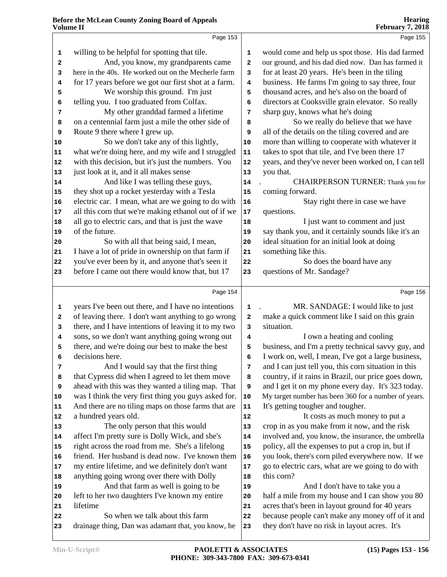|             | Page 153                                             |            | Page 155                                             |
|-------------|------------------------------------------------------|------------|------------------------------------------------------|
| $\mathbf 1$ | willing to be helpful for spotting that tile.        | 1          | would come and help us spot those. His dad farmed    |
| 2           | And, you know, my grandparents came                  | 2          | our ground, and his dad died now. Dan has farmed it  |
| 3           | here in the 40s. He worked out on the Mecherle farm  | 3          | for at least 20 years. He's been in the tiling       |
| 4           | for 17 years before we got our first shot at a farm. | 4          | business. He farms I'm going to say three, four      |
| 5           | We worship this ground. I'm just                     | 5          | thousand acres, and he's also on the board of        |
| 6           | telling you. I too graduated from Colfax.            | 6          | directors at Cooksville grain elevator. So really    |
| 7           | My other granddad farmed a lifetime                  | 7          | sharp guy, knows what he's doing                     |
| 8           | on a centennial farm just a mile the other side of   | 8          | So we really do believe that we have                 |
| 9           | Route 9 there where I grew up.                       | 9          | all of the details on the tiling covered and are     |
| 10          | So we don't take any of this lightly,                | ${\bf 10}$ | more than willing to cooperate with whatever it      |
| 11          | what we're doing here, and my wife and I struggled   | ${\bf 11}$ | takes to spot that tile, and I've been there 17      |
| 12          | with this decision, but it's just the numbers. You   | ${\bf 12}$ | years, and they've never been worked on, I can tell  |
| 13          | just look at it, and it all makes sense              | 13         | you that.                                            |
| 14          | And like I was telling these guys,                   | 14         | CHAIRPERSON TURNER: Thank you for                    |
| 15          | they shot up a rocket yesterday with a Tesla         | 15         | coming forward.                                      |
| ${\bf 16}$  | electric car. I mean, what are we going to do with   | 16         | Stay right there in case we have                     |
| 17          | all this corn that we're making ethanol out of if we | $17\,$     | questions.                                           |
| 18          | all go to electric cars, and that is just the wave   | 18         | I just want to comment and just                      |
| 19          | of the future.                                       | 19         | say thank you, and it certainly sounds like it's an  |
| ${\bf 20}$  | So with all that being said, I mean,                 | 20         | ideal situation for an initial look at doing         |
| 21          | I have a lot of pride in ownership on that farm if   | 21         | something like this.                                 |
| 22          | you've ever been by it, and anyone that's seen it    | 22         | So does the board have any                           |
| 23          | before I came out there would know that, but 17      | 23         | questions of Mr. Sandage?                            |
|             | Page 154                                             |            | Page 156                                             |
| 1           | years I've been out there, and I have no intentions  | 1          | MR. SANDAGE: I would like to just                    |
| 2           | of leaving there. I don't want anything to go wrong  | 2          | make a quick comment like I said on this grain       |
| 3           | there, and I have intentions of leaving it to my two | 3          | situation.                                           |
| 4           | sons, so we don't want anything going wrong out      | 4          | I own a heating and cooling                          |
| 5           | there, and we're doing our best to make the best     | 5          | business, and I'm a pretty technical savvy guy, and  |
| 6           | decisions here.                                      | 6          | I work on, well, I mean, I've got a large business,  |
| 7           | And I would say that the first thing                 | 7          | and I can just tell you, this corn situation in this |
| 8           | that Cypress did when I agreed to let them move      | 8          | country, if it rains in Brazil, our price goes down, |
| 9           | ahead with this was they wanted a tiling map. That   | 9          | and I get it on my phone every day. It's 323 today.  |
| 10          | was I think the very first thing you guys asked for. | ${\bf 10}$ | My target number has been 360 for a number of years. |
| 11          | And there are no tiling maps on those farms that are | ${\bf 11}$ | It's getting tougher and tougher.                    |
| ${\bf 12}$  | a hundred years old.                                 | 12         | It costs as much money to put a                      |
| 13          | The only person that this would                      | 13         | crop in as you make from it now, and the risk        |
| 14          | affect I'm pretty sure is Dolly Wick, and she's      | 14         | involved and, you know, the insurance, the umbrella  |
| 15          | right across the road from me. She's a lifelong      | 15         | policy, all the expenses to put a crop in, but if    |
| 16          | friend. Her husband is dead now. I've known them     | 16         | you look, there's corn piled everywhere now. If we   |
| 17          | my entire lifetime, and we definitely don't want     | $17\,$     | go to electric cars, what are we going to do with    |
| 18          | anything going wrong over there with Dolly           | 18         | this corn?                                           |
| 19          | And that farm as well is going to be                 | 19         | And I don't have to take you a                       |
| 20          | left to her two daughters I've known my entire       | 20         | half a mile from my house and I can show you 80      |
| 21          | lifetime                                             | 21         | acres that's been in layout ground for 40 years      |
| ${\bf 22}$  | So when we talk about this farm                      | 22         | because people can't make any money off of it and    |
| 23          | drainage thing, Dan was adamant that, you know, he   | 23         | they don't have no risk in layout acres. It's        |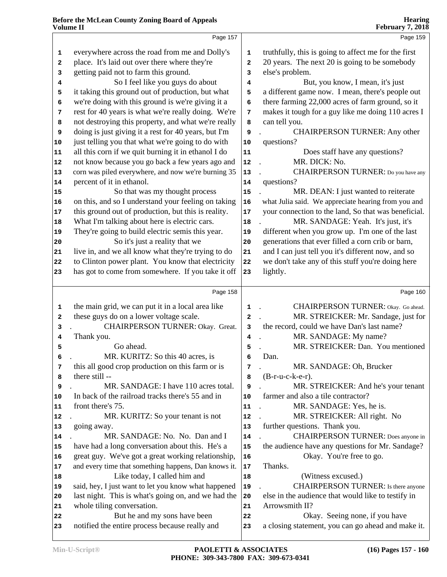|    | Page 157                                                                                             |                         | Page 159                                                                                    |
|----|------------------------------------------------------------------------------------------------------|-------------------------|---------------------------------------------------------------------------------------------|
| 1  | everywhere across the road from me and Dolly's                                                       | 1                       | truthfully, this is going to affect me for the first                                        |
| 2  | place. It's laid out over there where they're                                                        | $\mathbf{2}$            | 20 years. The next 20 is going to be somebody                                               |
| 3  | getting paid not to farm this ground.                                                                | 3                       | else's problem.                                                                             |
| 4  | So I feel like you guys do about                                                                     | 4                       | But, you know, I mean, it's just                                                            |
| 5  | it taking this ground out of production, but what                                                    | 5                       | a different game now. I mean, there's people out                                            |
| 6  | we're doing with this ground is we're giving it a                                                    | 6                       | there farming 22,000 acres of farm ground, so it                                            |
| 7  | rest for 40 years is what we're really doing. We're                                                  | 7                       | makes it tough for a guy like me doing 110 acres I                                          |
| 8  | not destroying this property, and what we're really                                                  | 8                       | can tell you.                                                                               |
| 9  | doing is just giving it a rest for 40 years, but I'm                                                 | 9                       | <b>CHAIRPERSON TURNER: Any other</b>                                                        |
| 10 | just telling you that what we're going to do with                                                    | ${\bf 10}$              | questions?                                                                                  |
| 11 | all this corn if we quit burning it in ethanol I do                                                  | 11                      | Does staff have any questions?                                                              |
| 12 | not know because you go back a few years ago and                                                     | ${\bf 12}$              | MR. DICK: No.                                                                               |
|    | corn was piled everywhere, and now we're burning 35                                                  | 13                      | CHAIRPERSON TURNER: Do you have any                                                         |
| 13 | percent of it in ethanol.                                                                            |                         | questions?                                                                                  |
| 14 |                                                                                                      | 14                      |                                                                                             |
| 15 | So that was my thought process<br>on this, and so I understand your feeling on taking                | 15                      | MR. DEAN: I just wanted to reiterate<br>what Julia said. We appreciate hearing from you and |
| 16 |                                                                                                      | 16                      |                                                                                             |
| 17 | this ground out of production, but this is reality.<br>What I'm talking about here is electric cars. | $17$                    | your connection to the land, So that was beneficial.<br>MR. SANDAGE: Yeah. It's just, it's  |
| 18 |                                                                                                      | 18                      |                                                                                             |
| 19 | They're going to build electric semis this year.                                                     | 19                      | different when you grow up. I'm one of the last                                             |
| 20 | So it's just a reality that we                                                                       | 20                      | generations that ever filled a corn crib or barn,                                           |
| 21 | live in, and we all know what they're trying to do                                                   | 21                      | and I can just tell you it's different now, and so                                          |
| 22 | to Clinton power plant. You know that electricity                                                    | 22                      | we don't take any of this stuff you're doing here                                           |
| 23 | has got to come from somewhere. If you take it off                                                   | 23                      | lightly.                                                                                    |
|    | Page 158                                                                                             |                         | Page 160                                                                                    |
| 1  | the main grid, we can put it in a local area like                                                    | $\mathbf 1$             | CHAIRPERSON TURNER: Okay. Go ahead.                                                         |
| 2  | these guys do on a lower voltage scale.                                                              | $\overline{\mathbf{2}}$ | MR. STREICKER: Mr. Sandage, just for                                                        |
| з  | CHAIRPERSON TURNER: Okay. Great.                                                                     | 3                       | the record, could we have Dan's last name?                                                  |
| 4  | Thank you.                                                                                           | 4                       | MR. SANDAGE: My name?                                                                       |
| 5  | Go ahead.                                                                                            | 5                       | MR. STREICKER: Dan. You mentioned                                                           |
| 6  | MR. KURITZ: So this 40 acres, is                                                                     | 6                       | Dan.                                                                                        |
| 7  | this all good crop production on this farm or is                                                     | $\overline{7}$          | MR. SANDAGE: Oh, Brucker                                                                    |
| 8  | there still --                                                                                       | 8                       | $(B-r-u-c-k-e-r)$ .                                                                         |
| 9  | MR. SANDAGE: I have 110 acres total.                                                                 | 9                       | MR. STREICKER: And he's your tenant                                                         |
| 10 | In back of the railroad tracks there's 55 and in                                                     | $10$                    | farmer and also a tile contractor?                                                          |
| 11 | front there's 75.                                                                                    | 11                      | MR. SANDAGE: Yes, he is.                                                                    |
| 12 | MR. KURITZ: So your tenant is not                                                                    | ${\bf 12}$              | MR. STREICKER: All right. No                                                                |
| 13 | going away.                                                                                          | 13                      | further questions. Thank you.                                                               |
| 14 | MR. SANDAGE: No. No. Dan and I                                                                       | 14                      | <b>CHAIRPERSON TURNER:</b> Does anyone in                                                   |
| 15 | have had a long conversation about this. He's a                                                      | 15                      | the audience have any questions for Mr. Sandage?                                            |
| 16 | great guy. We've got a great working relationship,                                                   | 16                      | Okay. You're free to go.                                                                    |
| 17 | and every time that something happens, Dan knows it.                                                 | $17\,$                  | Thanks.                                                                                     |
| 18 | Like today, I called him and                                                                         | 18                      | (Witness excused.)                                                                          |
| 19 | said, hey, I just want to let you know what happened                                                 | 19                      | CHAIRPERSON TURNER: Is there anyone                                                         |
| 20 | last night. This is what's going on, and we had the                                                  | ${\bf 20}$              | else in the audience that would like to testify in                                          |
|    | whole tiling conversation.                                                                           | 21                      | Arrowsmith II?                                                                              |
| 21 | But he and my sons have been                                                                         |                         | Okay. Seeing none, if you have                                                              |
| 22 |                                                                                                      | 22<br>23                | a closing statement, you can go ahead and make it.                                          |
| 23 | notified the entire process because really and                                                       |                         |                                                                                             |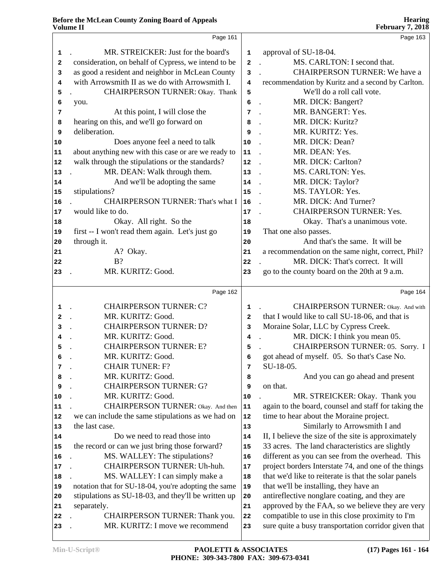|              | Page 161                                             |              | Page 163                                             |
|--------------|------------------------------------------------------|--------------|------------------------------------------------------|
| 1            | MR. STREICKER: Just for the board's                  | $\mathbf 1$  | approval of SU-18-04.                                |
| 2            | consideration, on behalf of Cypress, we intend to be | $\mathbf{2}$ | MS. CARLTON: I second that.                          |
| 3            | as good a resident and neighbor in McLean County     | 3            | <b>CHAIRPERSON TURNER: We have a</b>                 |
| 4            | with Arrowsmith II as we do with Arrowsmith I.       | 4            | recommendation by Kuritz and a second by Carlton.    |
| 5            | CHAIRPERSON TURNER: Okay. Thank                      | 5            | We'll do a roll call vote.                           |
| 6            | you.                                                 | 6            | MR. DICK: Bangert?<br>$\ddot{\phantom{a}}$           |
| 7            | At this point, I will close the                      | 7            | MR. BANGERT: Yes.<br>$\ddot{\phantom{a}}$            |
| 8            | hearing on this, and we'll go forward on             | 8            | MR. DICK: Kuritz?                                    |
| 9            | deliberation.                                        | 9            | MR. KURITZ: Yes.                                     |
| 10           | Does anyone feel a need to talk                      | $10$         | MR. DICK: Dean?                                      |
| 11           | about anything new with this case or are we ready to | 11           | MR. DEAN: Yes.<br>$\ddot{\phantom{a}}$               |
| 12           | walk through the stipulations or the standards?      | 12           | MR. DICK: Carlton?                                   |
| 13           | MR. DEAN: Walk through them.                         | 13           | MS. CARLTON: Yes.<br>$\mathbf{r}$                    |
| 14           | And we'll be adopting the same                       | 14           | MR. DICK: Taylor?<br>$\ddot{\phantom{a}}$            |
| 15           | stipulations?                                        | 15           | MS. TAYLOR: Yes.                                     |
| 16           | <b>CHAIRPERSON TURNER: That's what I</b>             | 16           | MR. DICK: And Turner?                                |
| 17           | would like to do.                                    | 17           | <b>CHAIRPERSON TURNER: Yes.</b>                      |
| 18           | Okay. All right. So the                              | 18           | Okay. That's a unanimous vote.                       |
| 19           | first -- I won't read them again. Let's just go      | 19           | That one also passes.                                |
| 20           | through it.                                          | 20           | And that's the same. It will be                      |
| 21           | A? Okay.                                             | 21           | a recommendation on the same night, correct, Phil?   |
| 22           | $B$ ?                                                | 22           | MR. DICK: That's correct. It will                    |
| 23           | MR. KURITZ: Good.                                    | 23           | go to the county board on the 20th at 9 a.m.         |
|              |                                                      |              |                                                      |
|              | Page 162                                             |              | Page 164                                             |
| $\mathbf{1}$ | <b>CHAIRPERSON TURNER: C?</b>                        | 1            | <b>CHAIRPERSON TURNER:</b> Okay. And with            |
| $\mathbf{2}$ | MR. KURITZ: Good.                                    | $\mathbf{2}$ | that I would like to call SU-18-06, and that is      |
| 3            | <b>CHAIRPERSON TURNER: D?</b>                        | 3            | Moraine Solar, LLC by Cypress Creek.                 |
| 4            | MR. KURITZ: Good.                                    | 4            | MR. DICK: I think you mean 05.                       |
| 5            | <b>CHAIRPERSON TURNER: E?</b>                        | 5            | CHAIRPERSON TURNER: 05. Sorry. I                     |
|              | MR. KURITZ: Good.                                    |              | got ahead of myself. 05. So that's Case No.          |
| 7            | <b>CHAIR TUNER: F?</b>                               | 7            | SU-18-05.                                            |
| 8            | MR. KURITZ: Good.                                    | 8            | And you can go ahead and present                     |
| 9            | <b>CHAIRPERSON TURNER: G?</b>                        | 9            | on that.                                             |
| 10           | MR. KURITZ: Good.                                    | ${\bf 10}$   | MR. STREICKER: Okay. Thank you                       |
| 11           | CHAIRPERSON TURNER: Okay. And then                   | ${\bf 11}$   | again to the board, counsel and staff for taking the |
| 12           | we can include the same stipulations as we had on    | ${\bf 12}$   | time to hear about the Moraine project.              |
| 13           | the last case.                                       | 13           | Similarly to Arrowsmith I and                        |
| 14           | Do we need to read those into                        | 14           | II, I believe the size of the site is approximately  |
| 15           | the record or can we just bring those forward?       | 15           | 33 acres. The land characteristics are slightly      |
| 16           | MS. WALLEY: The stipulations?                        | 16           | different as you can see from the overhead. This     |
| 17           | CHAIRPERSON TURNER: Uh-huh.                          | 17           | project borders Interstate 74, and one of the things |
| 18           | MS. WALLEY: I can simply make a                      | 18           | that we'd like to reiterate is that the solar panels |
| 19           | notation that for SU-18-04, you're adopting the same | 19           | that we'll be installing, they have an               |
| 20           | stipulations as SU-18-03, and they'll be written up  | 20           | antireflective nonglare coating, and they are        |
| 21           | separately.                                          | 21           | approved by the FAA, so we believe they are very     |
| 22           | CHAIRPERSON TURNER: Thank you.                       | 22           | compatible to use in this close proximity to I'm     |
|              |                                                      |              |                                                      |
| 23           | MR. KURITZ: I move we recommend                      | 23           | sure quite a busy transportation corridor given that |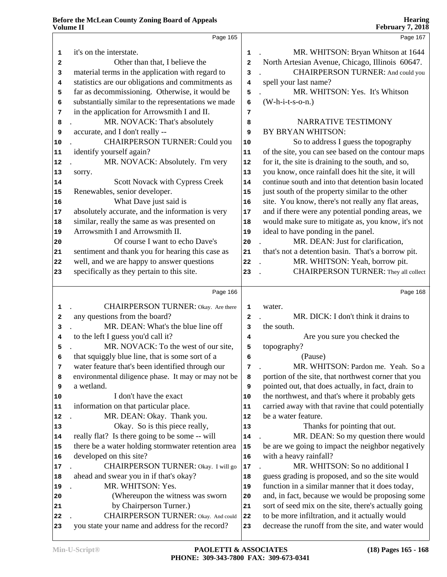|    | у отише 11                                           |                         | <b>F</b> COLUALY <i>1</i> , 2010                     |
|----|------------------------------------------------------|-------------------------|------------------------------------------------------|
|    | Page 165                                             |                         | Page 167                                             |
| 1  | it's on the interstate.                              | 1                       | MR. WHITSON: Bryan Whitson at 1644                   |
| 2  | Other than that, I believe the                       | $\overline{\mathbf{2}}$ | North Artesian Avenue, Chicago, Illinois 60647.      |
| 3  | material terms in the application with regard to     | 3                       | CHAIRPERSON TURNER: And could you                    |
| 4  | statistics are our obligations and commitments as    | 4                       | spell your last name?                                |
| 5  | far as decommissioning. Otherwise, it would be       | 5                       | MR. WHITSON: Yes. It's Whitson                       |
| 6  | substantially similar to the representations we made | 6                       | $(W-h-i-t-s-o-n.)$                                   |
| 7  | in the application for Arrowsmith I and II.          | 7                       |                                                      |
| 8  | MR. NOVACK: That's absolutely                        | 8                       | NARRATIVE TESTIMONY                                  |
| 9  | accurate, and I don't really --                      | 9                       | BY BRYAN WHITSON:                                    |
| 10 | <b>CHAIRPERSON TURNER: Could you</b>                 | 10                      | So to address I guess the topography                 |
| 11 | identify yourself again?                             | ${\bf 11}$              | of the site, you can see based on the contour maps   |
| 12 | MR. NOVACK: Absolutely. I'm very                     | 12                      | for it, the site is draining to the south, and so,   |
| 13 | sorry.                                               | 13                      | you know, once rainfall does hit the site, it will   |
| 14 | Scott Novack with Cypress Creek                      | 14                      | continue south and into that detention basin located |
| 15 | Renewables, senior developer.                        | 15                      | just south of the property similar to the other      |
| 16 | What Dave just said is                               | 16                      | site. You know, there's not really any flat areas,   |
| 17 | absolutely accurate, and the information is very     | 17                      | and if there were any potential ponding areas, we    |
| 18 | similar, really the same as was presented on         | 18                      | would make sure to mitigate as, you know, it's not   |
| 19 | Arrowsmith I and Arrowsmith II.                      | 19                      | ideal to have ponding in the panel.                  |
| 20 | Of course I want to echo Dave's                      | ${\bf 20}$              | MR. DEAN: Just for clarification,                    |
| 21 | sentiment and thank you for hearing this case as     | 21                      | that's not a detention basin. That's a borrow pit.   |
| 22 | well, and we are happy to answer questions           | 22                      | MR. WHITSON: Yeah, borrow pit.                       |
| 23 | specifically as they pertain to this site.           | 23                      | CHAIRPERSON TURNER: They all collect                 |
|    |                                                      |                         |                                                      |
|    | Page 166                                             |                         | Page 168                                             |
| 1  | CHAIRPERSON TURNER: Okay. Are there                  | 1                       | water.                                               |
| 2  | any questions from the board?                        | $\mathbf{2}$            | MR. DICK: I don't think it drains to                 |
| 3  | MR. DEAN: What's the blue line off                   | 3                       | the south.                                           |
| 4  | to the left I guess you'd call it?                   | 4                       | Are you sure you checked the                         |
| 5  | MR. NOVACK: To the west of our site,                 | 5                       | topography?                                          |
| 6  | that squiggly blue line, that is some sort of a      | 6                       | (Pause)                                              |
| 7  | water feature that's been identified through our     | 7                       | MR. WHITSON: Pardon me. Yeah. So a                   |
| 8  | environmental diligence phase. It may or may not be  | 8                       | portion of the site, that northwest corner that you  |
| 9  | a wetland.                                           | 9                       | pointed out, that does actually, in fact, drain to   |
| 10 | I don't have the exact                               | 10                      | the northwest, and that's where it probably gets     |
| 11 | information on that particular place.                | 11                      | carried away with that ravine that could potentially |
| 12 | MR. DEAN: Okay. Thank you.                           | 12                      | be a water feature.                                  |
| 13 | Okay. So is this piece really,                       | 13                      | Thanks for pointing that out.                        |
| 14 | really flat? Is there going to be some -- will       | 14                      | MR. DEAN: So my question there would                 |
| 15 | there be a water holding stormwater retention area   | $15$                    | be are we going to impact the neighbor negatively    |
| 16 | developed on this site?                              | 16                      | with a heavy rainfall?                               |
| 17 | CHAIRPERSON TURNER: Okay. I will go                  | $17\,$                  | MR. WHITSON: So no additional I                      |
| 18 | ahead and swear you in if that's okay?               | 18                      | guess grading is proposed, and so the site would     |
| 19 | MR. WHITSON: Yes.                                    | 19                      | function in a similar manner that it does today,     |
| 20 | (Whereupon the witness was sworn                     | 20                      | and, in fact, because we would be proposing some     |
| 21 | by Chairperson Turner.)                              | 21                      | sort of seed mix on the site, there's actually going |
| 22 | CHAIRPERSON TURNER: Okay. And could                  | 22                      | to be more infiltration, and it actually would       |
| 23 | you state your name and address for the record?      | 23                      | decrease the runoff from the site, and water would   |
|    |                                                      |                         |                                                      |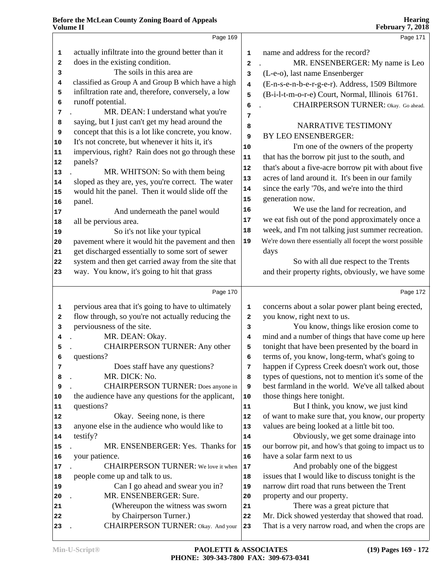|    | Page 169                                                      |              | Page 171                                                   |
|----|---------------------------------------------------------------|--------------|------------------------------------------------------------|
| 1  | actually infiltrate into the ground better than it            | $\mathbf 1$  | name and address for the record?                           |
| 2  | does in the existing condition.                               | 2            | MR. ENSENBERGER: My name is Leo                            |
| 3  | The soils in this area are                                    | 3            | (L-e-o), last name Ensenberger                             |
| 4  | classified as Group A and Group B which have a high           | 4            | (E-n-s-e-n-b-e-r-g-e-r). Address, 1509 Biltmore            |
| 5  | infiltration rate and, therefore, conversely, a low           | 5            | (B-i-l-t-m-o-r-e) Court, Normal, Illinois 61761.           |
| 6  | runoff potential.                                             | 6            | CHAIRPERSON TURNER: Okay. Go ahead.                        |
| 7  | MR. DEAN: I understand what you're                            | 7            |                                                            |
| 8  | saying, but I just can't get my head around the               |              | NARRATIVE TESTIMONY                                        |
| 9  | concept that this is a lot like concrete, you know.           | 8            | BY LEO ENSENBERGER:                                        |
| 10 | It's not concrete, but whenever it hits it, it's              | 9            |                                                            |
| 11 | impervious, right? Rain does not go through these             | ${\bf 10}$   | I'm one of the owners of the property                      |
| 12 | panels?                                                       | 11           | that has the borrow pit just to the south, and             |
| 13 | MR. WHITSON: So with them being                               | 12           | that's about a five-acre borrow pit with about five        |
| 14 | sloped as they are, yes, you're correct. The water            | 13           | acres of land around it. It's been in our family           |
| 15 | would hit the panel. Then it would slide off the              | 14           | since the early '70s, and we're into the third             |
| 16 | panel.                                                        | 15           | generation now.                                            |
| 17 | And underneath the panel would                                | 16           | We use the land for recreation, and                        |
| 18 | all be pervious area.                                         | 17           | we eat fish out of the pond approximately once a           |
| 19 | So it's not like your typical                                 | 18           | week, and I'm not talking just summer recreation.          |
| 20 | pavement where it would hit the pavement and then             | 19           | We're down there essentially all focept the worst possible |
| 21 | get discharged essentially to some sort of sewer              |              | days                                                       |
| 22 | system and then get carried away from the site that           |              | So with all due respect to the Trents                      |
| 23 | way. You know, it's going to hit that grass                   |              | and their property rights, obviously, we have some         |
|    |                                                               |              |                                                            |
|    | Page 170                                                      |              | Page 172                                                   |
| 1  | pervious area that it's going to have to ultimately           | 1            | concerns about a solar power plant being erected,          |
| 2  | flow through, so you're not actually reducing the             | $\mathbf{2}$ | you know, right next to us.                                |
| 3  | perviousness of the site.                                     | 3            | You know, things like erosion come to                      |
| 4  | MR. DEAN: Okay.                                               | 4            | mind and a number of things that have come up here         |
| 5  | <b>CHAIRPERSON TURNER: Any other</b>                          | 5            | tonight that have been presented by the board in           |
|    | questions?                                                    | 6            | terms of, you know, long-term, what's going to             |
| 7  | Does staff have any questions?                                | 7            | happen if Cypress Creek doesn't work out, those            |
| 8  | MR. DICK: No.                                                 | 8            | types of questions, not to mention it's some of the        |
| 9  | <b>CHAIRPERSON TURNER:</b> Does anyone in                     | 9            | best farmland in the world. We've all talked about         |
| 10 | the audience have any questions for the applicant,            | $10$         | those things here tonight.                                 |
| 11 | questions?                                                    | 11           | But I think, you know, we just kind                        |
| 12 | Okay. Seeing none, is there                                   | 12           | of want to make sure that, you know, our property          |
| 13 | anyone else in the audience who would like to                 | 13           | values are being looked at a little bit too.               |
| 14 | testify?                                                      | 14           | Obviously, we get some drainage into                       |
| 15 | MR. ENSENBERGER: Yes. Thanks for                              | 15           | our borrow pit, and how's that going to impact us to       |
| 16 | your patience.                                                | 16           | have a solar farm next to us                               |
| 17 | CHAIRPERSON TURNER: We love it when                           | 17           | And probably one of the biggest                            |
| 18 | people come up and talk to us.                                | 18           | issues that I would like to discuss tonight is the         |
| 19 | Can I go ahead and swear you in?                              | 19           | narrow dirt road that runs between the Trent               |
| 20 | MR. ENSENBERGER: Sure.                                        | 20           | property and our property.                                 |
| 21 | (Whereupon the witness was sworn                              | 21           | There was a great picture that                             |
|    |                                                               |              |                                                            |
| 22 | by Chairperson Turner.)<br>CHAIRPERSON TURNER: Okay. And your | 22           | Mr. Dick showed yesterday that showed that road.           |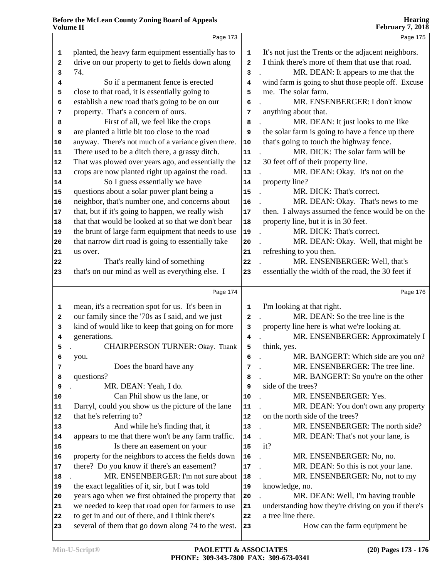|            | Page 173                                             |                         | Page 175                                            |
|------------|------------------------------------------------------|-------------------------|-----------------------------------------------------|
| 1          | planted, the heavy farm equipment essentially has to | 1                       | It's not just the Trents or the adjacent neighbors. |
| 2          | drive on our property to get to fields down along    | $\overline{a}$          | I think there's more of them that use that road.    |
| 3          | 74.                                                  | 3                       | MR. DEAN: It appears to me that the                 |
| 4          | So if a permanent fence is erected                   | 4                       | wind farm is going to shut those people off. Excuse |
| 5          | close to that road, it is essentially going to       | 5                       | me. The solar farm.                                 |
| 6          | establish a new road that's going to be on our       | 6                       | MR. ENSENBERGER: I don't know                       |
| 7          | property. That's a concern of ours.                  | 7                       | anything about that.                                |
| 8          | First of all, we feel like the crops                 | 8                       | MR. DEAN: It just looks to me like                  |
| 9          | are planted a little bit too close to the road       | 9                       | the solar farm is going to have a fence up there    |
| 10         | anyway. There's not much of a variance given there.  | ${\bf 10}$              | that's going to touch the highway fence.            |
| 11         | There used to be a ditch there, a grassy ditch.      | 11                      | MR. DICK: The solar farm will be                    |
| 12         | That was plowed over years ago, and essentially the  | ${\bf 12}$              | 30 feet off of their property line.                 |
| $13$       | crops are now planted right up against the road.     | 13                      | MR. DEAN: Okay. It's not on the                     |
| 14         | So I guess essentially we have                       | 14                      | property line?                                      |
| 15         | questions about a solar power plant being a          | 15                      | MR. DICK: That's correct.                           |
| 16         | neighbor, that's number one, and concerns about      | ${\bf 16}$              | MR. DEAN: Okay. That's news to me                   |
| 17         | that, but if it's going to happen, we really wish    | 17                      | then. I always assumed the fence would be on the    |
| 18         | that that would be looked at so that we don't bear   | ${\bf 18}$              | property line, but it is in 30 feet.                |
| 19         | the brunt of large farm equipment that needs to use  | 19                      | MR. DICK: That's correct.                           |
| ${\bf 20}$ | that narrow dirt road is going to essentially take   | 20                      | MR. DEAN: Okay. Well, that might be                 |
| 21         | us over.                                             | 21                      | refreshing to you then.                             |
| 22         | That's really kind of something                      | 22                      | MR. ENSENBERGER: Well, that's                       |
| 23         | that's on our mind as well as everything else. I     | 23                      | essentially the width of the road, the 30 feet if   |
|            |                                                      |                         |                                                     |
|            | Page 174                                             |                         | Page 176                                            |
| 1          | mean, it's a recreation spot for us. It's been in    | $\mathbf 1$             | I'm looking at that right.                          |
| 2          | our family since the '70s as I said, and we just     | $\mathbf{2}$            | MR. DEAN: So the tree line is the                   |
| 3          | kind of would like to keep that going on for more    | 3                       | property line here is what we're looking at.        |
| 4          | generations.                                         | $\overline{\mathbf{4}}$ | MR. ENSENBERGER: Approximately I                    |
| 5          | CHAIRPERSON TURNER: Okay. Thank                      | 5                       | think, yes.                                         |
|            | you.                                                 | 6                       | MR. BANGERT: Which side are you on?                 |
| 7          | Does the board have any                              | 7                       | MR. ENSENBERGER: The tree line.                     |
| 8          | questions?                                           | 8                       | MR. BANGERT: So you're on the other                 |
| 9          | MR. DEAN: Yeah, I do.                                | 9                       | side of the trees?                                  |
| $10$       | Can Phil show us the lane, or                        | 10                      | MR. ENSENBERGER: Yes.                               |
| 11         | Darryl, could you show us the picture of the lane    | ${\bf 11}$              | MR. DEAN: You don't own any property                |
| 12         | that he's referring to?                              | 12                      | on the north side of the trees?                     |
| 13         | And while he's finding that, it                      | 13                      | MR. ENSENBERGER: The north side?                    |
| 14         | appears to me that there won't be any farm traffic.  | 14                      | MR. DEAN: That's not your lane, is                  |
| 15         | Is there an easement on your                         | 15                      | it?                                                 |
| 16         | property for the neighbors to access the fields down | 16                      | MR. ENSENBERGER: No, no.                            |
| 17         | there? Do you know if there's an easement?           | $17$                    | MR. DEAN: So this is not your lane.                 |
| 18         | MR. ENSENBERGER: I'm not sure about                  | 18                      | MR. ENSENBERGER: No, not to my                      |
| 19         | the exact legalities of it, sir, but I was told      | 19                      | knowledge, no.                                      |
| 20         | years ago when we first obtained the property that   | 20                      | MR. DEAN: Well, I'm having trouble                  |
| 21         | we needed to keep that road open for farmers to use  | ${\bf 21}$              | understanding how they're driving on you if there's |
|            |                                                      |                         |                                                     |
| 22         | to get in and out of there, and I think there's      | 22                      | a tree line there.                                  |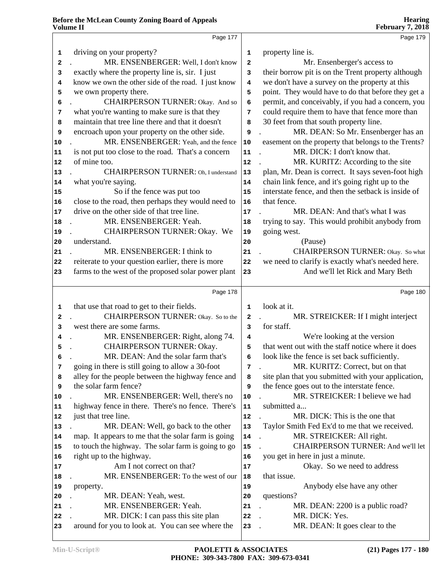|                             | Page 177                                            |              | Page 179                                                                                              |
|-----------------------------|-----------------------------------------------------|--------------|-------------------------------------------------------------------------------------------------------|
| 1                           | driving on your property?                           | 1            | property line is.                                                                                     |
| 2                           | MR. ENSENBERGER: Well, I don't know                 | $\mathbf{2}$ | Mr. Ensenberger's access to                                                                           |
| 3                           | exactly where the property line is, sir. I just     | 3            | their borrow pit is on the Trent property although                                                    |
| 4                           | know we own the other side of the road. I just know | 4            | we don't have a survey on the property at this                                                        |
|                             |                                                     | 5            | point. They would have to do that before they get a                                                   |
| 5                           | we own property there.                              |              |                                                                                                       |
| 6                           | CHAIRPERSON TURNER: Okay. And so                    | 6            | permit, and conceivably, if you had a concern, you<br>could require them to have that fence more than |
| 7                           | what you're wanting to make sure is that they       | 7            |                                                                                                       |
| 8                           | maintain that tree line there and that it doesn't   | 8            | 30 feet from that south property line.                                                                |
| 9                           | encroach upon your property on the other side.      | 9            | MR. DEAN: So Mr. Ensenberger has an                                                                   |
| 10                          | MR. ENSENBERGER: Yeah, and the fence                | ${\bf 10}$   | easement on the property that belongs to the Trents?                                                  |
| 11                          | is not put too close to the road. That's a concern  | 11           | MR. DICK: I don't know that.                                                                          |
| 12                          | of mine too.                                        | 12           | MR. KURITZ: According to the site                                                                     |
| 13                          | CHAIRPERSON TURNER: Oh, I understand                | 13           | plan, Mr. Dean is correct. It says seven-foot high                                                    |
| 14                          | what you're saying.                                 | 14           | chain link fence, and it's going right up to the                                                      |
| 15                          | So if the fence was put too                         | 15           | interstate fence, and then the setback is inside of                                                   |
| 16                          | close to the road, then perhaps they would need to  | 16           | that fence.                                                                                           |
| 17                          | drive on the other side of that tree line.          | 17           | MR. DEAN: And that's what I was                                                                       |
| 18                          | MR. ENSENBERGER: Yeah.                              | 18           | trying to say. This would prohibit anybody from                                                       |
| 19                          | CHAIRPERSON TURNER: Okay. We                        | 19           | going west.                                                                                           |
| 20                          | understand.                                         | 20           | (Pause)                                                                                               |
| 21                          | MR. ENSENBERGER: I think to                         | 21           | CHAIRPERSON TURNER: Okay. So what                                                                     |
| 22                          | reiterate to your question earlier, there is more   | 22           | we need to clarify is exactly what's needed here.                                                     |
| 23                          | farms to the west of the proposed solar power plant | 23           | And we'll let Rick and Mary Beth                                                                      |
|                             |                                                     |              |                                                                                                       |
|                             | Page 178                                            |              | Page 180                                                                                              |
|                             |                                                     |              |                                                                                                       |
| 1                           | that use that road to get to their fields.          | 1            | look at it.                                                                                           |
| 2                           | CHAIRPERSON TURNER: Okay. So to the                 | 2            | MR. STREICKER: If I might interject                                                                   |
| 3                           | west there are some farms.                          | 3            | for staff.                                                                                            |
| 4                           | MR. ENSENBERGER: Right, along 74.                   | 4            | We're looking at the version                                                                          |
| 5                           | CHAIRPERSON TURNER: Okay.                           | 5            | that went out with the staff notice where it does                                                     |
| 6                           | MR. DEAN: And the solar farm that's                 | 6            | look like the fence is set back sufficiently.                                                         |
| 7                           | going in there is still going to allow a 30-foot    | 7            | MR. KURITZ: Correct, but on that                                                                      |
| 8                           | alley for the people between the highway fence and  | 8            | site plan that you submitted with your application,                                                   |
| 9                           | the solar farm fence?                               | 9            | the fence goes out to the interstate fence.                                                           |
| 10                          | MR. ENSENBERGER: Well, there's no                   | 10           | MR. STREICKER: I believe we had                                                                       |
|                             | highway fence in there. There's no fence. There's   | 11           | submitted a                                                                                           |
|                             | just that tree line.                                | 12           | MR. DICK: This is the one that                                                                        |
|                             | MR. DEAN: Well, go back to the other                | 13           | Taylor Smith Fed Ex'd to me that we received.                                                         |
|                             | map. It appears to me that the solar farm is going  | 14           | MR. STREICKER: All right.                                                                             |
| 11<br>12<br> 13<br>14<br>15 | to touch the highway. The solar farm is going to go | 15           | CHAIRPERSON TURNER: And we'll let                                                                     |
|                             | right up to the highway.                            | 16           | you get in here in just a minute.                                                                     |
| 16<br>17                    | Am I not correct on that?                           | 17           | Okay. So we need to address                                                                           |
| 18                          | MR. ENSENBERGER: To the west of our                 | 18           | that issue.                                                                                           |
|                             | property.                                           | 19           | Anybody else have any other                                                                           |
| 19<br>20                    | MR. DEAN: Yeah, west.                               | 20           | questions?                                                                                            |
| 21                          | MR. ENSENBERGER: Yeah.                              | 21           | MR. DEAN: 2200 is a public road?                                                                      |
| 22                          | MR. DICK: I can pass this site plan                 | 22           | MR. DICK: Yes.                                                                                        |
| 23                          | around for you to look at. You can see where the    | 23           | MR. DEAN: It goes clear to the                                                                        |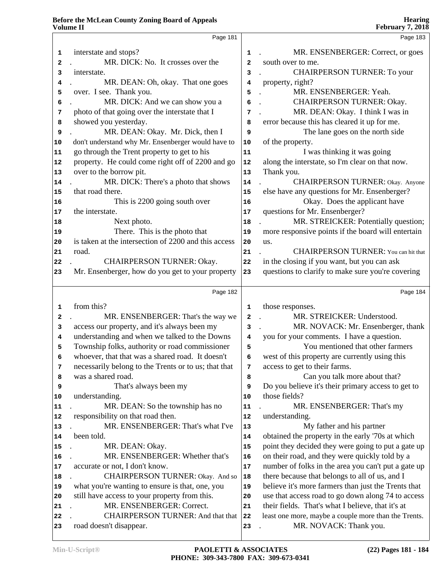| v олишс 11                                   |                                                      |                | $1$ correctly $7, 2010$                                    |
|----------------------------------------------|------------------------------------------------------|----------------|------------------------------------------------------------|
|                                              | Page 181                                             |                | Page 183                                                   |
| 1                                            | interstate and stops?                                | 1              | MR. ENSENBERGER: Correct, or goes                          |
| 2                                            | MR. DICK: No. It crosses over the                    | $\overline{a}$ | south over to me.                                          |
| 3                                            | interstate.                                          | 3              | <b>CHAIRPERSON TURNER: To your</b><br>$\ddot{\phantom{a}}$ |
| 4                                            | MR. DEAN: Oh, okay. That one goes                    | 4              | property, right?                                           |
| 5                                            | over. I see. Thank you.                              | 5              | MR. ENSENBERGER: Yeah.<br>$\ddot{\phantom{a}}$             |
| 6                                            | MR. DICK: And we can show you a                      | 6              | CHAIRPERSON TURNER: Okay.                                  |
| 7                                            | photo of that going over the interstate that I       | 7              | MR. DEAN: Okay. I think I was in                           |
| 8                                            | showed you yesterday.                                | 8              | error because this has cleared it up for me.               |
| 9                                            | MR. DEAN: Okay. Mr. Dick, then I                     | 9              | The lane goes on the north side                            |
| 10                                           | don't understand why Mr. Ensenberger would have to   | 10             | of the property.                                           |
| 11                                           | go through the Trent property to get to his          | 11             | I was thinking it was going                                |
| 12                                           | property. He could come right off of 2200 and go     | 12             | along the interstate, so I'm clear on that now.            |
| $13\,$                                       | over to the borrow pit.                              | 13             | Thank you.                                                 |
| 14                                           | MR. DICK: There's a photo that shows                 | 14             | <b>CHAIRPERSON TURNER: Okay. Anyone</b>                    |
| 15                                           | that road there.                                     | 15             | else have any questions for Mr. Ensenberger?               |
| 16                                           | This is 2200 going south over                        | 16             | Okay. Does the applicant have                              |
| 17                                           | the interstate.                                      | 17             | questions for Mr. Ensenberger?                             |
| 18                                           | Next photo.                                          | 18             | MR. STREICKER: Potentially question;                       |
| 19                                           | There. This is the photo that                        | 19             | more responsive points if the board will entertain         |
| 20                                           | is taken at the intersection of 2200 and this access | 20             | us.                                                        |
| 21                                           | road.                                                | 21             | <b>CHAIRPERSON TURNER:</b> You can hit that                |
| 22                                           | <b>CHAIRPERSON TURNER: Okay.</b>                     | ${\bf 22}$     | in the closing if you want, but you can ask                |
| 23                                           | Mr. Ensenberger, how do you get to your property     | 23             | questions to clarify to make sure you're covering          |
|                                              |                                                      |                |                                                            |
|                                              | Page 182                                             |                | Page 184                                                   |
| 1                                            | from this?                                           | 1              | those responses.                                           |
| 2                                            | MR. ENSENBERGER: That's the way we                   | $\overline{a}$ | MR. STREICKER: Understood.                                 |
| 3                                            | access our property, and it's always been my         | 3              | MR. NOVACK: Mr. Ensenberger, thank                         |
| 4                                            | understanding and when we talked to the Downs        | 4              | you for your comments. I have a question.                  |
| 5                                            | Township folks, authority or road commissioner       | 5              | You mentioned that other farmers                           |
| 6                                            | whoever, that that was a shared road. It doesn't     | 6              | west of this property are currently using this             |
| 7                                            | necessarily belong to the Trents or to us; that that | 7              | access to get to their farms.                              |
| 8                                            | was a shared road.                                   | 8              | Can you talk more about that?                              |
| 9                                            | That's always been my                                | 9              | Do you believe it's their primary access to get to         |
| 10                                           | understanding.                                       | 10             | those fields?                                              |
| 11                                           | MR. DEAN: So the township has no                     | 11             | MR. ENSENBERGER: That's my                                 |
| 12                                           | responsibility on that road then.                    | 12             | understanding.                                             |
| 13                                           |                                                      |                |                                                            |
|                                              | MR. ENSENBERGER: That's what I've                    | 13             | My father and his partner                                  |
|                                              | been told.                                           | 14             | obtained the property in the early '70s at which           |
|                                              | MR. DEAN: Okay.                                      | 15             | point they decided they were going to put a gate up        |
|                                              | MR. ENSENBERGER: Whether that's                      | 16             | on their road, and they were quickly told by a             |
|                                              | accurate or not, I don't know.                       | $17\,$         | number of folks in the area you can't put a gate up        |
|                                              | CHAIRPERSON TURNER: Okay. And so                     | ${\bf 18}$     | there because that belongs to all of us, and I             |
|                                              | what you're wanting to ensure is that, one, you      | 19             | believe it's more farmers than just the Trents that        |
|                                              | still have access to your property from this.        | 20             | use that access road to go down along 74 to access         |
| 14<br>15                                     | MR. ENSENBERGER: Correct.                            | 21             | their fields. That's what I believe, that it's at          |
|                                              | <b>CHAIRPERSON TURNER: And that that</b>             | ${\bf 22}$     | least one more, maybe a couple more than the Trents.       |
| 16<br>17<br>18<br>19<br>20<br>21<br>22<br>23 | road doesn't disappear.                              | 23             | MR. NOVACK: Thank you.                                     |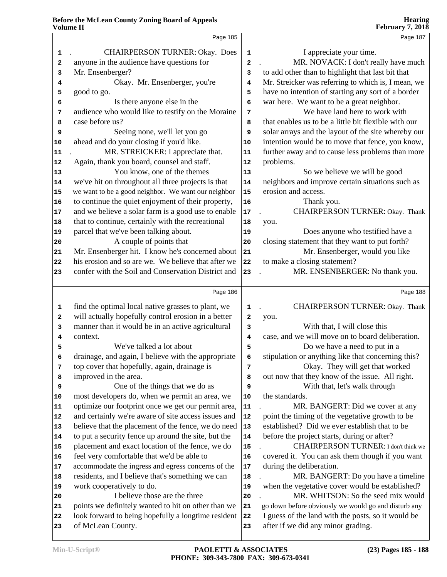|            | Page 185                                            |                         | Page 187                                             |
|------------|-----------------------------------------------------|-------------------------|------------------------------------------------------|
| 1          | <b>CHAIRPERSON TURNER: Okay. Does</b>               | $\mathbf 1$             | I appreciate your time.                              |
| 2          | anyone in the audience have questions for           | $\overline{\mathbf{2}}$ | MR. NOVACK: I don't really have much                 |
| 3          | Mr. Ensenberger?                                    | 3                       | to add other than to highlight that last bit that    |
| 4          | Okay. Mr. Ensenberger, you're                       | 4                       | Mr. Streicker was referring to which is, I mean, we  |
| 5          | good to go.                                         | 5                       | have no intention of starting any sort of a border   |
| 6          | Is there anyone else in the                         | 6                       | war here. We want to be a great neighbor.            |
| 7          | audience who would like to testify on the Moraine   | 7                       | We have land here to work with                       |
| 8          | case before us?                                     | 8                       | that enables us to be a little bit flexible with our |
| 9          | Seeing none, we'll let you go                       | 9                       | solar arrays and the layout of the site whereby our  |
| 10         | ahead and do your closing if you'd like.            | 10                      | intention would be to move that fence, you know,     |
| 11         | MR. STREICKER: I appreciate that.                   | 11                      | further away and to cause less problems than more    |
| 12         | Again, thank you board, counsel and staff.          | $12\,$                  | problems.                                            |
| 13         | You know, one of the themes                         | 13                      | So we believe we will be good                        |
| ${\bf 14}$ | we've hit on throughout all three projects is that  | ${\bf 14}$              | neighbors and improve certain situations such as     |
| 15         | we want to be a good neighbor. We want our neighbor | 15                      | erosion and access.                                  |
| 16         | to continue the quiet enjoyment of their property,  | 16                      | Thank you.                                           |
| 17         | and we believe a solar farm is a good use to enable | $17$                    | CHAIRPERSON TURNER: Okay. Thank                      |
| 18         | that to continue, certainly with the recreational   | 18                      | you.                                                 |
| 19         | parcel that we've been talking about.               | 19                      | Does anyone who testified have a                     |
| 20         | A couple of points that                             | ${\bf 20}$              | closing statement that they want to put forth?       |
| 21         | Mr. Ensenberger hit. I know he's concerned about    | 21                      | Mr. Ensenberger, would you like                      |
| 22         | his erosion and so are we. We believe that after we | 22                      | to make a closing statement?                         |
| 23         | confer with the Soil and Conservation District and  | 23                      | MR. ENSENBERGER: No thank you.                       |
|            |                                                     |                         |                                                      |
|            | Page 186                                            |                         | Page 188                                             |
| 1          | find the optimal local native grasses to plant, we  | $\mathbf 1$             | CHAIRPERSON TURNER: Okay. Thank                      |
| 2          | will actually hopefully control erosion in a better | $\mathbf 2$             | you.                                                 |
| 3          | manner than it would be in an active agricultural   | 3                       | With that, I will close this                         |
| 4          | context.                                            | $\overline{\mathbf{4}}$ | case, and we will move on to board deliberation.     |
| 5          | We've talked a lot about                            | 5                       | Do we have a need to put in a                        |
| 6          | drainage, and again, I believe with the appropriate | 6                       | stipulation or anything like that concerning this?   |
| 7          | top cover that hopefully, again, drainage is        | 7                       | Okay. They will get that worked                      |
| 8          | improved in the area.                               | 8                       | out now that they know of the issue. All right.      |
| 9          | One of the things that we do as                     | 9                       | With that, let's walk through                        |
| 10         | most developers do, when we permit an area, we      | 10                      | the standards.                                       |
| 11         | optimize our footprint once we get our permit area, | ${\bf 11}$              | MR. BANGERT: Did we cover at any                     |
| 12         | and certainly we're aware of site access issues and | ${\bf 12}$              | point the timing of the vegetative growth to be      |
| 13         | believe that the placement of the fence, we do need | $13$                    | established? Did we ever establish that to be        |
| 14         | to put a security fence up around the site, but the | ${\bf 14}$              | before the project starts, during or after?          |
| 15         | placement and exact location of the fence, we do    | 15                      | <b>CHAIRPERSON TURNER:</b> I don't think we          |
| 16         | feel very comfortable that we'd be able to          | ${\bf 16}$              | covered it. You can ask them though if you want      |
| 17         | accommodate the ingress and egress concerns of the  | 17                      | during the deliberation.                             |
| 18         | residents, and I believe that's something we can    | 18                      | MR. BANGERT: Do you have a timeline                  |
| 19         | work cooperatively to do.                           | 19                      | when the vegetative cover would be established?      |
| 20         | I believe those are the three                       | 20                      | MR. WHITSON: So the seed mix would                   |
| 21         | points we definitely wanted to hit on other than we | 21                      | go down before obviously we would go and disturb any |
| 22         | look forward to being hopefully a longtime resident | ${\bf 22}$              | I guess of the land with the posts, so it would be   |
| 23         | of McLean County.                                   | 23                      | after if we did any minor grading.                   |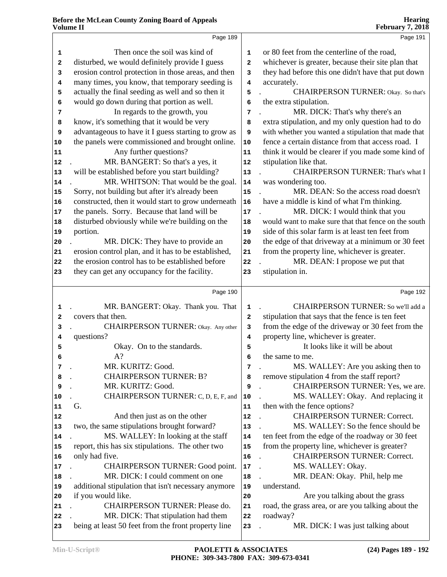|              | Page 189                                                                                                |                         | Page 191                                                                         |
|--------------|---------------------------------------------------------------------------------------------------------|-------------------------|----------------------------------------------------------------------------------|
| 1            | Then once the soil was kind of                                                                          | $\mathbf 1$             | or 80 feet from the centerline of the road,                                      |
| 2            | disturbed, we would definitely provide I guess                                                          | 2                       | whichever is greater, because their site plan that                               |
| 3            | erosion control protection in those areas, and then                                                     | 3                       | they had before this one didn't have that put down                               |
| 4            | many times, you know, that temporary seeding is                                                         | $\overline{\mathbf{4}}$ | accurately.                                                                      |
| 5            | actually the final seeding as well and so then it                                                       | 5                       | <b>CHAIRPERSON TURNER:</b> Okay. So that's                                       |
| 6            | would go down during that portion as well.                                                              | 6                       | the extra stipulation.                                                           |
| 7            | In regards to the growth, you                                                                           | 7                       | MR. DICK: That's why there's an                                                  |
| 8            | know, it's something that it would be very                                                              | 8                       | extra stipulation, and my only question had to do                                |
| 9            | advantageous to have it I guess starting to grow as                                                     | 9                       | with whether you wanted a stipulation that made that                             |
| 10           | the panels were commissioned and brought online.                                                        | $10$                    | fence a certain distance from that access road. I                                |
| 11           | Any further questions?                                                                                  | 11                      | think it would be clearer if you made some kind of                               |
| 12           | MR. BANGERT: So that's a yes, it                                                                        | 12                      | stipulation like that.                                                           |
| 13           | will be established before you start building?                                                          | 13                      | CHAIRPERSON TURNER: That's what I                                                |
| 14           | MR. WHITSON: That would be the goal.                                                                    | 14                      | was wondering too.                                                               |
| 15           | Sorry, not building but after it's already been                                                         | 15                      | MR. DEAN: So the access road doesn't                                             |
| 16           | constructed, then it would start to grow underneath                                                     | 16                      | have a middle is kind of what I'm thinking.                                      |
|              | the panels. Sorry. Because that land will be                                                            | $17\,$                  | MR. DICK: I would think that you                                                 |
| 17           | disturbed obviously while we're building on the                                                         | 18                      | would want to make sure that that fence on the south                             |
| 18<br>19     | portion.                                                                                                | 19                      | side of this solar farm is at least ten feet from                                |
|              |                                                                                                         |                         | the edge of that driveway at a minimum or 30 feet                                |
| 20           | MR. DICK: They have to provide an                                                                       | 20                      |                                                                                  |
| 21           | erosion control plan, and it has to be established,<br>the erosion control has to be established before | 21                      | from the property line, whichever is greater.<br>MR. DEAN: I propose we put that |
| 22           |                                                                                                         | 22                      |                                                                                  |
| 23           | they can get any occupancy for the facility.                                                            | 23                      | stipulation in.                                                                  |
|              | Page 190                                                                                                |                         | Page 192                                                                         |
| 1            | MR. BANGERT: Okay. Thank you. That                                                                      | $\mathbf 1$             | CHAIRPERSON TURNER: So we'll add a                                               |
| $\mathbf{2}$ | covers that then.                                                                                       | 2                       | stipulation that says that the fence is ten feet                                 |
| 3            | CHAIRPERSON TURNER: Okay. Any other                                                                     | 3                       | from the edge of the driveway or 30 feet from the                                |
| 4            | questions?                                                                                              | 4                       | property line, whichever is greater.                                             |
| 5            | Okay. On to the standards.                                                                              | 5                       | It looks like it will be about                                                   |
| 6            | A?                                                                                                      | 6                       | the same to me.                                                                  |
| 7            | MR. KURITZ: Good.                                                                                       | 7                       | MS. WALLEY: Are you asking then to                                               |
| 8            | <b>CHAIRPERSON TURNER: B?</b>                                                                           | 8                       | remove stipulation 4 from the staff report?                                      |
| 9            | MR. KURITZ: Good.                                                                                       | 9                       | CHAIRPERSON TURNER: Yes, we are.                                                 |
| 10           | CHAIRPERSON TURNER: C, D, E, F, and                                                                     | 10                      | MS. WALLEY: Okay. And replacing it                                               |
| 11           | G.                                                                                                      | 11                      | then with the fence options?                                                     |
| 12           | And then just as on the other                                                                           | 12                      | <b>CHAIRPERSON TURNER: Correct.</b>                                              |
| 13           | two, the same stipulations brought forward?                                                             | 13                      | MS. WALLEY: So the fence should be                                               |
| 14           | MS. WALLEY: In looking at the staff                                                                     | 14                      | ten feet from the edge of the roadway or 30 feet                                 |
| 15           | report, this has six stipulations. The other two                                                        | 15                      | from the property line, whichever is greater?                                    |
| 16           | only had five.                                                                                          | 16                      | <b>CHAIRPERSON TURNER: Correct.</b>                                              |
| 17           | CHAIRPERSON TURNER: Good point.                                                                         | $17\,$                  | MS. WALLEY: Okay.                                                                |
| 18           | MR. DICK: I could comment on one                                                                        | 18                      | MR. DEAN: Okay. Phil, help me                                                    |
| 19           | additional stipulation that isn't necessary anymore                                                     | 19                      | understand.                                                                      |
| 20           | if you would like.                                                                                      | 20                      | Are you talking about the grass                                                  |
| 21           | CHAIRPERSON TURNER: Please do.                                                                          | 21                      | road, the grass area, or are you talking about the                               |
| 22           | MR. DICK: That stipulation had them                                                                     | 22                      | roadway?                                                                         |
| 23           | being at least 50 feet from the front property line                                                     | 23                      | MR. DICK: I was just talking about                                               |
|              |                                                                                                         |                         |                                                                                  |

**Hearing**

**February 7, 2018**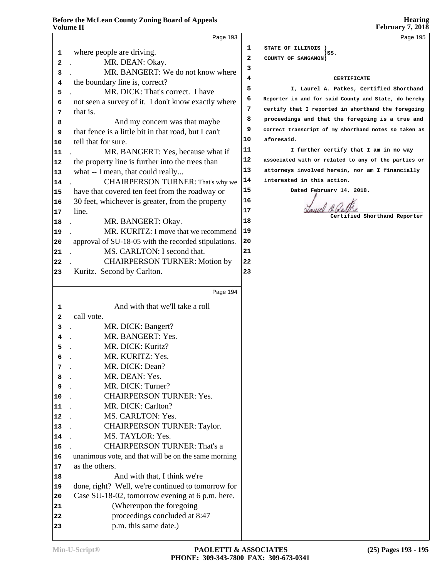| Volume II    |                                                                             |              | February 7, $201\overline{8}$                        |
|--------------|-----------------------------------------------------------------------------|--------------|------------------------------------------------------|
|              | Page 193                                                                    |              | Page 195                                             |
| 1            | where people are driving.                                                   | 1            | STATE OF ILLINOIS )<br>)SS.                          |
| $\mathbf{2}$ | MR. DEAN: Okay.                                                             | $\mathbf{2}$ | COUNTY OF SANGAMON)                                  |
| 3            | MR. BANGERT: We do not know where                                           | з            |                                                      |
| 4            | the boundary line is, correct?                                              | 4            | <b>CERTIFICATE</b>                                   |
| 5            | MR. DICK: That's correct. I have                                            | 5            | I, Laurel A. Patkes, Certified Shorthand             |
| 6            | not seen a survey of it. I don't know exactly where                         | 6            | Reporter in and for said County and State, do hereby |
| 7            | that is.                                                                    | 7            | certify that I reported in shorthand the foregoing   |
| 8            | And my concern was that maybe                                               | 8            | proceedings and that the foregoing is a true and     |
| 9            | that fence is a little bit in that road, but I can't                        | 9            | correct transcript of my shorthand notes so taken as |
| 10           | tell that for sure.                                                         | 10           | aforesaid.                                           |
| 11           | MR. BANGERT: Yes, because what if                                           | 11           | I further certify that I am in no way                |
| 12           | the property line is further into the trees than                            | 12           | associated with or related to any of the parties or  |
| 13           | what -- I mean, that could really                                           | 13           | attorneys involved herein, nor am I financially      |
| 14           | CHAIRPERSON TURNER: That's why we                                           | 14           | interested in this action.                           |
| 15           | have that covered ten feet from the roadway or                              | 15           | Dated February 14, 2018.                             |
| 16           | 30 feet, whichever is greater, from the property                            | 16           |                                                      |
| 17           | line.                                                                       | 17           | Certified Shorthand Reporter                         |
| 18           | MR. BANGERT: Okay.                                                          | 18           |                                                      |
| 19           | MR. KURITZ: I move that we recommend                                        | 19           |                                                      |
| 20           | approval of SU-18-05 with the recorded stipulations.                        | 20           |                                                      |
| 21           | MS. CARLTON: I second that.                                                 | 21           |                                                      |
| 22           | <b>CHAIRPERSON TURNER: Motion by</b>                                        | 22           |                                                      |
| 23           | Kuritz. Second by Carlton.                                                  | 23           |                                                      |
|              |                                                                             |              |                                                      |
|              | Page 194                                                                    |              |                                                      |
| 1            | And with that we'll take a roll                                             |              |                                                      |
| 2            | call vote.                                                                  |              |                                                      |
| 3            | MR. DICK: Bangert?                                                          |              |                                                      |
| 4            | MR. BANGERT: Yes.                                                           |              |                                                      |
| 5            | MR. DICK: Kuritz?                                                           |              |                                                      |
| 6            | MR. KURITZ: Yes.                                                            |              |                                                      |
| 7            | MR. DICK: Dean?                                                             |              |                                                      |
| 8            | MR. DEAN: Yes.                                                              |              |                                                      |
| 9            | MR. DICK: Turner?                                                           |              |                                                      |
| 10           | <b>CHAIRPERSON TURNER: Yes.</b>                                             |              |                                                      |
| 11           | MR. DICK: Carlton?                                                          |              |                                                      |
| 12           | MS. CARLTON: Yes.                                                           |              |                                                      |
| 13           | <b>CHAIRPERSON TURNER: Taylor.</b>                                          |              |                                                      |
| 14           | MS. TAYLOR: Yes.<br>$\sim$<br><b>CHAIRPERSON TURNER: That's a</b>           |              |                                                      |
| 15           |                                                                             |              |                                                      |
| 16           | unanimous vote, and that will be on the same morning<br>as the others.      |              |                                                      |
| 17           | And with that, I think we're                                                |              |                                                      |
| 18           |                                                                             |              |                                                      |
| 19           | done, right? Well, we're continued to tomorrow for                          |              |                                                      |
| 20           | Case SU-18-02, tomorrow evening at 6 p.m. here.<br>(Whereupon the foregoing |              |                                                      |
| 21           | proceedings concluded at 8:47                                               |              |                                                      |
| 22           | p.m. this same date.)                                                       |              |                                                      |
| 23           |                                                                             |              |                                                      |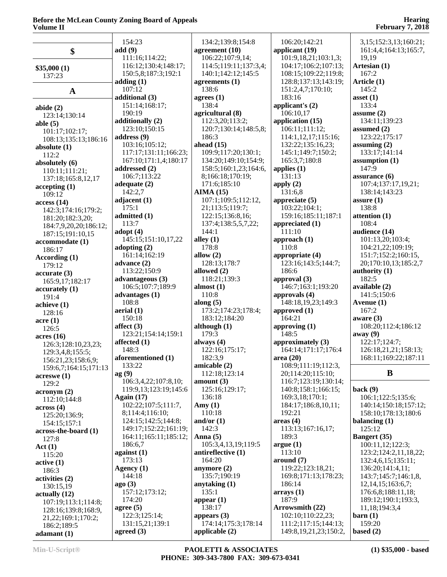|                                            | 154:23                                  | 134:2;139:8;154:8                    | 106:20;142:21                            | 3,15;152:3,13;160:21;                          |
|--------------------------------------------|-----------------------------------------|--------------------------------------|------------------------------------------|------------------------------------------------|
| \$                                         | add(9)<br>111:16;114:22;                | agreement $(10)$<br>106:22;107:9,14; | applicant $(19)$<br>101:9,18,21;103:1,3; | 161:4,4;164:13;165:7,<br>19,19                 |
|                                            | 116:12;130:4;148:17;                    | 114:5;119:11;137:3,4;                | 104:17;106:2;107:13;                     | Artesian (1)                                   |
| \$35,000(1)                                | 150:5,8;187:3;192:1                     | 140:1;142:12;145:5                   | 108:15;109:22;119:8;                     | 167:2                                          |
| 137:23                                     | adding(1)                               | agreements $(1)$                     | 128:8;137:13;143:19;                     | Article (1)                                    |
| $\mathbf A$                                | 107:12                                  | 138:6                                | 151:2,4,7;170:10;                        | 145:2                                          |
|                                            | additional (3)                          | agrees $(1)$                         | 183:16                                   | asset $(1)$                                    |
| abide $(2)$                                | 151:14;168:17;                          | 138:4                                | applicant's $(2)$                        | 133:4                                          |
| 123:14;130:14                              | 190:19                                  | agricultural (8)                     | 106:10,17                                | assume $(2)$                                   |
| able $(5)$                                 | additionally (2)                        | 112:3,20;113:2;                      | application (15)                         | 134:11;139:23                                  |
| 101:17;102:17;                             | 123:10;150:15                           | 120:7;130:14;148:5,8;                | 106:11;111:12;                           | assumed $(2)$                                  |
| 108:13;135:13;186:16                       | address $(9)$                           | 186:3                                | 114:1,12,17;115:16;                      | 123:22;175:17                                  |
| absolute $(1)$                             | 103:16;105:12;<br>117:17;131:11;166:23; | ahead $(15)$<br>109:9;117:20;130:1;  | 132:22;135:16,23;<br>145:1;149:7;150:2;  | assuming $(2)$<br>133:17;141:14                |
| 112:2                                      | 167:10;171:1,4;180:17                   | 134:20;149:10;154:9;                 | 165:3,7;180:8                            | assumption $(1)$                               |
| absolutely (6)                             | addressed $(2)$                         | 158:5;160:1,23;164:6,                | applies $(1)$                            | 147:9                                          |
| 110:11;111:21;<br>137:18;165:8,12,17       | 106:7;113:22                            | 8;166:18;170:19;                     | 131:13                                   | assurance $(6)$                                |
| accepting(1)                               | adequate $(2)$                          | 171:6;185:10                         | apply $(2)$                              | 107:4;137:17,19,21;                            |
| 109:12                                     | 142:2,7                                 | AIMA(15)                             | 131:6,8                                  | 138:14;143:23                                  |
| access(14)                                 | adjacent $(1)$                          | 107:1;109:5;112:12,                  | appreciate $(5)$                         | assure $(1)$                                   |
| 142:3;174:16;179:2;                        | 175:1                                   | 21;113:5;119:7;                      | 103:22;104:1;                            | 138:8                                          |
| 181:20;182:3,20;                           | admitted (1)                            | 122:15;136:8,16;                     | 159:16;185:11;187:1                      | attention (1)                                  |
| 184:7,9,20,20;186:12;                      | 113:7<br>adopt $(4)$                    | 137:4;138:5,5,7,22;<br>144:1         | appreciated $(1)$<br>111:10              | 108:4<br>audience (14)                         |
| 187:15;191:10,15                           | 145:15;151:10,17,22                     | alley $(1)$                          | approach $(1)$                           | 101:13,20;103:4;                               |
| accommodate (1)                            | adopting $(2)$                          | 178:8                                | 110:8                                    | 104:21,22;109:19;                              |
| 186:17<br>According (1)                    | 161:14;162:19                           | allow $(2)$                          | appropriate (4)                          | 151:7;152:2;160:15,                            |
| 179:12                                     | advance $(2)$                           | 128:13;178:7                         | 123:16;143:5;144:7;                      | 20;170:10,13;185:2,7                           |
| accurate(3)                                | 113:22;150:9                            | allowed (2)                          | 186:6                                    | authority (1)                                  |
| 165:9,17;182:17                            | advantageous (3)                        | 118:21;139:3                         | approval $(3)$                           | 182:5                                          |
| accuracy(1)                                | 106:5;107:7;189:9                       | almost $(1)$                         | 146:7;163:1;193:20                       | available (2)                                  |
| 191:4                                      | advantages (1)                          | 110:8                                | approvals (4)                            | 141:5;150:6                                    |
| achieve(1)                                 | 108:8                                   | along $(5)$                          | 148:18,19,23;149:3                       | Avenue (1)                                     |
| 128:16                                     | aerial (1)<br>150:18                    | 173:2;174:23;178:4;                  | approved $(1)$<br>164:21                 | 167:2                                          |
| $\arccan(1)$                               | affect $(3)$                            | 183:12;184:20<br>although $(1)$      | approving $(1)$                          | aware $(3)$<br>108:20;112:4;186:12             |
| 126:5                                      | 123:21;154:14;159:1                     | 179:3                                | 148:5                                    | away (9)                                       |
| acres(16)<br>126:3;128:10,23,23;           | affected $(1)$                          | always $(4)$                         | approximately (3)                        | 122:17;124:7;                                  |
| 129:3,4,8;155:5;                           | 148:3                                   | 122:16;175:17;                       | 164:14;171:17;176:4                      | 126:18,21,21;158:13;                           |
| 156:21,23;158:6,9;                         | aforementioned (1)                      | 182:3,9                              | area $(20)$                              | 168:11;169:22;187:11                           |
| 159:6,7;164:15;171:13                      | 133:22                                  | amicable (2)                         | 108:9;111:19;112:3,                      |                                                |
| acreswe(1)                                 | ag(9)                                   | 112:18;123:14                        | 20;114:20;115:10;                        | B                                              |
| 129:2                                      | 106:3,4,22;107:8,10;                    | amount $(3)$                         | 116:7;123:19;130:14;                     |                                                |
| acronym(2)                                 | 119:9,13;123:19;145:6                   | 125:16;129:17;<br>136:18             | 140:8;158:1;166:15;<br>169:3,18;170:1;   | back(9)<br>106:1;122:5;135:6;                  |
| 112:10;144:8                               | Again $(17)$<br>102:22;107:5;111:7,     | Amy $(1)$                            | 184:17;186:8,10,11;                      | 140:14;150:18;157:12;                          |
| across(4)                                  | 8;114:4;116:10;                         | 110:18                               | 192:21                                   | 158:10;178:13;180:6                            |
| 125:20;136:9;<br>154:15;157:1              | 124:15;142:5;144:8;                     | and/or $(1)$                         | area <sub>4</sub>                        | balancing $(1)$                                |
| across-the-board (1)                       | 149:17;152:22;161:19;                   | 142:3                                | 113:13;167:16,17;                        | 125:12                                         |
| 127:8                                      | 164:11;165:11;185:12;                   | Anna $(5)$                           | 189:3                                    | <b>Bangert</b> (35)                            |
| Act(1)                                     | 186:6,7                                 | 105:3,4,13,19;119:5                  | argue(1)                                 | 100:11,12;122:3;                               |
| 115:20                                     | against $(1)$                           | antireflective (1)                   | 113:10                                   | 123:2;124:2,11,18,22;                          |
| active(1)                                  | 173:13                                  | 164:20                               | around (7)                               | 132:4,6,15;135:11;                             |
| 186:3                                      | Agency $(1)$<br>144:18                  | anymore $(2)$<br>135:7;190:19        | 119:22;123:18,21;                        | 136:20;141:4,11;                               |
| activities (2)                             | ago(3)                                  | anytaking $(1)$                      | 169:8;171:13;178:23;<br>186:14           | 143:7;145:7;146:1,8,<br>12, 14, 15; 163: 6, 7; |
| 130:15,19                                  | 157:12;173:12;                          | 135:1                                | $\arrows$ (1)                            | 176:6,8;188:11,18;                             |
| actually(12)                               | 174:20                                  | appear $(1)$                         | 187:9                                    | 189:12;190:1;193:3,                            |
| 107:19;113:1;114:8;<br>128:16;139:8;168:9, | agree $(5)$                             | 138:17                               | Arrowsmith (22)                          | 11,18;194:3,4                                  |
| 21, 22; 169: 1; 170: 2;                    | 122:3;125:14;                           | appears $(3)$                        | 102:10;110:22,23;                        | $\rm {barn}$ (1)                               |
| 186:2;189:5                                | 131:15,21;139:1                         | 174:14;175:3;178:14                  | 111:2;117:15;144:13;                     | 159:20                                         |
| adamant(1)                                 | agreed $(3)$                            | applicable $(2)$                     | 149:8, 19, 21, 23; 150:2,                | based $(2)$                                    |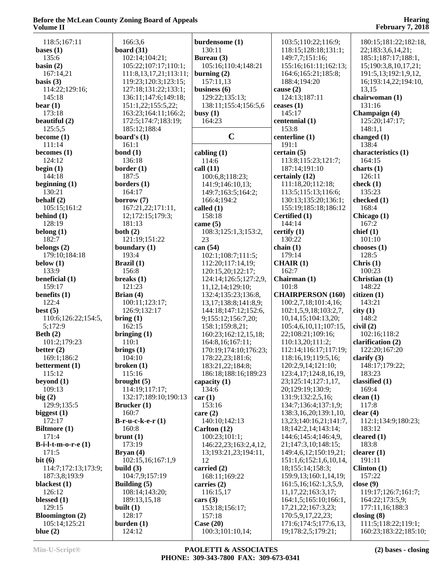| 118:5;167:11                | 166:3,6                | burdensome (1)                  | 103:5;110:22;116:9;                         | 180:15;181:22;182:18,                        |
|-----------------------------|------------------------|---------------------------------|---------------------------------------------|----------------------------------------------|
| bases $(1)$                 | board $(31)$           | 130:11                          | 118:15;128:18;131:1;                        | 22;183:3,6,14,21;                            |
| 135:6                       | 102:14;104:21;         | Bureau (3)                      | 149:7,7;151:16;                             | 185:1;187:17;188:1,                          |
|                             |                        |                                 |                                             |                                              |
| basin $(2)$                 | 105:22;107:17;110:1;   | 105:16;110:4;148:21             | 155:16;161:11;162:13;                       | 15;190:3,8,10,17,21;                         |
| 167:14,21                   | 111:8,13,17,21;113:11; | burning $(2)$                   | 164:6;165:21;185:8;                         | 191:5,13;192:1,9,12,                         |
| basis $(3)$                 | 119:23;120:3;123:15;   | 157:11,13                       | 188:4;194:20                                | 16;193:14,22;194:10,                         |
| 114:22;129:16;              | 127:18;131:22;133:1;   | business (6)                    | cause $(2)$                                 | 13,15                                        |
| 145:18                      | 136:11;147:6;149:18;   | 129:22;135:13;                  | 124:13;187:11                               | chairwoman (1)                               |
| bear $(1)$                  | 151:1,22;155:5,22;     | 138:11;155:4;156:5,6            | ceases $(1)$                                | 131:16                                       |
|                             |                        |                                 |                                             |                                              |
| 173:18                      | 163:23;164:11;166:2;   | busy $(1)$                      | 145:17                                      | Champaign (4)                                |
| beautiful (2)               | 172:5;174:7;183:19;    | 164:23                          | centennial (1)                              | 125:20;147:17;                               |
| 125:5,5                     | 185:12;188:4           |                                 | 153:8                                       | 148:1,1                                      |
| become $(1)$                | board's $(1)$          | $\mathbf C$                     | centerline (1)                              | changed $(1)$                                |
| 111:14                      | 161:1                  |                                 | 191:1                                       | 138:4                                        |
| becomes $(1)$               | bond $(1)$             | cabling $(1)$                   | certain(5)                                  | characteristics (1)                          |
|                             |                        |                                 |                                             |                                              |
| 124:12                      | 136:18                 | 114:6                           | 113:8;115:23;121:7;                         | 164:15                                       |
| begin $(1)$                 | border $(1)$           | call $(11)$                     | 187:14;191:10                               | charts $(1)$                                 |
| 144:18                      | 187:5                  | 100:6,8;118:23;                 | certainly (12)                              | 126:11                                       |
| beginning $(1)$             | borders $(1)$          | 141:9;146:10,13;                | 111:18,20;112:18;                           | check $(1)$                                  |
| 130:21                      | 164:17                 | 149:7;163:5;164:2;              | 113:5;115:13;116:6;                         | 135:23                                       |
| behalf $(2)$                | borrow $(7)$           | 166:4;194:2                     | 130:13;135:20;136:1;                        | checked (1)                                  |
|                             |                        |                                 |                                             |                                              |
| 105:15;161:2                | 167:21,22;171:11,      | called $(1)$                    | 155:19;185:18;186:12                        | 168:4                                        |
| behind $(1)$                | 12;172:15;179:3;       | 158:18                          | Certified (1)                               | Chicago (1)                                  |
| 128:19                      | 181:13                 | came $(5)$                      | 144:14                                      | 167:2                                        |
| belong $(1)$                | both $(2)$             | 108:3;125:1,3;153:2,            | certify $(1)$                               | chief(1)                                     |
| 182:7                       | 121:19;151:22          | 23                              | 130:22                                      | 101:10                                       |
| belongs $(2)$               | boundary (1)           | can (54)                        | chain $(1)$                                 | chooses $(1)$                                |
| 179:10;184:18               | 193:4                  | 102:1;108:7;111:5;              | 179:14                                      | 128:5                                        |
|                             |                        |                                 |                                             |                                              |
| below $(1)$                 | Brazil (1)             | 112:20;117:14,19;               | CHAIR(1)                                    | Christ (1)                                   |
| 133:9                       | 156:8                  | 120:15,20;122:17;               | 162:7                                       | 100:23                                       |
| beneficial (1)              | breaks $(1)$           | 124:14;126:5;127:2,9,           | Chairman (1)                                | Christian (1)                                |
| 159:17                      | 121:23                 | 11, 12, 14; 129: 10;            | 101:8                                       | 148:22                                       |
| benefits $(1)$              | Brian $(4)$            | 132:4;135:23;136:8,             | <b>CHAIRPERSON (160)</b>                    | citizen(1)                                   |
| 122:4                       | 100:11;123:17;         | 13, 17; 138: 8; 141: 8, 9;      | 100:2,7,18;101:4,16;                        | 143:21                                       |
| best $(5)$                  | 126:9;132:17           |                                 | 102:1,5,9,18;103:2,7,                       | city(1)                                      |
|                             |                        | 144:18;147:12;152:6,            |                                             |                                              |
| 110:6;126:22;154:5,         | bring(1)               | 9;155:12;156:7,20;              | 10,14,15;104:13,20;                         | 148:2                                        |
| 5;172:9                     | 162:15                 | 158:1;159:8,21;                 | 105:4,6,10,11;107:15,                       | civil(2)                                     |
| Beth $(2)$                  | bringing $(1)$         | 160:23;162:12,15,18;            | 22;108:21;109:16;                           | 102:16;118:2                                 |
| 101:2;179:23                | 110:1                  | 164:8,16;167:11;                | 110:13,20;111:2;                            | clarification (2)                            |
| better $(2)$                | brings $(1)$           | 170:19;174:10;176:23;           | 112:14;116:17;117:19;                       | 122:20;167:20                                |
| 169:1;186:2                 | 104:10                 | 178:22,23;181:6;                | 118:16,19;119:5,16;                         | clarify $(3)$                                |
| betterment (1)              | broken(1)              | 183:21,22;184:8;                | 120:2,9,14;121:10;                          | 148:17;179:22;                               |
| 115:12                      | 115:16                 |                                 |                                             | 183:23                                       |
|                             |                        | 186:18;188:16;189:23            | 123:4, 17; 124:8, 16, 19,                   |                                              |
| beyond $(1)$                | brought $(5)$          | capacity $(1)$                  | 23;125:14;127:1,17,                         | classified (1)                               |
| 109:13                      | 114:19;117:17;         | 134:6                           | 20;129:19;130:9;                            | 169:4                                        |
| big(2)                      | 132:17;189:10;190:13   | car(1)                          | 131:9;132:2,5,16;                           | clean $(1)$                                  |
| 129:9;135:5                 | Brucker $(1)$          | 153:16                          | 134:7;136:4;137:1,9;                        | 117:8                                        |
| biggest $(1)$               | 160:7                  | care $(2)$                      | 138:3, 16, 20; 139: 1, 10,                  | clear $(4)$                                  |
| 172:17                      | $B-r-u-c-k-e-r(1)$     | 140:10;142:13                   | 13, 23; 140: 16, 21; 141: 7,                | 112:1;134:9;180:23;                          |
|                             |                        |                                 |                                             |                                              |
| <b>Biltmore</b> (1)         | 160:8                  | Carlton $(12)$                  | 18;142:2,14;143:14;                         | 183:12                                       |
| 171:4                       | brunt(1)               | 100:23;101:1;                   | 144:6;145:4;146:4,9,                        | cleared $(1)$                                |
| B-i-l-t- $m$ -o-r-e $(1)$   | 173:19                 | 146:22,23;163:2,4,12,           | 21;147:3,10;148:15;                         | 183:8                                        |
| 171:5                       | Bryan $(4)$            | 13;193:21,23;194:11,            | 149:4,6,12;150:19,21;                       | clearer $(1)$                                |
| bit(6)                      | 102:15,16;167:1,9      | 12                              | 151:1,6;152:1,6,10,14,                      | 191:11                                       |
| 114:7;172:13;173:9;         | build $(3)$            | carried $(2)$                   | 18;155:14;158:3;                            | Clinton $(1)$                                |
|                             |                        |                                 |                                             | 157:22                                       |
| 187:3,8;193:9               | 104:7,9;157:19         | 168:11;169:22                   | 159:9,13;160:1,14,19;                       |                                              |
| blackest $(1)$              | Building (5)           | carries $(2)$                   | 161:5, 16; 162:1, 3, 5, 9,                  | close $(9)$                                  |
| 126:12                      | 108:14;143:20;         | 116:15,17                       | 11, 17, 22; 163: 3, 17;                     | 119:17;126:7;161:7;                          |
| blessed $(1)$               | 189:13,15,18           | cars $(3)$                      | 164:1,5;165:10;166:1,                       | 164:22;173:5,9;                              |
| 129:15                      | built $(1)$            | 153:18;156:17;                  | 17, 21, 22; 167: 3, 23;                     | 177:11,16;188:3                              |
| <b>Bloomington (2)</b>      | 128:17                 | 157:18                          | 170:5,9,17,22,23;                           | closing $(8)$                                |
|                             |                        |                                 |                                             |                                              |
|                             |                        |                                 |                                             |                                              |
| 105:14;125:21<br>blue $(2)$ | burden(1)<br>124:12    | Case $(20)$<br>100:3;101:10,14; | 171:6;174:5;177:6,13,<br>19;178:2,5;179:21; | 111:5;118:22;119:1;<br>160:23;183:22;185:10; |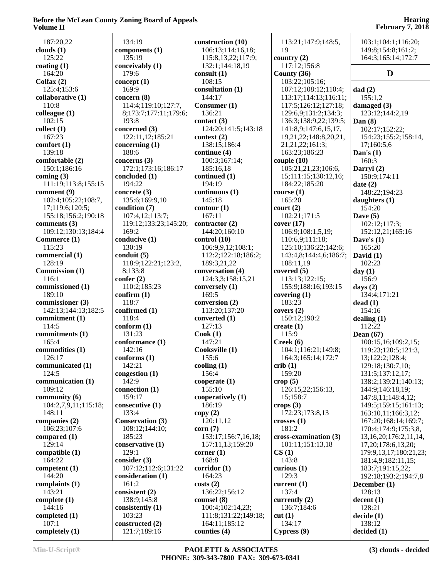|                              | 134:19                               |                                        | 113:21;147:9;148:5,                 |                                                   |
|------------------------------|--------------------------------------|----------------------------------------|-------------------------------------|---------------------------------------------------|
| 187:20,22<br>clouds $(1)$    | components (1)                       | construction (10)<br>106:13;114:16,18; | 19                                  | 103:1;104:1;116:20;<br>149:8;154:8;161:2;         |
| 125:22                       | 135:19                               | 115:8,13,22;117:9;                     | country $(2)$                       | 164:3;165:14;172:7                                |
| coating $(1)$                | conceivably (1)                      | 132:1;144:18,19                        | 117:12;156:8                        |                                                   |
| 164:20                       | 179:6                                | consult $(1)$                          | County $(36)$                       | D                                                 |
| $Col$ fax $(2)$              | concept $(1)$                        | 108:15                                 | 103:22;105:16;                      |                                                   |
| 125:4;153:6                  | 169:9                                | consultation (1)                       | 107:12;108:12;110:4;                | dad(2)                                            |
| collaborative (1)            | concern (8)                          | 144:17                                 | 113:17;114:13;116:11;               | 155:1,2                                           |
| 110:8                        | 114:4;119:10;127:7,                  | Consumer (1)                           | 117:5;126:12;127:18;                | damaged (3)                                       |
| colleague(1)                 | 8;173:7;177:11;179:6;                | 136:21                                 | 129:6,9;131:2;134:3;                | 123:12;144:2,19                                   |
| 102:15                       | 193:8                                | contact $(3)$                          | 136:3;138:9,22;139:5;               | Dan $(8)$                                         |
| collect(1)                   | concerned (3)                        | 124:20;141:5;143:18                    | 141:8,9;147:6,15,17,                | 102:17;152:22;                                    |
| 167:23                       | 122:11,12;185:21                     | context(2)                             | 19,21,22;148:8,20,21,               | 154:23;155:2;158:14,                              |
| comfort(1)                   | concerning $(1)$                     | 138:15;186:4                           | 21, 21, 22; 161: 3;                 | 17;160:5,6                                        |
| 139:18                       | 188:6                                | continue (4)                           | 163:23;186:23                       | Dan's $(1)$                                       |
| comfortable (2)              | concerns $(3)$                       | 100:3;167:14;                          | couple $(10)$                       | 160:3                                             |
| 150:1;186:16                 | 172:1;173:16;186:17                  | 185:16,18                              | 105:21,21,23;106:6,                 | Darryl (2)                                        |
| coming $(3)$                 | concluded (1)                        | continued (1)                          | 15;111:15;130:12,16;                | 150:9;174:11                                      |
| 111:19;113:8;155:15          | 194:22                               | 194:19                                 | 184:22;185:20                       | date $(2)$                                        |
| comment (9)                  | concrete $(3)$                       | continuous (1)                         | course(1)                           | 148:22;194:23                                     |
| 102:4;105:22;108:7,          | 135:6;169:9,10                       | 145:18                                 | 165:20                              | daughters $(1)$                                   |
| 17;119:6;120:5;              | condition (7)                        | contour(1)                             | court (2)                           | 154:20                                            |
| 155:18;156:2;190:18          | 107:4,12;113:7;                      | 167:11                                 | 102:21;171:5                        | Dave $(5)$                                        |
| comments $(3)$               | 119:12;133:23;145:20;                | contractor (2)                         | cover(17)                           | 102:12;117:3;                                     |
| 109:12;130:13;184:4          | 169:2                                | 144:20;160:10                          | 106:9;108:1,5,19;                   | 152:12,21;165:16                                  |
| Commerce (1)                 | conducive (1)                        | control(10)                            | 110:6,9;111:18;                     | Dave's $(1)$                                      |
| 115:23                       | 130:19                               | 106:9,9,12;108:1;                      | 125:10;136:22;142:6;                | 165:20                                            |
| commercial (1)<br>128:19     | conduit $(5)$<br>118:9;122:21;123:2, | 112:2;122:18;186:2;<br>189:3,21,22     | 143:4,8;144:4,6;186:7;<br>188:11,19 | David (1)<br>102:23                               |
| Commission (1)               | 8;133:8                              | conversation (4)                       | covered $(5)$                       | day $(1)$                                         |
| 116:1                        | confer $(2)$                         | 124:3,3;158:15,21                      | 113:13;122:15;                      | 156:9                                             |
| commissioned (1)             | 110:2;185:23                         | conversely (1)                         | 155:9;188:16;193:15                 | days $(2)$                                        |
| 189:10                       | confirm (1)                          | 169:5                                  | covering $(1)$                      | 134:4;171:21                                      |
| commissioner (3)             | 118:7                                | conversion (2)                         | 183:23                              | dead(1)                                           |
| 142:13;144:13;182:5          | confirmed (1)                        | 113:20;137:20                          | covers $(2)$                        | 154:16                                            |
| commitment (1)               | 118:4                                | converted (1)                          | 150:12;190:2                        | dealing $(1)$                                     |
| 114:5                        | conform(1)                           | 127:13                                 | create $(1)$                        | 112:22                                            |
| commitments (1)              | 131:23                               | Cook(1)                                | 115:9                               | Dean $(67)$                                       |
| 165:4                        | conformance (1)                      | 147:21                                 | Creek(6)                            | 100:15,16;109:2,15;                               |
| commodities (1)              | 142:16                               | Cooksville (1)                         | 104:1;116:21;149:8;                 | 119:23;120:5;121:3,                               |
| 126:17                       | conforms (1)                         | 155:6                                  | 164:3:165:14:172:7                  | 13;122:2;128:4;                                   |
| communicated (1)             | 142:21                               | cooling $(1)$                          | crib(1)                             | 129:18;130:7,10;                                  |
| 124:5                        | congestion (1)                       | 156:4                                  | 159:20                              | 131:5;137:12,17;                                  |
| communication (1)            | 142:9                                | cooperate(1)                           | $\text{crop}(5)$                    | 138:2;139:21;140:13;                              |
| 109:12                       | connection (1)                       | 155:10                                 | 126:15,22;156:13,                   | 144:9;146:18,19;                                  |
| community (6)                | 159:17                               | cooperatively (1)                      | 15;158:7                            | 147:8,11;148:4,12;                                |
| 104:2,7,9,11;115:18;         | consecutive (1)                      | 186:19                                 | crops $(3)$                         | 149:5;159:15;161:13;                              |
| 148:11                       | 133:4                                | copy(2)                                | 172:23;173:8,13                     | 163:10,11;166:3,12;                               |
| companies (2)                | <b>Conservation (3)</b>              | 120:11,12                              | crosses(1)                          | 167:20;168:14;169:7;                              |
| 106:23;107:6<br>compared (1) | 108:12;144:10;<br>185:23             | corr(7)<br>153:17;156:7,16,18;         | 181:2<br>cross-examination (3)      | 170:4;174:9;175:3,8,                              |
| 129:14                       |                                      |                                        |                                     | 13, 16, 20; 176: 2, 11, 14,                       |
| compatible (1)               | conservative (1)<br>129:1            | 157:11,13;159:20<br>corner $(1)$       | 101:11;151:13,18<br>CS(1)           | 17, 20; 178: 6, 13, 20;<br>179:9,13,17;180:21,23; |
| 164:22                       | consider $(3)$                       | 168:8                                  | 143:8                               | 181:4,9;182:11,15;                                |
| competent $(1)$              | 107:12;112:6;131:22                  | $\operatorname{corridor}(1)$           | curious $(1)$                       | 183:7;191:15,22;                                  |
| 144:20                       | consideration (1)                    | 164:23                                 | 129:3                               | 192:18;193:2;194:7,8                              |
| complaints (1)               | 161:2                                | costs(2)                               | current $(1)$                       | December $(1)$                                    |
| 143:21                       | consistent $(2)$                     | 136:22;156:12                          | 137:4                               | 128:13                                            |
| complete $(1)$               | 138:9;145:8                          | counsel (8)                            | currently $(2)$                     | decent(1)                                         |
| 144:16                       | consistently $(1)$                   | 100:4;102:14,23;                       | 136:7;184:6                         | 128:21                                            |
| completed $(1)$              | 103:23                               | 111:8;131:22;149:18;                   | cut(1)                              | decide(1)                                         |
| 107:1                        | constructed (2)                      | 164:11;185:12                          | 134:17                              | 138:12                                            |
| completely (1)               | 121:7;189:16                         | counties (4)                           | Cypress(9)                          | decided (1)                                       |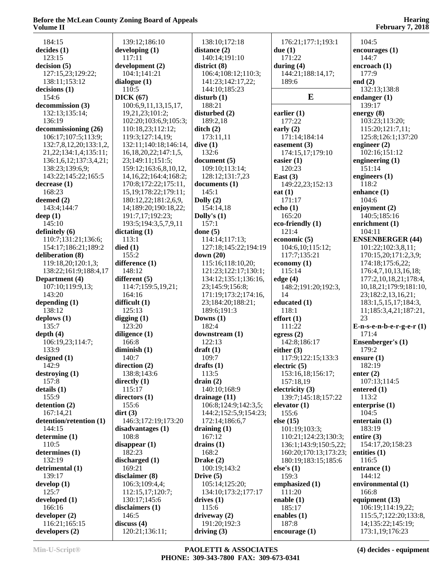| v viunit 11                 |                             |                       |                       | 1 COI 001 y 74 2010        |
|-----------------------------|-----------------------------|-----------------------|-----------------------|----------------------------|
| 184:15                      | 139:12;186:10               | 138:10;172:18         | 176:21;177:1;193:1    | 104:5                      |
| decides(1)                  | developing $(1)$            | distance (2)          | due $(1)$             | encourages(1)              |
| 123:15                      | 117:11                      | 140:14;191:10         | 171:22                | 144:7                      |
| decision (5)                | development (2)             | district(8)           | during $(4)$          | encroach (1)               |
| 127:15,23;129:22;           | 104:1;141:21                | 106:4;108:12;110:3;   | 144:21;188:14,17;     | 177:9                      |
| 138:11;153:12               | dialogue $(1)$              | 141:23;142:17,22;     | 189:6                 | end $(2)$                  |
| decisions(1)                | 110:5                       | 144:10;185:23         |                       | 132:13;138:8               |
| 154:6                       | DICK(67)                    | disturb(1)            | E                     | endanger $(1)$             |
| decommission (3)            | 100:6,9,11,13,15,17,        | 188:21                |                       | 139:17                     |
| 132:13;135:14;              | 19,21,23;101:2;             | disturbed $(2)$       | earlier $(1)$         | energy $(8)$               |
| 136:19                      | 102:20;103:6,9;105:3;       | 189:2,18              | 177:22                | 103:23;113:20;             |
| decommissioning (26)        | 110:18,23;112:12;           | $\text{ditch}(2)$     | early $(2)$           | 115:20;121:7,11;           |
| 106:17;107:5;113:9;         | 119:3;127:14,19;            | 173:11,11             | 171:14;184:14         | 125:8;126:1;137:20         |
| 132:7,8,12,20;133:1,2,      | 132:11;140:18;146:14,       | dive(1)               | easement $(3)$        | engineer $(2)$             |
| 21, 22; 134: 1, 4; 135: 11; | 16, 18, 20, 22; 147: 1, 5,  | 132:6                 | 174:15,17;179:10      | 102:16;151:12              |
| 136:1,6,12;137:3,4,21;      | 23;149:11;151:5;            | document(5)           | easier $(1)$          | engineering $(1)$          |
| 138:23;139:6,9;             | 159:12;163:6,8,10,12,       | 109:10;113:14;        | 120:23                | 151:14                     |
| 143:22;145:22;165:5         | 14, 16, 22; 164: 4; 168: 2; | 128:12;131:7,23       | East $(3)$            | engineers $(1)$            |
| decrease(1)                 | 170:8;172:22;175:11,        | documents (1)         | 149:22,23;152:13      | 118:2                      |
| 168:23                      | 15, 19; 178: 22; 179: 11;   | 145:1                 | eat $(1)$             | enhance (1)                |
| deemed (2)                  | 180:12,22;181:2,6,9,        | Dolly $(2)$           | 171:17                | 104:6                      |
| 143:4;144:7                 | 14;189:20;190:18,22;        | 154:14,18             | echo(1)               | enjoyment (2)              |
| deep $(1)$                  | 191:7,17;192:23;            | Dolly's $(1)$         | 165:20                | 140:5;185:16               |
| 145:10                      | 193:5;194:3,5,7,9,11        | 157:1                 | eco-friendly (1)      | enrichment (1)             |
| definitely (6)              | dictating(1)                | done $(5)$            | 121:4                 | 104:11                     |
| 110:7;131:21;136:6;         | 113:1                       | 114:14;117:13;        | economic (5)          | <b>ENSENBERGER (44)</b>    |
| 154:17;186:21;189:2         | died(1)                     | 127:18;145:22;194:19  | 104:6,10;115:12;      | 101:22;102:3,8,11;         |
| deliberation (8)            | 155:2                       | down $(20)$           | 117:7;135:21          | 170:15,20;171:2,3,9;       |
| 119:18,20;120:1,3;          | difference (1)              | 115:16;118:10,20;     | economy $(1)$         | 174:18;175:6,22;           |
| 138:22;161:9;188:4,17       | 148:12                      | 121:23;122:17;130:1;  | 115:14                | 176:4,7,10,13,16,18;       |
| Department (4)              | different $(5)$             | 134:12;135:1;136:16,  | edge $(4)$            | 177:2,10,18,21;178:4,      |
| 107:10;119:9,13;            | 114:7;159:5,19,21;          | 23;145:9;156:8;       | 148:2;191:20;192:3,   | 10,18,21;179:9;181:10,     |
| 143:20                      | 164:16                      | 171:19;173:2;174:16,  | 14                    | 23;182:2,13,16,21;         |
| depending $(1)$             | difficult $(1)$             | 23;184:20;188:21;     | educated (1)          | 183:1,5,15,17;184:3,       |
| 138:12                      | 125:13                      | 189:6;191:3           | 118:1                 | 11;185:3,4,21;187:21,      |
| deplows $(1)$               | digging $(1)$               | Downs $(1)$           | effort(1)             | 23                         |
| 135:7                       | 123:20                      | 182:4                 | 111:22                | $E-n-s-e-n-b-e-r-g-e-r(1)$ |
| depth $(4)$                 | diligence (1)               | downstream (1)        | egress $(2)$          | 171:4                      |
| 106:19,23;114:7;            | 166:8                       | 122:13                | 142:8;186:17          | <b>Ensenberger's (1)</b>   |
| 133:9                       | diminish $(1)$              | $draff(1)$            | either $(3)$          | 179:2                      |
| designed $(1)$              | 140:7                       | 109:7                 | 117:9;122:15;133:3    | ensure $(1)$               |
| 142:9                       | direction $(2)$             | drafts $(1)$          | electric $(5)$        | 182:19                     |
| $\text{destroying}(1)$      | 138:8;143:6                 | 113:5                 | 153:16,18;156:17;     | enter $(2)$                |
| 157:8                       | directly $(1)$              | drain $(2)$           | 157:18,19             | 107:13;114:5               |
| details(1)                  | 115:17                      | 140:10;168:9          | electricity $(3)$     | entered $(1)$              |
| 155:9                       | directors $(1)$             | drainage $(11)$       | 139:7;145:18;157:22   | 113:2                      |
| detention (2)               | 155:6                       | 106:8;124:9;142:3,5;  | elevator (1)          | enterprise $(1)$           |
| 167:14,21                   | $\text{dirt}(3)$            | 144:2;152:5,9;154:23; | 155:6                 | 104:5                      |
| detention/retention (1)     | 146:3;172:19;173:20         | 172:14;186:6,7        | else $(15)$           | entertain $(1)$            |
| 144:15                      | disadvantages (1)           | draining $(1)$        | 101:19;103:3;         | 183:19                     |
| determine (1)               | 108:8                       | 167:12                | 110:21;124:23;130:3;  | entire $(3)$               |
| 110:5                       | disappear(1)                | drains $(1)$          | 136:1;143:9;150:5,22; | 154:17,20;158:23           |
| determines (1)              | 182:23                      | 168:2                 | 160:20;170:13;173:23; | entities $(1)$             |
| 132:19                      | discharged (1)              | Drake $(2)$           | 180:19;183:15;185:6   | 116:5                      |
| detrimental (1)             | 169:21                      | 100:19;143:2          | else's $(1)$          | entrance $(1)$             |
| 139:17                      | disclaimer (8)              | Drive $(5)$           | 159:3                 | 144:12                     |
| $d$ evelop $(1)$            | 106:3;109:4,4;              | 105:14;125:20;        | emphasized (1)        | environmental (1)          |
| 125:7                       | 112:15,17;120:7;            | 134:10;173:2;177:17   | 111:20                | 166:8                      |
| developed (1)               | 130:17;145:6                | drives $(1)$          | enable $(1)$          | equipment (13)             |
| 166:16                      | disclaimers $(1)$           | 115:6                 | 185:17                | 106:19;114:19,22;          |
| developer (2)               | 146:5                       | driveway (2)          | enables $(1)$         | 115:5,7;122:20;133:8,      |
| 116:21;165:15               | discuss $(4)$               | 191:20;192:3          | 187:8                 | 14;135:22;145:19;          |
| developers (2)              | 120:21;136:11;              | driving $(3)$         | encourage (1)         | 173:1,19;176:23            |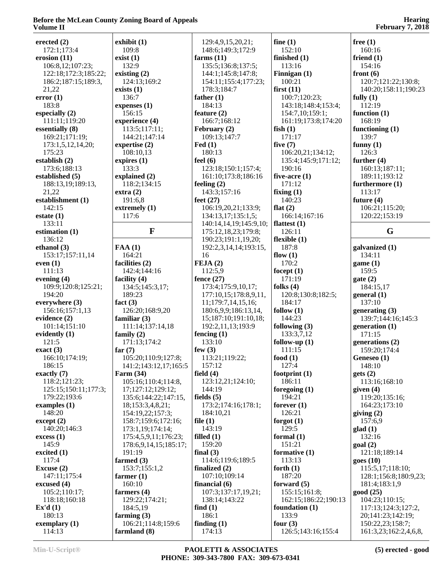| erected $(2)$          | exhibit(1)               | 129:4,9,15,20,21;           | fine $(1)$             | free $(1)$               |
|------------------------|--------------------------|-----------------------------|------------------------|--------------------------|
| 172:1;173:4            | 109:8                    | 148:6;149:3;172:9           | 152:10                 | 160:16                   |
| erosion $(11)$         | exist(1)                 | farms $(11)$                | finished (1)           | friend $(1)$             |
| 106:8,12;107:23;       | 132:9                    | 135:5;136:8;137:5;          | 113:16                 | 154:16                   |
| 122:18;172:3;185:22;   | existing $(2)$           | 144:1;145:8;147:8;          | Finnigan (1)           | front $(6)$              |
| 186:2;187:15;189:3,    | 124:13;169:2             | 154:11;155:4;177:23;        | 100:21                 | 120:7;121:22;130:8;      |
| 21,22                  | exists (1)               | 178:3;184:7                 | first $(11)$           | 140:20;158:11;190:23     |
| error(1)               | 136:7                    | father $(1)$                | 100:7;120:23;          | fully $(1)$              |
| 183:8                  | expenses $(1)$           | 184:13                      | 143:18;148:4;153:4;    | 112:19                   |
| especially $(2)$       | 156:15                   | feature $(2)$               | 154:7,10;159:1;        | function $(1)$           |
| 111:11;119:20          | experience (4)           | 166:7;168:12                | 161:19;173:8;174:20    | 168:19                   |
| essentially (8)        | 113:5;117:11;            | February (2)                | fish $(1)$             | functioning $(1)$        |
| 169:21;171:19;         | 144:21;147:14            | 109:13;147:7                | 171:17                 | 139:7                    |
| 173:1,5,12,14,20;      | expertise $(2)$          | $\text{Fed} (1)$            | five $(7)$             | funny $(1)$              |
| 175:23                 | 108:10,13                | 180:13                      | 106:20,21;134:12;      | 126:3                    |
| establish (2)          | expires $(1)$            | feel $(6)$                  | 135:4;145:9;171:12;    | further $(4)$            |
| 173:6;188:13           | 133:3                    | 123:18;150:1;157:4;         | 190:16                 | 160:13;187:11;           |
| established (5)        | explained (2)            | 161:10;173:8;186:16         | five-acre $(1)$        | 189:11;193:12            |
| 188:13,19;189:13,      | 118:2;134:15             | feeling $(2)$               | 171:12                 | furthermore (1)          |
| 21,22                  | extra(2)                 | 143:3;157:16                | fixing $(1)$           | 113:17                   |
| establishment (1)      | 191:6,8                  | feet $(27)$                 | 140:23                 | future $(4)$             |
| 142:15                 | extremely (1)            | 106:19,20,21;133:9;         | flat $(2)$             | 106:21;115:20;           |
| estate(1)              | 117:6                    | 134:13,17;135:1,5;          | 166:14;167:16          | 120:22;153:19            |
| 133:11                 |                          | 140:14,14,19;145:9,10;      | flattest $(1)$         |                          |
| estimation $(1)$       | $\mathbf{F}$             | 175:12,18,23;179:8;         | 126:11                 | G                        |
| 136:12                 |                          | 190:23;191:1,19,20;         | flexible $(1)$         |                          |
| ethanol $(3)$          |                          |                             | 187:8                  |                          |
|                        | FAA(1)                   | 192:2,3,14,14;193:15,<br>16 |                        | galvanized (1)<br>134:11 |
| 153:17;157:11,14       | 164:21<br>facilities (2) | FEJA(2)                     | flow $(1)$<br>170:2    |                          |
| even $(1)$<br>111:13   |                          |                             |                        | game(1)<br>159:5         |
|                        | 142:4;144:16             | 112:5,9                     | focept $(1)$<br>171:19 |                          |
| evening $(4)$          | facility $(4)$           | fence $(27)$                |                        | gate(2)                  |
| 109:9;120:8;125:21;    | 134:5;145:3,17;          | 173:4;175:9,10,17;          | folks $(4)$            | 184:15,17                |
| 194:20                 | 189:23                   | 177:10,15;178:8,9,11,       | 120:8;130:8;182:5;     | general(1)               |
| everywhere (3)         | fact $(3)$               | 11;179:7,14,15,16;          | 184:17                 | 137:10                   |
| 156:16;157:1,13        | 126:20;168:9,20          | 180:6,9,9;186:13,14,        | follow $(1)$           | generating $(3)$         |
| evidence (2)           | familiar $(3)$           | 15;187:10;191:10,18;        | 144:23                 | 139:7;144:16;145:3       |
| 101:14;151:10          | 111:14;137:14,18         | 192:2,11,13;193:9           | following $(3)$        | generation $(1)$         |
| evidently (1)          | family $(2)$             | fencing $(1)$               | 133:3,7,12             | 171:15                   |
| 121:5                  | 171:13;174:2             | 133:10                      | follow-up $(1)$        | generations (2)          |
| exact(3)               | far $(7)$                | few $(3)$                   | 111:15                 | 159:20;174:4             |
| 166:10;174:19;         | 105:20;110:9;127:8;      | 113:21;119:22;              | food $(1)$             | Geneseo (1)              |
| 186:15                 | 141:2;143:12,17;165:5    | 157:12                      | 127:4                  | 148:10                   |
| exactly $(7)$          | <b>Farm (34)</b>         | field $(4)$                 | footprint $(1)$        | gets(2)                  |
| 118:2;121:23;          | 105:16;110:4;114:8,      | 123:12,21;124:10;           | 186:11                 | 113:16;168:10            |
| 125:15;150:11;177:3;   | 17;127:12;129:12;        | 144:19                      | foregoing $(1)$        | given $(4)$              |
| 179:22:193:6           | 135:6;144:22;147:15,     | fields $(5)$                | 194:21                 | 119:20;135:16;           |
| examples $(1)$         | 18;153:3,4,8,21;         | 173:2;174:16;178:1;         | forever $(1)$          | 164:23;173:10            |
| 148:20                 | 154:19,22;157:3;         | 184:10,21                   | 126:21                 | giving $(2)$             |
| $\text{except} \, (2)$ | 158:7;159:6;172:16;      | file $(1)$                  | forgot $(1)$           | 157:6,9                  |
| 140:20;146:3           | 173:1,19;174:14;         | 143:19                      | 129:5                  | glad(1)                  |
| excess(1)              | 175:4,5,9,11;176:23;     | filled $(1)$                | formal $(1)$           | 132:16                   |
| 145:9                  | 178:6,9,14,15;185:17;    | 159:20                      | 151:21                 | goal(2)                  |
| excited $(1)$          | 191:19                   | final $(3)$                 | formative $(1)$        | 121:18;189:14            |
| 117:4                  | farmed $(3)$             | 114:6;119:6;189:5           | 113:13                 | goes(10)                 |
| Excuse (2)             | 153:7;155:1,2            | finalized $(2)$             | forth $(1)$            | 115:5,17;118:10;         |
| 147:11;175:4           | farmer $(1)$             | 107:10;109:14               | 187:20                 | 128:1;156:8;180:9,23;    |
| excused $(4)$          | 160:10                   | financial $(6)$             | forward $(5)$          | 181:4;183:1,9            |
| 105:2;110:17;          | farmers $(4)$            | 107:3;137:17,19,21;         | 155:15;161:8;          | good(25)                 |
| 118:18;160:18          | 129:22;174:21;           | 138:14;143:22               | 162:15;186:22;190:13   | 104:23;110:15;           |
| Ex'd(1)                | 184:5,19                 | find $(1)$                  | foundation $(1)$       | 117:13;124:3;127:2,      |
| 180:13                 | farming $(3)$            | 186:1                       | 133:9                  | 20;141:23;142:19;        |
| exemplary $(1)$        | 106:21;114:8;159:6       | finding $(1)$               | four $(3)$             | 150:22,23;158:7;         |
| 114:13                 | farmland (8)             | 174:13                      | 126:5;143:16;155:4     | 161:3,23;162:2,4,6,8,    |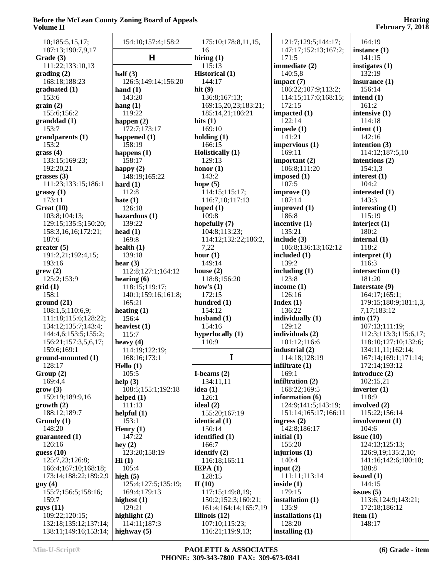| Volume 11                  |                         |                                          |                           | $F$ ebruary 7, 2018                  |
|----------------------------|-------------------------|------------------------------------------|---------------------------|--------------------------------------|
| 10;185:5,15,17;            | 154:10;157:4;158:2      | 175:10;178:8,11,15,                      | 121:7;129:5;144:17;       | 164:19                               |
| 187:13;190:7,9,17          |                         | 16                                       | 147:17:152:13:167:2;      | instance $(1)$                       |
| Grade (3)                  | $\bf H$                 | hiring $(1)$                             | 171:5                     | 141:15                               |
| 111:22;133:10,13           |                         | 115:13                                   | immediate $(2)$           | instigates (1)                       |
| grading(2)                 | half $(3)$              | <b>Historical</b> (1)                    | 140:5,8                   | 132:19                               |
| 168:18;188:23              | 126:5;149:14;156:20     | 144:17                                   | impact $(7)$              | insurance $(1)$                      |
| graduated (1)              | hand $(1)$              | hit $(9)$                                | 106:22;107:9;113:2;       | 156:14                               |
| 153:6                      | 143:20                  | 136:8;167:13;                            | 114:15;117:6;168:15;      | intend $(1)$                         |
| grain(2)                   | hang $(1)$              | 169:15,20,23;183:21;                     | 172:15                    | 161:2                                |
| 155:6;156:2                | 119:22                  | 185:14,21;186:21                         | impacted $(1)$            | intensive (1)                        |
| granddad(1)                | happen $(2)$            | hits $(1)$                               | 122:14                    | 114:18                               |
| 153:7                      | 172:7;173:17            | 169:10                                   | impede $(1)$              | intent $(1)$                         |
| grandparents (1)           | happened $(1)$          | holding $(1)$                            | 141:21                    | 142:16                               |
| 153:2                      | 158:19                  | 166:15                                   | impervious(1)             | intention $(3)$                      |
| grass(4)                   | happens $(1)$           | Holistically (1)                         | 169:11                    | 114:12;187:5,10                      |
| 133:15;169:23;             | 158:17                  | 129:13                                   | important $(2)$           | intentions (2)                       |
| 192:20,21                  | happy $(2)$             | honor $(1)$                              | 106:8;111:20              | 154:1,3                              |
| grasses $(3)$              | 148:19;165:22           | 143:2                                    | imposed $(1)$             | interest $(1)$                       |
| 111:23;133:15;186:1        | hard $(1)$              | hope $(5)$                               | 107:5                     | 104:2                                |
| grassy(1)                  | 112:8                   | 114:15;115:17;                           | improve(1)                | interested $(1)$                     |
| 173:11                     | hate $(1)$              | 116:7,10;117:13                          | 187:14                    | 143:3                                |
| Great $(10)$               | 126:18                  | hoped $(1)$                              | improved (1)              | interesting $(1)$                    |
| 103:8;104:13;              | hazardous (1)           | 109:8                                    | 186:8                     | 115:19                               |
| 129:15;135:5;150:20;       | 139:22                  | hopefully (7)                            | incentive (1)             | interject (1)                        |
| 158:3, 16, 16; 172: 21;    | head $(1)$              | 104:8;113:23;                            | 135:21                    | 180:2                                |
| 187:6                      | 169:8                   | 114:12;132:22;186:2,                     | include $(3)$             | internal $(1)$                       |
| greater (5)                | health $(1)$            | 7,22                                     | 106:8;136:13;162:12       | 118:2                                |
| 191:2,21;192:4,15;         | 139:18                  | hour $(1)$                               | included $(1)$            | interpret $(1)$                      |
| 193:16                     | hear $(3)$              | 149:14                                   | 139:2                     | 116:3                                |
| grew(2)                    | 112:8;127:1;164:12      | house $(2)$                              | including $(1)$           | intersection (1)                     |
| 125:2;153:9                | hearing $(6)$           | 118:8;156:20                             | 123:8                     | 181:20                               |
| grid(1)                    | 118:15;119:17;          | how's $(1)$                              | income $(1)$              | Interstate (9)                       |
| 158:1                      | 140:1;159:16;161:8;     | 172:15                                   | 126:16                    | 164:17;165:1;                        |
| ground(21)                 | 165:21                  | hundred (1)                              | Index(1)                  | 179:15;180:9;181:1,3,                |
| 108:1,5;110:6,9;           | heating $(1)$           | 154:12                                   | 136:22                    | 7,17;183:12                          |
| 111:18;115:6;128:22;       | 156:4                   | husband $(1)$                            | individually (1)          | into $(17)$                          |
| 134:12;135:7;143:4;        | heaviest $(1)$          | 154:16                                   | 129:12                    | 107:13;111:19;                       |
| 144:4,6;153:5;155:2;       | 115:7                   | hyperlocally (1)                         | individuals (2)           | 112:3;113:3;115:6,17;                |
| 156:21;157:3,5,6,17;       | heavy $(4)$             | 110:9                                    | 101:12;116:6              | 118:10;127:10;132:6;                 |
| 159:6;169:1                | 114:19;122:19;          |                                          | industrial $(2)$          | 134:11,11;162:14;                    |
| ground-mounted (1)         | 168:16;173:1            | 1                                        | 114:18;128:19             | 167:14;169:1;171:14;                 |
| 128:17                     | Hello $(1)$             |                                          | infiltrate $(1)$          | 172:14;193:12                        |
| Group(2)                   | 105:5                   | I-beams $(2)$                            | 169:1                     | introduce $(2)$                      |
| 169:4,4                    | help $(3)$              | 134:11,11                                | infiltration $(2)$        | 102:15,21                            |
| grow(3)                    | 108:5;155:1;192:18      | idea $(1)$                               | 168:22;169:5              | inverter $(1)$                       |
| 159:19;189:9,16            | helped $(1)$            | 126:1                                    | information (6)           | 118:9                                |
| growth(2)                  | 111:13                  | ideal $(2)$                              | 124:9;141:5;143:19;       | involved (2)                         |
| 188:12;189:7               | helpful(1)              | 155:20;167:19                            | 151:14;165:17;166:11      | 115:22;156:14                        |
| Grundy(1)                  | 153:1                   | identical $(1)$                          | ingress $(2)$             | involvement (1)                      |
| 148:20                     | Henry $(1)$             | 150:14                                   | 142:8;186:17              | 104:6                                |
| guaranteed (1)             | 147:22                  | identified (1)                           | initial $(1)$             | issue $(10)$                         |
| 126:16                     | hey $(2)$               | 166:7                                    | 155:20                    | 124:13;125:13;                       |
| guess $(10)$               | 123:20;158:19           | identify $(2)$                           | injurious $(1)$           | 126:9,19;135:2,10;                   |
| 125:7,23;126:8;            | $\mathbf{Hi}$ (1)       | 116:18;165:11                            | 140:4                     | 141:16;142:6;180:18;                 |
| 166:4;167:10;168:18;       | 105:4                   | IEPA(1)                                  | input $(2)$               | 188:8                                |
| 173:14;188:22;189:2,9      | high $(5)$              | 128:15                                   | 111:11;113:14             | issued $(1)$                         |
| guy(4)                     | 125:4;127:5;135:19;     | II(10)                                   | inside $(1)$              | 144:15                               |
| 155:7;156:5;158:16;        | 169:4:179:13            | 117:15;149:8,19;                         | 179:15                    | issues $(5)$                         |
| 159:7                      | highest $(1)$<br>129:21 | 150:2;152:3;160:21;                      | installation (1)<br>135:9 | 113:6;124:9;143:21;<br>172:18;186:12 |
| gays(11)<br>109:22;120:15; | highlight (2)           | 161:4;164:14;165:7,19<br>Illinois $(12)$ | installations (1)         | item $(1)$                           |
| 132:18;135:12;137:14;      | 114:11;187:3            | 107:10;115:23;                           | 128:20                    | 148:17                               |
| 138:11;149:16;153:14;      | highway $(5)$           | 116:21;119:9,13;                         | installing $(1)$          |                                      |
|                            |                         |                                          |                           |                                      |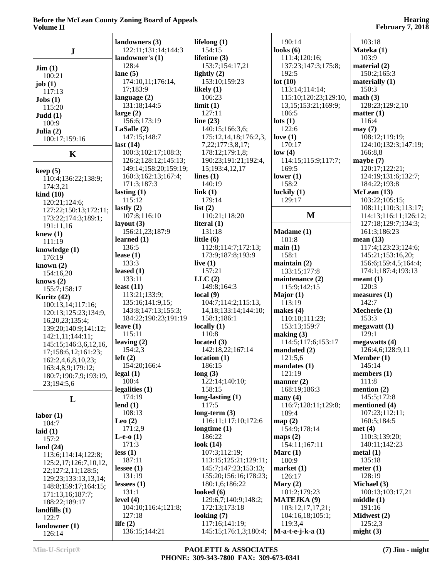|                                   | landowners (3)        | lifelong $(1)$            | 190:14                   | 103:18                |
|-----------------------------------|-----------------------|---------------------------|--------------------------|-----------------------|
| $\bf J$                           | 122:11;131:14;144:3   | 154:15                    | looks $(6)$              | Mateka (1)            |
|                                   | landowner's (1)       | lifetime $(3)$            | 111:4;120:16;            | 103:9                 |
|                                   | 128:4                 | 153:7;154:17,21           | 137:23;147:3;175:8;      | material $(2)$        |
| $\text{Jim} (1)$                  | lane $(5)$            | lightly $(2)$             | 192:5                    | 150:2;165:3           |
| 100:21                            | 174:10,11;176:14,     | 153:10;159:23             | lot(10)                  | materially $(1)$      |
| job(1)<br>117:13                  | 17;183:9              | likely $(1)$              | 113:14;114:14;           | 150:3                 |
| $\textbf{Jobs}$ (1)               | language $(2)$        | 106:23                    | 115:10;120:23;129:10,    | math(3)               |
| 115:20                            | 131:18;144:5          | limit(1)                  | 13, 15; 153: 21; 169: 9; | 128:23;129:2,10       |
| Judd(1)                           | large $(2)$           | 127:11                    | 186:5                    | matter $(1)$          |
| 100:9                             | 156:6;173:19          | line $(23)$               | $\text{lots}$ (1)        | 116:4                 |
| Julia $(2)$                       | LaSalle(2)            | 140:15;166:3,6;           | 122:6                    | may(7)                |
| 100:17;159:16                     | 147:15:148:7          | 175:12,14,18;176:2,3,     | love $(1)$               | 108:12;119:19;        |
|                                   | last(14)              | 7,22;177:3,8,17;          | 170:17                   | 124:10;132:3;147:19;  |
| K                                 | 100:3;102:17;108:3;   | 178:12;179:1,8;           | low(4)                   | 166:8,8               |
|                                   | 126:2;128:12;145:13;  | 190:23;191:21;192:4,      | 114:15;115:9;117:7;      | maybe $(7)$           |
| keep(5)                           | 149:14;158:20;159:19; | 15;193:4,12,17            | 169:5                    | 120:17;122:21;        |
| 110:4;136:22;138:9;               | 160:3;162:13;167:4;   | lines $(1)$               | lower $(1)$              | 124:19;131:6;132:7;   |
| 174:3,21                          | 171:3;187:3           | 140:19                    | 158:2                    | 184:22;193:8          |
| $\boldsymbol{\mathrm{kind}}$ (10) | lasting $(1)$         | link(1)                   | luckily $(1)$            | McLean (13)           |
| 120:21;124:6;                     | 115:12                | 179:14                    | 129:17                   | 103:22;105:15;        |
| 127:22;150:13;172:11;             | lastly $(2)$          | list $(2)$                |                          | 108:11;110:3;113:17;  |
| 173:22;174:3;189:1;               | 107:8;116:10          | 110:21;118:20             | M                        | 114:13;116:11;126:12; |
| 191:11,16                         | layout $(3)$          | literal $(1)$             |                          | 127:18;129:7;134:3;   |
| knew $(1)$                        | 156:21,23;187:9       | 131:18                    | Madame (1)               | 161:3;186:23          |
| 111:19                            | learned $(1)$         | little $(6)$              | 101:8                    | mean $(13)$           |
| knowledge (1)                     | 136:5                 | 112:8;114:7;172:13;       | main(1)                  | 117:4;123:23;124:6;   |
| 176:19                            | lease $(1)$           | 173:9;187:8;193:9         | 158:1                    | 145:21;153:16,20;     |
| known $(2)$                       | 133:3                 | live $(1)$                | maintain $(2)$           | 156:6;159:4,5;164:4;  |
| 154:16,20                         | leased $(1)$          | 157:21                    | 133:15;177:8             | 174:1;187:4;193:13    |
| knows $(2)$                       | 133:11                | LLC(2)                    | maintenance (2)          | mean(1)               |
| 155:7;158:17                      | least $(11)$          | 149:8;164:3               | 115:9;142:15             | 120:3                 |
| Kuritz (42)                       | 113:21;133:9;         | local(9)                  | Major $(1)$              | measures (1)          |
| 100:13,14;117:16;                 | 135:16;141:9,15;      | 104:7;114:2;115:13,       | 113:19                   | 142:7                 |
| 120:13;125:23;134:9,              | 143:8;147:13;155:3;   | 14, 18; 133: 14; 144: 10; | makes $(4)$              | Mecherle (1)          |
| 16, 20, 23; 135: 4;               | 184:22;190:23;191:19  | 158:1;186:1               | 110:10;111:23;           | 153:3                 |
| 139:20;140:9;141:12;              | leave $(1)$           | locally $(1)$             | 153:13;159:7             | megawatt(1)           |
| 142:1,11;144:11;                  | 115:11                | 110:8                     | making $(3)$             | 129:1                 |
| 145:15;146:3,6,12,16,             | leaving $(2)$         | located $(3)$             | 114:5;117:6;153:17       | megawatts $(4)$       |
| 17;158:6,12;161:23;               | 154:2,3               | 142:18,22;167:14          | mandated $(2)$           | 126:4,6;128:9,11      |
| 162:2,4,6,8,10,23;                | left(2)               | location(1)               | 121:5,6                  | Member (1)            |
| 163:4,8,9;179:12;                 | 154:20;166:4          | 186:15                    | mandates(1)              | 145:14                |
| 180:7;190:7,9;193:19,             | $\text{legal}(1)$     | long(3)                   | 121:19                   | members $(1)$         |
| 23;194:5,6                        | 100:4                 | 122:14;140:10;            | manner $(2)$             | 111:8                 |
|                                   | legalities $(1)$      | 158:15                    | 168:19;186:3             | mention $(2)$         |
| L                                 | 174:19                | long-lasting $(1)$        | many $(4)$               | 145:5;172:8           |
|                                   | lend $(1)$            | 117:5                     | 116:7;128:11;129:8;      | mentioned (4)         |
| labor(1)                          | 108:13                | long-term $(3)$           | 189:4                    | 107:23;112:11;        |
| 104:7                             | Leo $(2)$             | 116:11;117:10;172:6       | map(2)                   | 160:5;184:5           |
| laid $(1)$                        | 171:2,9               | longtime $(1)$            | 154:9;178:14             | met(4)                |
| 157:2                             | L-e-o $(1)$           | 186:22                    | maps $(2)$               | 110:3;139:20;         |
| land $(24)$                       | 171:3                 | look $(14)$               | 154:11;167:11            | 140:11;142:23         |
| 113:6;114:14;122:8;               | less(1)               | 107:3;112:19;             | Marc $(1)$               | metal(1)              |
| 125:2,17;126:7,10,12,             | 187:11                | 113:15;125:21;129:11;     | 100:9                    | 135:18                |
| 22;127:2,11;128:5;                | lessee $(1)$          | 145:7;147:23;153:13;      | market(1)                | meter $(1)$           |
| 129:23;133:13,13,14;              | 131:19                | 155:20;156:16;178:23;     | 126:17                   | 128:19                |
| 148:8;159:17;164:15;              | lessees $(1)$         | 180:1,6;186:22            | Mary $(2)$               | Michael (3)           |
| 171:13,16;187:7;                  | 131:1                 | looked $(6)$              | 101:2;179:23             | 100:13;103:17,21      |
| 188:22;189:17                     | level $(4)$           | 129:6,7;140:9;148:2;      | <b>MATEJKA (9)</b>       | middle(1)             |
| landfills $(1)$                   | 104:10;116:4;121:8;   | 172:13;173:18             | 103:12,17,17,21;         | 191:16                |
| 122:7                             | 127:18                | looking $(7)$             | 104:16,18;105:1;         | Midwest (2)           |
| land owner(1)                     | life $(2)$            | 117:16;141:19;            | 119:3,4                  | 125:2,3               |
| 126:14                            | 136:15;144:21         | 145:15;176:1,3;180:4;     | $M-a-t-e-j-k-a(1)$       | might $(3)$           |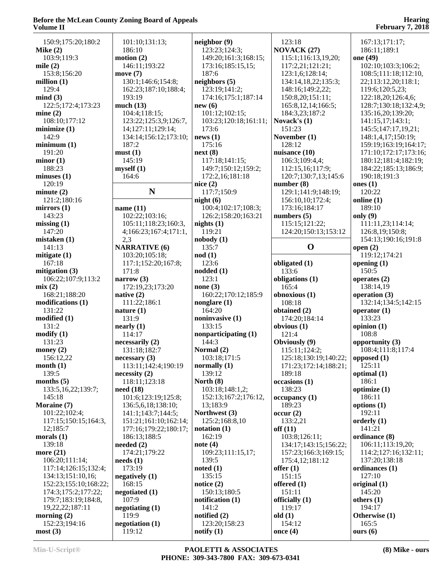| 150:9;175:20;180:2       | 101:10;131:13;                  | neighbor(9)                   | 123:18                | 167:13;171:17;        |
|--------------------------|---------------------------------|-------------------------------|-----------------------|-----------------------|
| Mike $(2)$               | 186:10                          | 123:23;124:3;                 | <b>NOVACK (27)</b>    | 186:11;189:1          |
| 103:9;119:3              | motion(2)                       |                               |                       |                       |
|                          |                                 | 149:20;161:3;168:15;          | 115:1;116:13,19,20;   | one (49)              |
| mile $(2)$               | 146:11;193:22                   | 173:16;185:15,15;             | 117:2,21;121:21;      | 102:10;103:3;106:2;   |
| 153:8;156:20             | move $(7)$                      | 187:6                         | 123:1,6;128:14;       | 108:5;111:18;112:10,  |
| million $(1)$            | 130:1;146:6;154:8;              | neighbors (5)                 | 134:14,18,22;135:3;   | 22;113:12,20;118:1;   |
| 129:4                    | 162:23;187:10;188:4;            | 123:19;141:2;                 | 148:16;149:2,22;      | 119:6;120:5,23;       |
| mind(3)                  | 193:19                          | 174:16;175:1;187:14           | 150:8,20;151:11;      | 122:18,20;126:4,6;    |
|                          |                                 |                               |                       |                       |
| 122:5;172:4;173:23       | much (13)                       | new(6)                        | 165:8, 12, 14; 166:5; | 128:7;130:18;132:4,9; |
| mine(2)                  | 104:4;118:15;                   | 101:12;102:15;                | 184:3,23;187:2        | 135:16,20;139:20;     |
| 108:10;177:12            | 123:22;125:3,9;126:7,           | 103:23;120:18;161:11;         | Novack's (1)          | 141:15,17;143:1;      |
| minimize $(1)$           | 14;127:11;129:14;               | 173:6                         | 151:23                | 145:5;147:17,19,21;   |
| 142:9                    | 134:14;156:12;173:10;           | news(1)                       | November (1)          | 148:1,4,17;150:19;    |
|                          |                                 |                               | 128:12                |                       |
| minimum(1)               | 187:2                           | 175:16                        |                       | 159:19;163:19;164:17; |
| 191:20                   | must(1)                         | next(8)                       | nuisance (10)         | 171:10;172:17;173:16; |
| minor(1)                 | 145:19                          | 117:18;141:15;                | 106:3;109:4,4;        | 180:12;181:4;182:19;  |
| 188:23                   | myself(1)                       | 149:7;150:12;159:2;           | 112:15,16;117:9;      | 184:22;185:13;186:9;  |
| minus(1)                 | 164:6                           | 172:2,16;181:18               | 120:7;130:7,13;145:6  | 190:18;191:3          |
| 120:19                   |                                 | nice $(2)$                    | number(8)             | ones $(1)$            |
|                          | $\mathbf N$                     |                               |                       |                       |
| minute(2)                |                                 | 117:7;150:9                   | 129:1;141:9;148:19;   | 120:22                |
| 121:2;180:16             |                                 | night(6)                      | 156:10,10;172:4;      | online $(1)$          |
| mirrors $(1)$            | name $(11)$                     | 100:4;102:17;108:3;           | 173:16;184:17         | 189:10                |
| 143:23                   | 102:22;103:16;                  | 126:2;158:20;163:21           | numbers $(5)$         | only $(9)$            |
| missing(1)               | 105:11;118:23;160:3,            | nights $(1)$                  | 115:15;121:22;        | 111:11,23;114:14;     |
| 147:20                   | 4;166:23;167:4;171:1,           | 119:21                        | 124:20;150:13;153:12  | 126:8,19;150:8;       |
|                          |                                 |                               |                       |                       |
| mistaken (1)             | 2,3                             | nobody(1)                     |                       | 154:13;190:16;191:8   |
| 141:13                   | <b>NARRATIVE (6)</b>            | 135:7                         | $\mathbf 0$           | open $(2)$            |
| mitigate (1)             | 103:20;105:18;                  | $\mod(1)$                     |                       | 119:12;174:21         |
| 167:18                   | 117:1;152:20;167:8;             | 123:6                         | obligated (1)         | opening $(1)$         |
| mitigation $(3)$         | 171:8                           | noded(1)                      | 133:6                 | 150:5                 |
| 106:22;107:9;113:2       | narrow $(3)$                    | 123:1                         | obligations (1)       | operates $(2)$        |
|                          |                                 |                               |                       |                       |
| mix(2)                   | 172:19,23;173:20                | none $(3)$                    | 165:4                 | 138:14,19             |
| 168:21;188:20            | native $(2)$                    | 160:22;170:12;185:9           | obnoxious (1)         | operation (3)         |
|                          |                                 |                               |                       |                       |
| modifications (1)        | 111:22;186:1                    |                               | 108:18                | 132:14;134:5;142:15   |
|                          |                                 | nonglare $(1)$                |                       |                       |
| 131:22                   | nature $(1)$                    | 164:20                        | obtained (2)          | operator $(1)$        |
| modified(1)              | 131:9                           | noninvasive (1)               | 174:20;184:14         | 133:23                |
| 131:2                    | nearly (1)                      | 133:15                        | obvious (1)           | opinion $(1)$         |
| $\text{modify}(1)$       | 114:17                          | nonparticipating (1)          | 121:4                 | 108:8                 |
| 131:23                   | necessarily (2)                 | 144:3                         | Obviously (9)         | opportunity (3)       |
| money $(2)$              | 131:18;182:7                    | Normal (2)                    | 115:11;124:2;         | 108:4;111:8;117:4     |
|                          |                                 |                               |                       |                       |
| 156:12,22                | necessary(3)                    | 103:18;171:5                  | 125:18;130:19;140:22; | opposed (1)           |
| month(1)                 | 113:11;142:4;190:19             | normally $(1)$                | 171:23;172:14;188:21; | 125:11                |
| 139:5                    | necessity(2)                    | 139:12                        | 189:18                | optimal $(1)$         |
| months $(5)$             | 118:11;123:18                   | North $(8)$                   | occasions (1)         | 186:1                 |
| 133:5, 16, 22; 139:7;    | need(18)                        | 103:18;148:1,2;               | 138:23                | optimize $(1)$        |
| 145:18                   | 101:6;123:19;125:8;             | 152:13;167:2;176:12,          | occupancy(1)          | 186:11                |
| Moraine (7)              | 136:5,6,18;138:10;              | 13:183:9                      | 189:23                | options $(1)$         |
| 101:22;102:4;            |                                 | Northwest (3)                 |                       | 192:11                |
|                          | 141:1;143:7;144:5;              |                               | occur(2)              |                       |
| 117:15:150:15:164:3,     | 151:21;161:10;162:14;           | 125:2;168:8,10                | 133:2,21              | orderly $(1)$         |
| 12;185:7                 | 177:16;179:22;180:17;           | notation(1)                   | off(11)               | 141:21                |
| morals $(1)$             | 186:13;188:5                    | 162:19                        | 103:8;126:11;         | ordinance (8)         |
| 139:18                   | needed $(2)$                    | note $(4)$                    | 134:17;143:15;156:22; | 106:11;113:19,20;     |
| more $(21)$              | 174:21;179:22                   | 109:23;111:15,17;             | 157:23;166:3;169:15;  | 114:2;127:16;132:11;  |
| 106:20;111:14;           | $\boldsymbol{\text{needs}}$ (1) | 139:5                         | 175:4,12;181:12       | 137:20;138:18         |
|                          |                                 |                               |                       |                       |
| 117:14;126:15;132:4;     | 173:19                          | noted(1)                      | offer $(1)$           | ordinances (1)        |
| 134:13;151:10,16;        | negatively $(1)$                | 135:15                        | 151:15                | 127:10                |
| 152:23;155:10;168:22;    | 168:15                          | notice $(2)$                  | offered $(1)$         | original $(1)$        |
| 174:3;175:2;177:22;      | negotiated $(1)$                | 150:13;180:5                  | 151:11                | 145:20                |
| 179:7;183:19;184:8,      | 107:9                           | notification $(1)$            | officially (1)        | others $(1)$          |
| 19,22,22;187:11          | negotiating $(1)$               | 141:2                         | 119:17                | 194:17                |
|                          |                                 |                               |                       |                       |
| morning $(2)$            | 119:9                           | notified $(2)$                | old(1)                | Otherwise (1)         |
| 152:23;194:16<br>most(3) | negotiation (1)<br>119:12       | 123:20;158:23<br>notify $(1)$ | 154:12<br>once $(4)$  | 165:5<br>ours $(6)$   |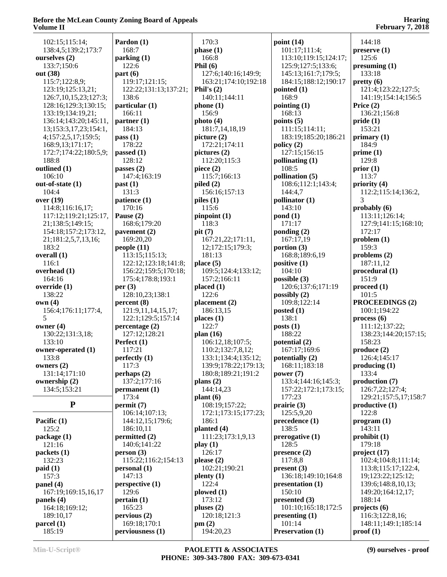| 102:15;115:14;                  | Pardon (1)            | 170:3                           | point $(14)$                 | 144:18                                 |
|---------------------------------|-----------------------|---------------------------------|------------------------------|----------------------------------------|
| 138:4,5;139:2;173:7             | 168:7                 | phase (1)                       | 101:17;111:4;                | preserve(1)                            |
| ourselves (2)                   | parking (1)           | 166:8                           | 113:10;119:15;124:17;        | 125:6                                  |
| 133:7;150:6                     | 122:6                 | Phil $(6)$                      | 125:9;127:5;133:6;           | presuming (1)                          |
| out (38)                        | part(6)               | 127:6;140:16;149:9;             | 145:13;161:7;179:5;          | 133:18                                 |
| 115:7;122:8,9;                  | 119:17;121:15;        | 163:21;174:10;192:18            | 184:15;188:12;190:17         | pretty(6)                              |
| 123:19;125:13,21;               | 122:22;131:13;137:21; | Phil's $(2)$                    | pointed $(1)$                | 121:4;123:22;127:5;                    |
| 126:7, 10, 15, 23; 127: 3;      | 138:6                 | 140:11;144:11                   | 168:9                        | 141:19;154:14;156:5                    |
| 128:16;129:3;130:15;            | particular (1)        | phone(1)                        | pointing (1)                 | Price $(2)$                            |
| 133:19;134:19,21;               | 166:11                | 156:9                           | 168:13                       | 136:21;156:8                           |
| 136:14;143:20;145:11,           | partner(1)            | photo $(4)$                     | points $(5)$                 | pride(1)                               |
| 13;153:3,17,23;154:1,           | 184:13                | 181:7,14,18,19                  | 111:15;114:11;               | 153:21                                 |
| 4;157:2,5,17;159:5;             | pass(1)               | picture $(2)$                   | 183:19;185:20;186:21         | primary $(1)$                          |
| 168:9,13;171:17;                | 178:22                | 172:21;174:11                   | policy(2)                    | 184:9                                  |
|                                 |                       |                                 | 127:15;156:15                |                                        |
| 172:7;174:22;180:5,9;           | passed $(1)$          | pictures (2)                    |                              | prime(1)                               |
| 188:8                           | 128:12                | 112:20;115:3                    | pollinating (1)              | 129:8                                  |
| outlined (1)                    | passes $(2)$          | piece $(2)$                     | 108:5                        | prior(1)                               |
| 106:10                          | 147:4;163:19          | 115:7;166:13                    | pollination (5)              | 113:7                                  |
| out-of-state (1)                | past(1)               | piled $(2)$                     | 108:6;112:1;143:4;           | priority (4)                           |
| 104:4                           | 131:3                 | 156:16;157:13                   | 144:4,7                      | 112:2;115:14;136:2,                    |
| over (19)                       | patience (1)          | piles $(1)$                     | pollinator (1)               | 3                                      |
| 114:8;116:16,17;                | 170:16                | 115:6                           | 143:10                       | probably $(6)$                         |
| 117:12;119:21;125:17,           | Pause $(2)$           | $p$ inpoint $(1)$               | $\text{pond}(1)$             | 113:11;126:14;                         |
| 21;138:5;149:15;                | 168:6;179:20          | 118:3                           | 171:17                       | 127:9;141:15;168:10;                   |
| 154:18;157:2;173:12,            | pavement (2)          | pit (7)                         | ponding (2)                  | 172:17                                 |
| 21;181:2,5,7,13,16;             | 169:20,20             | 167:21,22;171:11,               | 167:17,19                    | problem(1)                             |
| 183:2                           | people $(11)$         | 12;172:15;179:3;                | portion $(3)$                | 159:3                                  |
| overall (1)                     | 113:15;115:13;        | 181:13                          | 168:8;189:6,19               | problems $(2)$                         |
| 116:1                           | 122:12;123:18;141:8;  | place $(5)$                     | positive $(1)$               | 187:11,12                              |
| overhead (1)                    | 156:22;159:5;170:18;  | 109:5;124:4;133:12;             | 104:10                       | procedural (1)                         |
| 164:16                          | 175:4;178:8;193:1     | 157:2;166:11                    | possible $(3)$               | 151:9                                  |
|                                 |                       |                                 |                              |                                        |
| override $(1)$                  | per(3)                | placed(1)                       | 120:6;137:6;171:19           | $\boldsymbol{proceed}\boldsymbol{(1)}$ |
| 138:22                          | 128:10,23;138:1       | 122:6                           | possibly $(2)$               | 101:5                                  |
| own(4)                          | percent (8)           | placement(2)                    | 109:8;122:14                 | <b>PROCEEDINGS (2)</b>                 |
| 156:4;176:11;177:4,             | 121:9,11,14,15,17;    | 186:13,15                       | posted $(1)$                 | 100:1;194:22                           |
| 5                               | 122:1;129:5;157:14    | places $(1)$                    | 138:1                        | process(6)                             |
| owner $(4)$                     | percentage $(2)$      | 122:7                           | $\text{posts}(1)$            | 111:12;137:22;                         |
| 130:22;131:3,18;                | 127:12;128:21         | plan $(16)$                     | 188:22                       | 138:23;144:20;157:15;                  |
| 133:10                          | Perfect (1)           | 106:12,18;107:5;                | potential (2)                | 158:23                                 |
| owner-operated (1)              | 117:21                | 110:2;132:7,8,12;               | 167:17;169:6                 | produce (2)                            |
| 133:8                           | perfectly (1)         | 133:1;134:4;135:12;             | potentially (2)              | 126:4;145:17                           |
| owners $(2)$                    | 117:3                 | 139:9;178:22;179:13;            | 168:11;183:18                | producing (1)                          |
| 131:14;171:10                   | perhaps(2)            | 180:8;189:21;191:2              | power $(7)$                  | 133:4                                  |
| ownership (2)                   | 137:2;177:16          | plans $(2)$                     | 133:4;144:16;145:3;          | production (7)                         |
| 134:5;153:21                    | permannent(1)         | 144:14,23                       | 157:22;172:1;173:15;         | 126:7,22;127:4;                        |
|                                 | 173:4                 | plant(6)                        | 177:23                       | 129:21;157:5,17;158:7                  |
| ${\bf P}$                       | permit(7)             | 108:19;157:22;                  | prairie $(3)$                | productive(1)                          |
|                                 |                       |                                 |                              |                                        |
|                                 | 106:14;107:13;        | 172:1;173:15;177:23;            | 125:5,9,20<br>precedence (1) | 122:8                                  |
| Pacific $(1)$                   | 144:12,15;179:6;      | 186:1                           |                              | program (1)                            |
| 125:2                           | 186:10,11             | planted $(4)$                   | 138:5                        | 143:11                                 |
| package (1)                     | permitted (2)         | 111:23;173:1,9,13               | prerogative (1)              | prohibit (1)                           |
| 121:16                          | 140:6;141:22          | play(1)                         | 128:5                        | 179:18                                 |
| packets (1)                     | person(3)             | 126:17                          | presence (2)                 | project (17)                           |
| 132:23                          | 115:22;116:2;154:13   | please $(2)$                    | 117:8,8                      | 102:4;104:8;111:14;                    |
| paid(1)                         | personal(1)           | 102:21;190:21                   | present(3)                   | 113:8;115:17;122:4,                    |
| 157:3                           | 147:13                | $\mathbf{plenty}\left(1\right)$ | 136:18;149:10;164:8          | 19;123:22;125:12;                      |
| panel (4)                       | perspective (1)       | 122:4                           | presentation (1)             | 139:6;148:8,10,13;                     |
| 167:19;169:15,16,17             | 129:6                 | plowed (1)                      | 150:10                       | 149:20;164:12,17;                      |
| panels $(4)$                    | pertain (1)           | 173:12                          | presented $(3)$              | 188:14                                 |
| 164:18;169:12;                  | 165:23                | pluses $(2)$                    | 101:10;165:18;172:5          | projects (6)                           |
| 189:10,17                       | pervious(2)           | 120:18;121:3                    | presenting (1)               | 116:3;122:8,16;                        |
| $\boldsymbol{\text{pared}}$ (1) | 169:18;170:1          | pm(2)                           | 101:14                       | 148:11;149:1;185:14                    |
| 185:19                          | perviousness (1)      | 194:20,23                       | <b>Preservation (1)</b>      | $\text{proof}(1)$                      |
|                                 |                       |                                 |                              |                                        |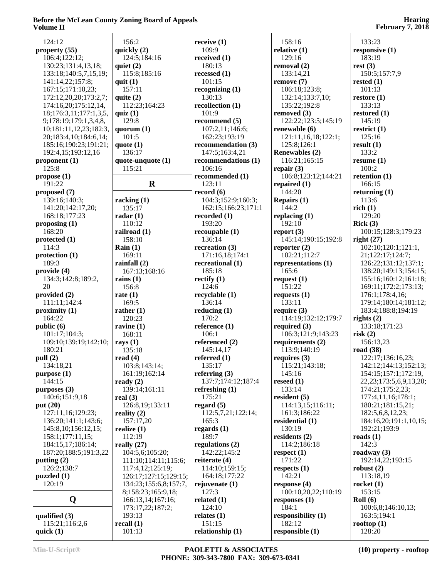| 124:12                  | 156:2                 | receive $(1)$       | 158:16                | 133:23                        |
|-------------------------|-----------------------|---------------------|-----------------------|-------------------------------|
| property (55)           | quickly (2)           | 109:9               | relative $(1)$        | responsive $(1)$              |
| 106:4;122:12;           | 124:5;184:16          | received $(1)$      | 129:16                | 183:19                        |
|                         |                       | 180:13              |                       | rest(3)                       |
| 130:23;131:4,13,18;     | quiet $(2)$           |                     | removal (2)           |                               |
| 133:18;140:5,7,15,19;   | 115:8;185:16          | recessed $(1)$      | 133:14,21             | 150:5;157:7,9                 |
| 141:14,22;157:8;        | quit $(1)$            | 101:15              | remove $(7)$          | rested $(1)$                  |
| 167:15;171:10,23;       | 157:11                | recognizing $(1)$   | 106:18;123:8;         | 101:13                        |
| 172:12,20,20;173:2,7;   | quite $(2)$           | 130:13              | 132:14;133:7,10;      | restore $(1)$                 |
| 174:16,20;175:12,14,    | 112:23;164:23         | recollection $(1)$  | 135:22;192:8          | 133:13                        |
| 18;176:3,11;177:1,3,5,  | quiz $(1)$            | 101:9               | removed (3)           | restored $(1)$                |
| 9;178:19;179:1,3,4,8,   | 129:8                 | recommend $(5)$     | 122:22;123:5;145:19   | 145:19                        |
| 10;181:11,12,23;182:3,  | quorum $(1)$          | 107:2,11;146:6;     | renewable $(6)$       | restrict $(1)$                |
| 20;183:4,10;184:6,14;   | 101:5                 | 162:23;193:19       | 121:11,16,18;122:1;   | 125:16                        |
| 185:16;190:23;191:21;   | quote $(1)$           | recommendation (3)  | 125:8;126:1           | result(1)                     |
| 192:4,15;193:12,16      | 136:17                | 147:5;163:4,21      | <b>Renewables (2)</b> | 133:2                         |
|                         |                       |                     |                       |                               |
| proponent $(1)$         | quote-unquote (1)     | recommendations (1) | 116:21;165:15         | resume $(1)$                  |
| 125:8                   | 115:21                | 106:16              | repair $(3)$          | 100:2                         |
| propose(1)              |                       | recommended (1)     | 106:8;123:12;144:21   | retention $(1)$               |
| 191:22                  | $\mathbf R$           | 123:11              | repaired $(1)$        | 166:15                        |
| proposed (7)            |                       | record $(6)$        | 144:20                | returning $(1)$               |
| 139:16;140:3;           | racking $(1)$         | 104:3;152:9;160:3;  | Repairs $(1)$         | 113:6                         |
| 141:20;142:17,20;       | 135:17                | 162:15;166:23;171:1 | 144:2                 | rich(1)                       |
| 168:18;177:23           | radar $(1)$           | recorded $(1)$      | replacing $(1)$       | 129:20                        |
| proposing $(1)$         | 110:12                | 193:20              | 192:10                | Rick(3)                       |
| 168:20                  | railroad (1)          | recoupable(1)       | report $(3)$          | 100:15;128:3;179:23           |
| protected $(1)$         | 158:10                | 136:14              | 145:14;190:15;192:8   | right $(27)$                  |
| 114:3                   | Rain $(1)$            | recreation $(3)$    | reporter $(2)$        | 102:10;120:1;121:1,           |
|                         |                       |                     |                       |                               |
| protection (1)          | 169:11                | 171:16,18;174:1     | 102:21;112:7          | 21;122:17;124:7;              |
| 189:3                   | rainfall $(2)$        | recreational (1)    | representations (1)   | 126:22;131:12;137:1;          |
| provide (4)             | 167:13;168:16         | 185:18              | 165:6                 | 138:20;149:13;154:15;         |
| 134:3;142:8;189:2,      | rains $(1)$           | rectify $(1)$       | request $(1)$         | 155:16;160:12;161:18;         |
| 20                      | 156:8                 | 124:6               | 151:22                | 169:11;172:2;173:13;          |
| provided $(2)$          | rate $(1)$            | recyclable (1)      | requests $(1)$        | 176:1;178:4,16;               |
| 111:11;142:4            | 169:5                 | 136:14              | 133:11                | 179:14;180:14;181:12;         |
| proximity $(1)$         | rather $(1)$          | reducing $(1)$      | require $(3)$         | 183:4;188:8;194:19            |
| 164:22                  | 120:23                | 170:2               | 114:19;132:12;179:7   | rights $(2)$                  |
| public (6)              | ravine $(1)$          | reference $(1)$     | required $(3)$        | 133:18;171:23                 |
| 101:17;104:3;           | 168:11                | 106:1               | 106:3;121:9;143:23    | risk(2)                       |
| 109:10;139:19;142:10;   | rays $(1)$            | referenced (2)      | requirements $(2)$    | 156:13,23                     |
| 180:21                  | 135:18                | 145:14,17           | 113:9;140:19          | road $(38)$                   |
| pull (2)                | read $(4)$            | referred $(1)$      | requires $(3)$        | 122:17;136:16,23;             |
| 134:18,21               | 103:8;143:14;         | 135:17              | 115:21;143:18;        | 142:12;144:13;152:13;         |
| purpose (1)             | 161:19;162:14         | referring $(3)$     | 145:16                | 154:15;157:1;172:19,          |
| 144:15                  | ready $(2)$           | 137:7;174:12;187:4  | reseed $(1)$          | 22, 23; 173: 5, 6, 9, 13, 20; |
| purposes $(3)$          | 139:14;161:11         | refreshing $(1)$    | 133:14                | 174:21;175:2,23;              |
|                         |                       |                     |                       |                               |
| 140:6;151:9,18          | real $(3)$            | 175:21              | resident $(5)$        | 177:4,11,16;178:1;            |
| put $(20)$              | 126:8,19;133:11       | regard $(5)$        | 114:13,15;116:11;     | 180:21;181:15,21;             |
| 127:11,16;129:23;       | reality $(2)$         | 112:5,7,21;122:14;  | 161:3;186:22          | 182:5,6,8,12,23;              |
| 136:20;141:1;143:6;     | 157:17,20             | 165:3               | residential (1)       | 184:16,20;191:1,10,15;        |
| 145:8, 10; 156: 12, 15; | realize $(1)$         | regards $(1)$       | 130:19                | 192:21;193:9                  |
| 158:1;177:11,15;        | 112:19                | 189:7               | residents $(2)$       | roads $(1)$                   |
| 184:15,17;186:14;       | really $(27)$         | regulations $(2)$   | 114:2;186:18          | 142:3                         |
| 187:20;188:5;191:3,22   | 104:5,6;105:20;       | 142:22;145:2        | respect $(1)$         | roadway $(3)$                 |
| putting $(2)$           | 111:10;114:11;115:6;  | reiterate $(4)$     | 171:22                | 192:14,22;193:15              |
| 126:2;138:7             | 117:4,12;125:19;      | 114:10;159:15;      | respects $(1)$        | robust $(2)$                  |
| puzzled(1)              | 126:17;127:15;129:15; | 164:18;177:22       | 142:21                | 113:18,19                     |
| 120:19                  | 134:23;155:6,8;157:7, | rejuvenate $(1)$    | response $(4)$        | rocket $(1)$                  |
|                         | 8;158:23;165:9,18;    | 127:3               | 100:10,20,22;110:19   | 153:15                        |
| Q                       | 166:13,14;167:16;     | related $(1)$       | responses $(1)$       | Roll(6)                       |
|                         |                       | 124:10              | 184:1                 | 100:6,8;146:10,13;            |
|                         | 173:17,22;187:2;      |                     |                       |                               |
| qualified $(3)$         | 193:13                | relates $(1)$       | responsibility $(1)$  | 163:5;194:1                   |
| 115:21;116:2,6          | recall $(1)$          | 151:15              | 182:12                | rooftop $(1)$                 |
| quick $(1)$             | 101:13                | relationship (1)    | responsible $(1)$     | 128:20                        |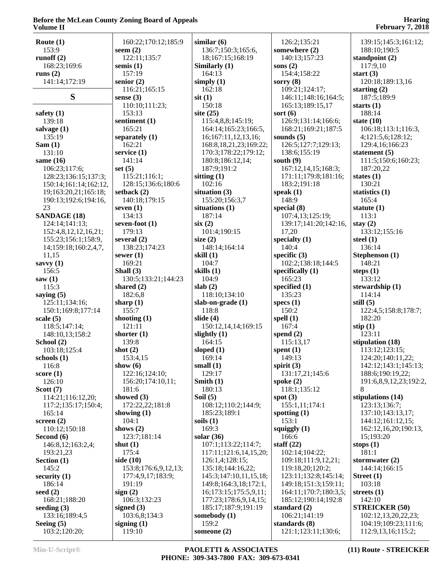| Route $(1)$                   | 160:22;170:12;185:9      | similar(6)                  | 126:2;135:21                         | 139:15;145:3;161:12;                       |
|-------------------------------|--------------------------|-----------------------------|--------------------------------------|--------------------------------------------|
| 153:9                         | seem $(2)$               | 136:7;150:3;165:6,          | somewhere (2)                        | 188:10;190:5                               |
| runoff $(2)$                  | 122:11;135:7             | 18;167:15;168:19            | 140:13;157:23                        | standpoint $(2)$                           |
| 168:23;169:6                  | semis $(1)$              | Similarly (1)               | sons $(2)$                           | 117:9,10                                   |
| runs $(2)$                    | 157:19                   | 164:13                      | 154:4;158:22                         | start $(3)$                                |
| 141:14;172:19                 | senior $(2)$             | simply $(1)$                | sorry $(8)$                          | 120:18;189:13,16                           |
|                               | 116:21;165:15            | 162:18                      | 109:21;124:17;                       | starting $(2)$                             |
| S                             | sense $(3)$              | $s$ it $(1)$                | 146:11;148:16;164:5;                 | 187:5;189:9                                |
|                               | 110:10;111:23;           | 150:18                      | 165:13;189:15,17                     | starts $(1)$                               |
| safety $(1)$                  | 153:13                   | site $(25)$                 | sort $(6)$                           | 188:14                                     |
| 139:18                        | sentiment (1)            | 115:4,8,8;145:19;           | 126:9;131:14;166:6;                  | state $(10)$                               |
| salvage $(1)$                 | 165:21                   | 164:14;165:23;166:5,        | 168:21;169:21;187:5                  | 106:18;113:1;116:3,                        |
| 135:19                        | separately (1)           | 16;167:11,12,13,16;         | sounds $(5)$                         | 4;121:5,6;128:12;                          |
| Sam(1)                        | 162:21                   | 168:8, 18, 21, 23; 169: 22; | 126:5;127:7;129:13;                  | 129:4,16;166:23                            |
| 131:10                        | service $(1)$            | 170:3;178:22;179:12;        | 138:6;155:19                         | statement $(5)$                            |
| same $(16)$                   | 141:14                   | 180:8;186:12,14;            | south $(9)$                          | 111:5;150:6;160:23;                        |
| 106:23;117:6;                 | set $(5)$                | 187:9;191:2                 | 167:12,14,15;168:3;                  | 187:20,22                                  |
| 128:23;136:15;137:3;          | 115:21;116:1;            | sitting $(1)$               | 171:11;179:8;181:16;                 | states $(1)$                               |
| 150:14;161:14;162:12,         |                          | 102:16                      | 183:2;191:18                         | 130:21                                     |
| 19;163:20,21;165:18;          | 128:15;136:6;180:6       |                             |                                      |                                            |
|                               | setback $(2)$            | situation $(3)$             | speak $(1)$                          | statistics $(1)$                           |
| 190:13;192:6;194:16,          | 140:18;179:15            | 155:20;156:3,7              | 148:9                                | 165:4                                      |
| 23                            | seven $(1)$              | situations (1)<br>187:14    | special $(8)$                        | statute $(1)$                              |
| <b>SANDAGE (18)</b>           | 134:13                   |                             | 107:4,13;125:19;                     | 113:1                                      |
| 124:14;141:13;                | seven-foot (1)<br>179:13 | six(2)                      | 139:17;141:20;142:16,                | stay $(2)$                                 |
| 152:4,8,12,12,16,21;          |                          | 101:4;190:15                | 17,20                                | 133:12;155:16                              |
| 155:23;156:1;158:9,           | several $(2)$            | size $(2)$                  | specialty $(1)$                      | steel $(1)$                                |
| 14;159:18;160:2,4,7,          | 138:23;174:23            | 148:14;164:14               | 140:4                                | 136:14                                     |
| 11,15                         | sewer $(1)$              | skill $(1)$                 | specific $(3)$                       | Stephenson (1)                             |
| savvy $(1)$                   | 169:21                   | 104:7                       | 102:2;138:18;144:5                   | 148:21                                     |
| 156:5                         | Shall $(3)$              | skills (1)                  | specifically $(1)$                   | steps $(1)$                                |
| saw(1)                        | 130:5;133:21;144:23      | 104:9                       | 165:23                               | 133:12                                     |
|                               |                          |                             |                                      |                                            |
| 115:3                         | shared $(2)$             | slab(2)                     | specified $(1)$                      | stewardship (1)                            |
| saying $(5)$                  | 182:6,8                  | 118:10;134:10               | 135:23                               | 114:14                                     |
| 125:11;134:16;                | sharp $(1)$              | slab-on-grade (1)           | specs $(1)$                          | still $(5)$                                |
| 150:1;169:8;177:14            | 155:7                    | 118:8                       | 150:2                                | 122:4,5;158:8;178:7;                       |
| scale $(5)$                   | shooting $(1)$           | slide $(4)$                 | spell $(1)$                          | 182:20                                     |
| 118:5;147:14;                 | 121:11                   | 150:12, 14, 14; 169:15      | 167:4                                | stip $(1)$                                 |
| 148:10,13;158:2               | shorter $(1)$            | slightly $(1)$              | spend $(2)$                          | 123:11                                     |
| School (2)                    | 139:8                    | 164:15                      | 115:13,17                            | stipulation (18)                           |
| 103:18;125:4                  | shot $(2)$               | sloped $(1)$                | spent $(1)$                          | 113:12;123:15;                             |
| schools(1)                    | 153:4,15                 | 169:14                      | 149:13                               | 124:20;140:11,22;                          |
| 116:8                         | show $(6)$               | small $(1)$                 | spirit $(3)$                         | 142:12;143:1;145:13;                       |
| score $(1)$                   | 122:16;124:10;           | 129:17                      | 131:17,21;145:6                      | 188:6;190:19,22;                           |
| 126:10                        | 156:20;174:10,11;        | Smith $(1)$                 | spoke $(2)$                          | 191:6,8,9,12,23;192:2,                     |
| Scott $(7)$                   | 181:6                    | 180:13                      | 118:1;135:12                         | 8                                          |
| 114:21;116:12,20;             | showed (3)               | Soil $(5)$                  | spot $(3)$                           | stipulations (14)                          |
| 117:2;135:17;150:4;           | 172:22,22;181:8          | 108:12;110:2;144:9;         | 155:1,11;174:1                       | 123:13;136:7;                              |
| 165:14                        | showing $(1)$            | 185:23;189:1                | spotting $(1)$                       | 137:10;143:13,17;                          |
| screen $(2)$                  | 104:1                    | soils $(1)$                 | 153:1                                | 144:12;161:12,15;                          |
| 110:12;150:18                 | shows $(2)$              | 169:3                       | squiggly $(1)$                       | 162:12,16,20;190:13,                       |
| Second $(6)$                  | 123:7;181:14             | solar $(36)$                | 166:6                                | 15;193:20                                  |
| 146:8,12;163:2,4;             | shut $(1)$               | 107:1;113:22;114:7;         | staff $(22)$                         | stops $(1)$                                |
| 193:21,23                     | 175:4                    | 117:11;121:6,14,15,20;      | 102:14;104:22;                       | 181:1                                      |
| Section $(1)$                 | side (10)                | 126:1,4;128:15;             | 109:18;111:9,12,21;                  | stormwater $(2)$                           |
| 145:2                         | 153:8;176:6,9,12,13;     | 135:18;144:16,22;           | 119:18,20;120:2;                     | 144:14;166:15                              |
| security $(1)$                | 177:4,9,17;183:9;        | 145:3;147:10,11,15,18;      | 123:11;132:8;145:14;                 | Street $(1)$                               |
| 186:14                        | 191:19                   | 149:8;164:3,18;172:1,       | 149:18;151:3;159:11;                 | 103:18                                     |
| seed $(2)$                    | sign $(2)$               | 16;173:15;175:5,9,11;       | 164:11;170:7;180:3,5;                | streets $(1)$                              |
| 168:21;188:20                 | 106:3;132:23             | 177:23;178:6,9,14,15;       | 185:12;190:14;192:8                  | 142:10                                     |
| seeding $(3)$                 | signed $(3)$             | 185:17;187:9;191:19         | standard $(2)$                       | <b>STREICKER (50)</b>                      |
| 133:16;189:4,5                | 103:6,8;134:3            | somebody (1)                | 106:21;141:19                        | 102:12,13,20,22,23;                        |
| Seeing $(5)$<br>103:2;120:20; | signing $(1)$<br>119:10  | 159:2<br>someone $(2)$      | standards (8)<br>121:1;123:11;130:6; | 104:19;109:23;111:6;<br>112:9,13,16;115:2; |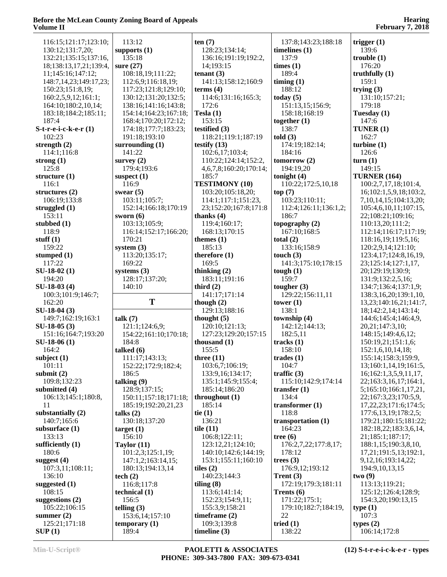| 116:15:121:17:123:10:       | 113:12                   | ten(7)                        | 137:8;143:23;188:18       | trigger $(1)$               |
|-----------------------------|--------------------------|-------------------------------|---------------------------|-----------------------------|
| 130:12;131:7,20;            | supports $(1)$           | 128:23;134:14;                | timelines $(1)$           | 139:6                       |
|                             |                          |                               |                           |                             |
| 132:21;135:15;137:16,       | 135:18                   | 136:16;191:19;192:2,          | 137:9                     | trouble(1)                  |
| 18;138:13,17,21;139:4,      | sure $(27)$              | 14;193:15                     | times (1)                 | 176:20                      |
| 11;145:16;147:12;           | 108:18,19;111:22;        | tenant $(3)$                  | 189:4                     | truthfully $(1)$            |
| 148:7, 14, 23; 149: 17, 23; | 112:6,9;116:18,19;       | 141:13;158:12;160:9           | $\lim_{t \to \infty}$ (1) | 159:1                       |
|                             |                          |                               |                           |                             |
| 150:23;151:8,19;            | 117:23;121:8;129:10;     | terms $(4)$                   | 188:12                    | trying $(3)$                |
| 160:2,5,9,12;161:1;         | 130:12;131:20;132:5;     | 114:6;131:16;165:3;           | today $(5)$               | 131:10;157:21;              |
| 164:10;180:2,10,14;         | 138:16;141:16;143:8;     | 172:6                         | 151:13,15;156:9;          | 179:18                      |
| 183:18;184:2;185:11;        | 154:14;164:23;167:18;    | Tesla $(1)$                   | 158:18;168:19             | Tuesday (1)                 |
| 187:4                       | 168:4;170:20;172:12;     | 153:15                        | together $(1)$            | 147:6                       |
|                             |                          |                               |                           |                             |
| $S-t-r-e-i-c-ke-r(1)$       | 174:18;177:7;183:23;     | testified $(3)$               | 138:7                     | TUNER (1)                   |
| 102:23                      | 191:18;193:10            | 118:21;119:1;187:19           | told(3)                   | 162:7                       |
| strength $(2)$              | surrounding $(1)$        | testify $(13)$                | 174:19;182:14;            | turbine(1)                  |
| 114:1;116:8                 | 141:22                   | 102:6,17;103:4;               | 184:16                    | 126:6                       |
| strong $(1)$                | survey $(2)$             | 110:22;124:14;152:2,          | tomorrow(2)               | turn(1)                     |
|                             |                          |                               |                           |                             |
| 125:8                       | 179:4;193:6              | 4, 6, 7, 8; 160: 20; 170: 14; | 194:19,20                 | 149:15                      |
| structure $(1)$             | suspect $(1)$            | 185:7                         | tonight $(4)$             | <b>TURNER (164)</b>         |
| 116:1                       | 116:9                    | <b>TESTIMONY (10)</b>         | 110:22;172:5,10,18        | 100:2,7,17,18;101:4,        |
| structures $(2)$            | swear $(5)$              | 103:20;105:18,20;             | top(7)                    | 16;102:1,5,9,18;103:2,      |
| 106:19;133:8                | 103:11;105:7;            | 114:1;117:1;151:23,           | 103:23;110:11;            | 7,10,14,15;104:13,20;       |
|                             |                          |                               |                           |                             |
| struggled $(1)$             | 152:14;166:18;170:19     | 23;152:20;167:8;171:8         | 112:4;126:11;136:1,2;     | 105:4,6,10,11;107:15,       |
| 153:11                      | sworn $(6)$              | thanks $(4)$                  | 186:7                     | 22;108:21;109:16;           |
| stubbed $(1)$               | 103:13;105:9;            | 119:4;160:17;                 | topography $(2)$          | 110:13,20;111:2;            |
| 118:9                       | 116:14;152:17;166:20;    | 168:13;170:15                 | 167:10;168:5              | 112:14;116:17;117:19;       |
| stuff $(1)$                 | 170:21                   | themes $(1)$                  | total $(2)$               | 118:16,19;119:5,16;         |
| 159:22                      |                          | 185:13                        | 133:16;158:9              |                             |
|                             | system $(3)$             |                               |                           | 120:2,9,14;121:10;          |
| stumped $(1)$               | 113:20;135:17;           | therefore $(1)$               | touch $(3)$               | 123:4,17;124:8,16,19,       |
| 117:22                      | 169:22                   | 169:5                         | 141:3;175:10;178:15       | 23;125:14;127:1,17,         |
| $SU-18-02(1)$               | systems $(3)$            | thinking $(2)$                | tough $(1)$               | 20;129:19;130:9;            |
| 194:20                      | 128:17;137:20;           | 183:11;191:16                 | 159:7                     | 131:9;132:2,5,16;           |
|                             |                          |                               |                           |                             |
|                             |                          |                               |                           |                             |
| $SU-18-03(4)$               | 140:10                   | third $(2)$                   | tougher $(3)$             | 134:7;136:4;137:1,9;        |
| 100:3;101:9;146:7;          |                          | 141:17;171:14                 | 129:22;156:11,11          | 138:3,16,20;139:1,10,       |
| 162:20                      | T                        | though $(2)$                  | tower $(1)$               | 13,23;140:16,21;141:7,      |
|                             |                          |                               | 138:1                     |                             |
| $SU-18-04(3)$               |                          | 129:13;188:16                 |                           | 18;142:2,14;143:14;         |
| 149:7;162:19;163:1          | talk $(7)$               | thought $(5)$                 | township (4)              | 144:6;145:4;146:4,9,        |
| $SU-18-05(3)$               | 121:1;124:6,9;           | 120:10;121:13;                | 142:12;144:13;            | 20,21;147:3,10;             |
| 151:16;164:7;193:20         | 154:22;161:10;170:18;    | 127:23;129:20;157:15          | 182:5,11                  | 148:15;149:4,6,12;          |
| $SU-18-06(1)$               | 184:8                    | thousand $(1)$                | tracks $(1)$              | 150:19,21;151:1,6;          |
| 164:2                       | talked $(6)$             | 155:5                         | 158:10                    | 152:1,6,10,14,18;           |
|                             |                          |                               |                           |                             |
| subject $(1)$               | 111:17;143:13;           | three $(11)$                  | trades $(1)$              | 155:14;158:3;159:9,         |
| 101:11                      | 152:22;172:9;182:4;      | 103:6,7;106:19;               | 104:7                     | 13;160:1,14,19;161:5,       |
| submit $(2)$                | 186:5                    | 133:9,16;134:17;              | traffic $(3)$             | 16;162:1,3,5,9,11,17,       |
| 109:8;132:23                | talking $(9)$            | 135:1;145:9;155:4;            | 115:10;142:9;174:14       | 22;163:3,16,17;164:1,       |
| submitted (4)               | 128:9:137:15:            | 185:14;186:20                 | transfer $(1)$            | 5;165:10;166:1,17,21,       |
| 106:13;145:1;180:8,         | 150:11;157:18;171:18;    | throughout $(1)$              | 134:4                     | 22;167:3,23;170:5,9,        |
|                             |                          |                               |                           |                             |
| 11                          | 185:19;192:20,21,23      | 185:14                        | transformer $(1)$         | 17, 22, 23; 171: 6; 174: 5; |
| substantially $(2)$         | talks $(2)$              | tie $(1)$                     | 118:8                     | 177:6, 13, 19; 178: 2, 5;   |
| 140:7;165:6                 | 130:18;137:20            | 136:21                        | transportation (1)        | 179:21;180:15;181:22;       |
| subsurface $(1)$            | target(1)                | tile $(11)$                   | 164:23                    | 182:18,22;183:3,6,14,       |
| 133:13                      | 156:10                   | 106:8;122:11;                 | tree $(6)$                | 21;185:1;187:17;            |
|                             |                          |                               |                           |                             |
| sufficiently $(1)$          | Taylor $(11)$            | 123:12,21;124:10;             | 176:2,7,22;177:8,17;      | 188:1,15;190:3,8,10,        |
| 180:6                       | 101:2,3;125:1,19;        | 140:10;142:6;144:19;          | 178:12                    | 17,21;191:5,13;192:1,       |
| suggest $(4)$               | 147:1,2;163:14,15;       | 153:1;155:11;160:10           | trees $(3)$               | 9, 12, 16; 193: 14, 22;     |
| 107:3,11;108:11;            | 180:13;194:13,14         | tiles $(2)$                   | 176:9,12;193:12           | 194:9, 10, 13, 15           |
| 136:10                      | tech $(2)$               | 140:23;144:3                  | Trent $(3)$               | two(9)                      |
| suggested $(1)$             | 116:8;117:8              |                               | 172:19;179:3;181:11       | 113:13;119:21;              |
|                             |                          | tiling $(8)$                  |                           |                             |
| 108:15                      | technical (1)            | 113:6;141:14;                 | Trents $(6)$              | 125:12;126:4;128:9;         |
| suggestions $(2)$           | 156:5                    | 152:23;154:9,11;              | 171:22;175:1;             | 154:3,20;190:13,15          |
| 105:22;106:15               | telling $(3)$            | 155:3,9;158:21                | 179:10;182:7;184:19,      | type(1)                     |
| summer $(2)$                | 153:6,14;157:10          | timeframe $(2)$               | 22                        | 107:3                       |
| 125:21;171:18<br>SUP(1)     | temporary $(1)$<br>189:4 | 109:3;139:8<br>timeline $(3)$ | tried $(1)$<br>138:22     | types $(2)$<br>106:14;172:8 |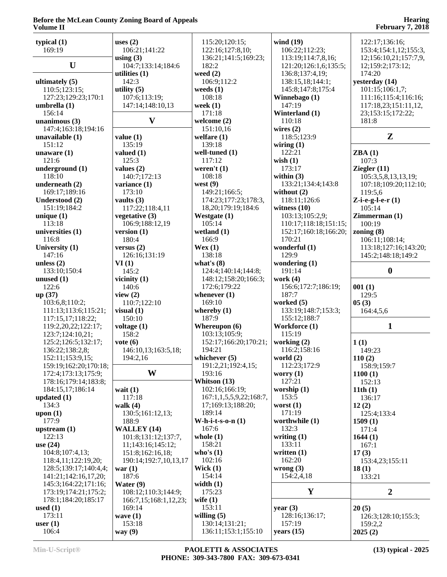| typical $(1)$<br>169:19 | uses $(2)$<br>106:21;141:22 | 115:20;120:15;<br>122:16;127:8,10; | wind $(19)$<br>106:22;112:23; | 122:17;136:16;<br>153:4;154:1,12;155:3, |
|-------------------------|-----------------------------|------------------------------------|-------------------------------|-----------------------------------------|
|                         | using $(3)$                 | 136:21;141:5;169:23;               | 113:19;114:7,8,16;            | 12;156:10,21;157:7,9,                   |
| U                       | 104:7;133:14;184:6          | 182:2                              | 121:20;126:1,6;135:5;         | 12;159:2;173:12;                        |
|                         | utilities $(1)$             | weed $(2)$                         | 136:8;137:4,19;               | 174:20                                  |
| ultimately $(5)$        | 142:3                       | 106:9;112:2                        | 138:15,18;144:1;              | yesterday (14)                          |
| 110:5;123:15;           | utility $(5)$               | weeds $(1)$                        | 145:8;147:8;175:4             | 101:15;106:1,7;                         |
| 127:23;129:23;170:1     | 107:6;113:19;               | 108:18                             | Winnebago (1)                 | 111:16;115:4;116:16;                    |
| umbrella (1)            | 147:14;148:10,13            | week $(1)$                         | 147:19                        | 117:18,23;151:11,12,                    |
| 156:14                  |                             | 171:18                             | Winterland (1)                | 23;153:15;172:22;                       |
| unanimous $(3)$         | $\mathbf{V}$                | welcome $(2)$                      | 110:18                        | 181:8                                   |
| 147:4;163:18;194:16     |                             | 151:10,16                          | wires $(2)$                   |                                         |
| unavailable (1)         | value(1)                    | welfare $(1)$                      | 118:5:123:9                   | $\mathbf{Z}$                            |
| 151:12                  | 135:19                      | 139:18                             | wiring $(1)$                  |                                         |
| unaware $(1)$           | valued $(1)$                | well-tuned (1)                     | 122:21                        | ZBA(1)                                  |
| 121:6                   | 125:3                       | 117:12                             | wish $(1)$                    | 107:3                                   |
| underground (1)         | values $(2)$                | weren't $(1)$                      | 173:17                        | Ziegler $(11)$                          |
| 118:10                  | 140:7;172:13                | 108:18                             | within $(3)$                  | 105:3,5,8,13,13,19;                     |
| underneath (2)          | variance (1)                | west $(9)$                         | 133:21;134:4;143:8            | 107:18;109:20;112:10;                   |
| 169:17;189:16           | 173:10                      | 149:21;166:5;                      | without (2)                   | 119:5,6                                 |
|                         | vaults $(3)$                |                                    |                               |                                         |
| Understood (2)          |                             | 174:23;177:23;178:3,               | 118:11;126:6                  | Z-i-e-g-l-e- $r(1)$<br>105:14           |
| 151:19;184:2            | 117:22;118:4,11             | 18, 20; 179: 19; 184: 6            | witness $(10)$                |                                         |
| unique $(1)$            | vegetative $(3)$            | Westgate (1)                       | 103:13;105:2,9;               | Zimmerman(1)<br>100:19                  |
| 113:18                  | 106:9;188:12,19             | 105:14                             | 110:17;118:18;151:15;         |                                         |
| universities (1)        | version $(1)$               | wetland $(1)$                      | 152:17;160:18;166:20;         | zoning $(8)$                            |
| 116:8                   | 180:4                       | 166:9                              | 170:21                        | 106:11;108:14;                          |
| University (1)          | versus $(2)$                | Wex(1)                             | wonderful (1)                 | 113:18;127:16;143:20;                   |
| 147:16                  | 126:16;131:19               | 138:18                             | 129:9                         | 145:2;148:18;149:2                      |
| unless $(2)$            | VI(1)                       | what's $(8)$                       | wondering $(1)$               |                                         |
| 133:10;150:4            | 145:2                       | 124:4;140:14;144:8;                | 191:14                        | $\boldsymbol{0}$                        |
| unused $(1)$            | vicinity $(1)$              | 148:12;158:20;166:3;               | work $(4)$                    |                                         |
| 122:6                   | 140:6                       | 172:6;179:22                       | 156:6;172:7;186:19;           | 001(1)                                  |
| up(37)                  | view $(2)$                  | whenever $(1)$                     | 187:7                         | 129:5                                   |
| 103:6,8;110:2;          | 110:7;122:10                | 169:10                             | worked (5)                    | 05(3)                                   |
| 111:13;113:6;115:21;    | visual $(1)$                | whereby $(1)$                      | 133:19;148:7;153:3;           | 164:4,5,6                               |
| 117:15,17;118:22;       | 150:10                      | 187:9                              | 155:12;188:7                  |                                         |
| 119:2,20,22;122:17;     | voltage $(1)$               | Whereupon $(6)$                    | Workforce (1)                 | $\mathbf{1}$                            |
| 123:7;124:10,21;        | 158:2                       | 103:13;105:9;                      | 115:19                        |                                         |
| 125:2;126:5;132:17;     | vote $(6)$                  | 152:17;166:20;170:21;              | working (2)                   | 1(1)                                    |
| 136:22;138:2,8;         | 146:10,13;163:5,18;         | 194:21                             | 116:2;158:16                  | 149:23                                  |
| 152:11;153:9,15;        | 194:2,16                    | whichever $(5)$                    | world $(2)$                   | 110(2)                                  |
| 159:19;162:20;170:18;   |                             | 191:2,21;192:4,15;                 | 112:23;172:9                  | 158:9;159:7                             |
| 172:4;173:13;175:9;     | W                           | 193:16                             | worry $(1)$                   | 1100(1)                                 |
| 178:16;179:14;183:8;    |                             | Whitson (13)                       | 127:21                        | 152:13                                  |
| 184:15,17;186:14        | wait $(1)$                  | 102:16;166:19;                     | worship $(1)$                 | 11th $(1)$                              |
| updated $(1)$           | 117:18                      | 167:1,1,5,5,9,22;168:7,            | 153:5                         | 136:17                                  |
| 134:3                   | walk $(4)$                  | 17;169:13;188:20;                  | worst $(1)$                   | 12(2)                                   |
| upon $(1)$              | 130:5;161:12,13;            | 189:14                             | 171:19                        | 125:4;133:4                             |
| 177:9                   | 188:9                       | W-h-i-t-s-o-n $(1)$                | worthwhile (1)                | 1509(1)                                 |
| upstream $(1)$          | <b>WALLEY</b> (14)          | 167:6                              | 132:3                         | 171:4                                   |
| 122:13                  | 101:8;131:12;137:7,         | whole $(1)$                        | writing $(1)$                 | 1644(1)                                 |
| use $(24)$              | 11;143:16;145:12;           | 158:21                             | 133:11                        | 167:1                                   |
| 104:8;107:4,13;         | 151:8;162:16,18;            | who's $(1)$                        | written $(1)$                 | 17(3)                                   |
| 118:4,11;122:19,20;     | 190:14;192:7,10,13,17       | 102:16                             | 162:20                        | 153:4,23;155:11                         |
| 128:5;139:17;140:4,4;   | war $(1)$                   | Wick $(1)$                         | wrong $(3)$                   | 18(1)                                   |
| 141:21;142:16,17,20;    | 187:6                       | 154:14                             | 154:2,4,18                    | 133:21                                  |
| 145:3;164:22;171:16;    | Water $(9)$                 | width $(1)$                        |                               |                                         |
| 173:19;174:21;175:2;    | 108:12;110:3;144:9;         | 175:23                             | $\mathbf Y$                   | $\overline{2}$                          |
| 178:1;184:20;185:17     | 166:7,15;168:1,12,23;       | wife $(1)$                         |                               |                                         |
| used $(1)$              | 169:14                      | 153:11                             | year $(3)$                    | 20(5)                                   |
| 173:11                  | wave $(1)$                  | willing $(5)$                      | 128:16;136:17;                | 126:3;128:10;155:3;                     |
| user $(1)$              | 153:18                      | 130:14;131:21;                     | 157:19                        | 159:2,2                                 |
|                         |                             | 136:11;153:1;155:10                | years $(15)$                  | 2025(2)                                 |
| 106:4                   | way $(9)$                   |                                    |                               |                                         |